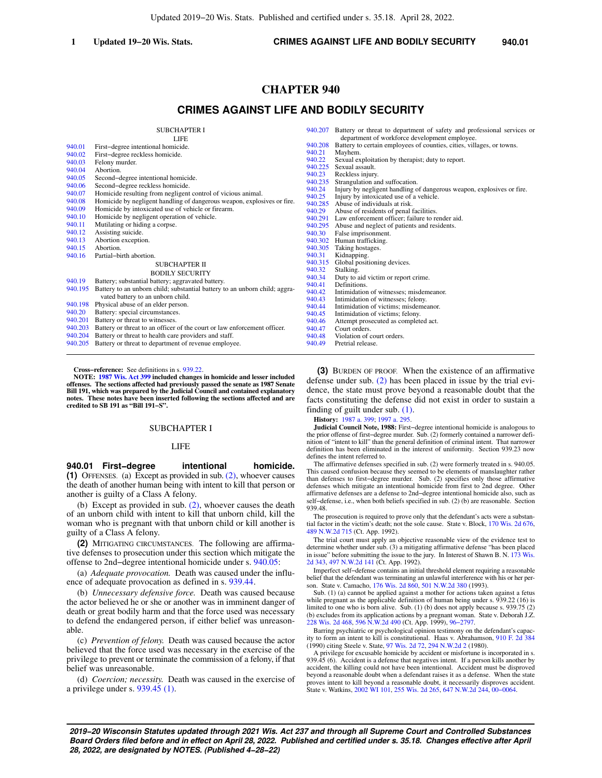# **CHAPTER 940**

# **CRIMES AGAINST LIFE AND BODILY SECURITY**

SUBCHAPTER I

|         | LIFE.                                                                      |                |
|---------|----------------------------------------------------------------------------|----------------|
| 940.01  | First-degree intentional homicide.                                         | 94             |
| 940.02  | First-degree reckless homicide.                                            | 94             |
| 940.03  | Felony murder.                                                             | 94             |
| 940.04  | Abortion.                                                                  | 94             |
| 940.05  | Second-degree intentional homicide.                                        | 94             |
| 940.06  | Second-degree reckless homicide.                                           | 94             |
| 940.07  | Homicide resulting from negligent control of vicious animal.               | 94<br>94       |
| 940.08  | Homicide by negligent handling of dangerous weapon, explosives or fire.    | $\overline{Q}$ |
| 940.09  | Homicide by intoxicated use of vehicle or firearm.                         | 94             |
| 940.10  | Homicide by negligent operation of vehicle.                                | 94             |
| 940.11  | Mutilating or hiding a corpse.                                             | 94             |
| 940.12  | Assisting suicide.                                                         | 94             |
| 940.13  | Abortion exception.                                                        | 94             |
| 940.15  | Abortion.                                                                  | 94             |
| 940.16  | Partial-birth abortion.                                                    | 94             |
|         | SUBCHAPTER II                                                              | 94             |
|         | <b>BODILY SECURITY</b>                                                     | 94             |
| 940.19  | Battery; substantial battery; aggravated battery.                          | 94             |
| 940.195 | Battery to an unborn child; substantial battery to an unborn child; aggra- | 94             |
|         | vated battery to an unborn child.                                          | 94<br>94       |
| 940.198 | Physical abuse of an elder person.                                         | 94             |
| 940.20  | Battery: special circumstances.                                            | 94             |
| 940.201 | Battery or threat to witnesses.                                            | 94             |
| 940.203 | Battery or threat to an officer of the court or law enforcement officer.   | 94             |
| 940.204 | Battery or threat to health care providers and staff.                      | 94             |
| 940.205 | Battery or threat to department of revenue employee.                       | 94             |
|         |                                                                            |                |

**Cross−reference:** See definitions in s. [939.22](https://docs-preview.legis.wisconsin.gov/document/statutes/939.22).

**NOTE: [1987 Wis. Act 399](https://docs-preview.legis.wisconsin.gov/document/acts/1987/399) included changes in homicide and lesser included offenses. The sections affected had previously passed the senate as 1987 Senate Bill 191, which was prepared by the Judicial Council and contained explanatory notes. These notes have been inserted following the sections affected and are credited to SB 191 as "Bill 191−S".**

### SUBCHAPTER I

#### LIFE

**940.01 First−degree intentional homicide. (1)** OFFENSES. (a) Except as provided in sub. [\(2\)](https://docs-preview.legis.wisconsin.gov/document/statutes/940.01(2)), whoever causes the death of another human being with intent to kill that person or another is guilty of a Class A felony.

(b) Except as provided in sub. [\(2\),](https://docs-preview.legis.wisconsin.gov/document/statutes/940.01(2)) whoever causes the death of an unborn child with intent to kill that unborn child, kill the woman who is pregnant with that unborn child or kill another is guilty of a Class A felony.

**(2)** MITIGATING CIRCUMSTANCES. The following are affirmative defenses to prosecution under this section which mitigate the offense to 2nd−degree intentional homicide under s. [940.05](https://docs-preview.legis.wisconsin.gov/document/statutes/940.05):

(a) *Adequate provocation.* Death was caused under the influence of adequate provocation as defined in s. [939.44.](https://docs-preview.legis.wisconsin.gov/document/statutes/939.44)

(b) *Unnecessary defensive force.* Death was caused because the actor believed he or she or another was in imminent danger of death or great bodily harm and that the force used was necessary to defend the endangered person, if either belief was unreasonable.

(c) *Prevention of felony.* Death was caused because the actor believed that the force used was necessary in the exercise of the privilege to prevent or terminate the commission of a felony, if that belief was unreasonable.

(d) *Coercion; necessity.* Death was caused in the exercise of a privilege under s. [939.45 \(1\)](https://docs-preview.legis.wisconsin.gov/document/statutes/939.45(1)).

[940.207](https://docs-preview.legis.wisconsin.gov/document/statutes/940.207) Battery or threat to department of safety and professional services or department of workforce development employee.

- 40.208 Battery to certain employees of counties, cities, villages, or towns.<br>40.21 Mayhem.
- $\frac{40.21}{40.22}$  Mayhem.
	- Sexual exploitation by therapist; duty to report.

40.225 Sexual assault.<br>40.23 Reckless injury

Reckless injury.

- 40.235 Strangulation and suffocation.<br>40.24 Injury by negligent handling of  $\frac{40.24}{40.25}$  Injury by negligent handling of dangerous weapon, explosives or fire.
- Injury by intoxicated use of a vehicle.

40.285 Abuse of individuals at risk.<br>40.29 Abuse of residents of penal

- Abuse of residents of penal facilities.
- 
- 40.291 Law enforcement officer; failure to render aid.<br>40.295 Abuse and neglect of patients and residents. 40.295 Abuse and neglect of patients and residents.<br>40.30 False imprisonment.
- False imprisonment.
- 

40.302 Human trafficking.<br>40.305 Taking hostages. Taking hostages.

- 
- 40.31 Kidnapping.<br>40.315 Global posit
- 40.315 Global positioning devices.<br>40.32 Stalking.
- 40.32 Stalking.<br>40.34 Duty to a  $\frac{40.34}{40.41}$  Duty to aid victim or report crime.
- $\frac{40.41}{40.42}$  Definitions
- 40.42 Intimidation of witnesses; misdemeanor.<br>40.43 Intimidation of witnesses: felony.
- 40.43 Intimidation of witnesses; felony.<br>40.44 Intimidation of victims; misdement
- 1944 Intimidation of victims; misdemeanor.<br>40.45 Intimidation of victims: felony.
- 40.45 Intimidation of victims; felony.<br>40.46 Attempt prosecuted as complete
- 40.46 Attempt prosecuted as completed act.<br>40.47 Court orders
- 40.47 Court orders.<br>40.48 Violation of a
- 40.48 Violation of court orders.<br>40.49 Pretrial release. Pretrial release.

**(3)** BURDEN OF PROOF. When the existence of an affirmative defense under sub. [\(2\)](https://docs-preview.legis.wisconsin.gov/document/statutes/940.01(2)) has been placed in issue by the trial evidence, the state must prove beyond a reasonable doubt that the facts constituting the defense did not exist in order to sustain a finding of guilt under sub. [\(1\).](https://docs-preview.legis.wisconsin.gov/document/statutes/940.01(1))

#### **History:** [1987 a. 399;](https://docs-preview.legis.wisconsin.gov/document/acts/1987/399) [1997 a. 295](https://docs-preview.legis.wisconsin.gov/document/acts/1997/295).

**Judicial Council Note, 1988:** First−degree intentional homicide is analogous to the prior offense of first−degree murder. Sub. (2) formerly contained a narrower definition of "intent to kill" than the general definition of criminal intent. That narrower definition has been eliminated in the interest of uniformity. Section 939.23 now defines the intent referred to.

The affirmative defenses specified in sub. (2) were formerly treated in s. 940.05. This caused confusion because they seemed to be elements of manslaughter rather than defenses to first−degree murder. Sub. (2) specifies only those affirmative defenses which mitigate an intentional homicide from first to 2nd degree. Other affirmative defenses are a defense to 2nd−degree intentional homicide also, such as self−defense, i.e., when both beliefs specified in sub. (2) (b) are reasonable. Section 939.48.

The prosecution is required to prove only that the defendant's acts were a substantial factor in the victim's death; not the sole cause. State v. Block, [170 Wis. 2d 676](https://docs-preview.legis.wisconsin.gov/document/courts/170%20Wis.%202d%20676), [489 N.W.2d 715](https://docs-preview.legis.wisconsin.gov/document/courts/489%20N.W.2d%20715) (Ct. App. 1992).

The trial court must apply an objective reasonable view of the evidence test to determine whether under sub. (3) a mitigating affirmative defense "has been placed in issue" before submitting the issue to the jury. In Interest of Shawn B. N. [173 Wis.](https://docs-preview.legis.wisconsin.gov/document/courts/173%20Wis.%202d%20343) [2d 343](https://docs-preview.legis.wisconsin.gov/document/courts/173%20Wis.%202d%20343), [497 N.W.2d 141](https://docs-preview.legis.wisconsin.gov/document/courts/497%20N.W.2d%20141) (Ct. App. 1992).

Imperfect self−defense contains an initial threshold element requiring a reasonable belief that the defendant was terminating an unlawful interference with his or her person. State v. Camacho, [176 Wis. 2d 860](https://docs-preview.legis.wisconsin.gov/document/courts/176%20Wis.%202d%20860), [501 N.W.2d 380](https://docs-preview.legis.wisconsin.gov/document/courts/501%20N.W.2d%20380) (1993).

Sub. (1) (a) cannot be applied against a mother for actions taken against a fetus while pregnant as the applicable definition of human being under s. 939.22 (16) is limited to one who is born alive. Sub. (1) (b) does not apply because s. 939.75 (2) (b) excludes from its application actions by a pregnant woman. State v. Deborah J.Z. [228 Wis. 2d 468](https://docs-preview.legis.wisconsin.gov/document/courts/228%20Wis.%202d%20468), [596 N.W.2d 490](https://docs-preview.legis.wisconsin.gov/document/courts/596%20N.W.2d%20490) (Ct. App. 1999), [96−2797](https://docs-preview.legis.wisconsin.gov/document/wicourtofappeals/96-2797).

Barring psychiatric or psychological opinion testimony on the defendant's capacity to form an intent to kill is constitutional. Haas v. Abrahamson, [910 F. 2d 384](https://docs-preview.legis.wisconsin.gov/document/courts/910%20F.%202d%20384) (1990) citing Steele v. State, [97 Wis. 2d 72](https://docs-preview.legis.wisconsin.gov/document/courts/97%20Wis.%202d%2072), [294 N.W.2d 2](https://docs-preview.legis.wisconsin.gov/document/courts/294%20N.W.2d%202) (1980).

A privilege for excusable homicide by accident or misfortune is incorporated in s. 939.45 (6). Accident is a defense that negatives intent. If a person kills another by accident, the killing could not have been intentional. Accident must be disproved beyond a reasonable doubt when a defendant raises it as a defense. When the state proves intent to kill beyond a reasonable doubt, it necessarily disproves accident. State v. Watkins, [2002 WI 101,](https://docs-preview.legis.wisconsin.gov/document/courts/2002%20WI%20101) [255 Wis. 2d 265](https://docs-preview.legis.wisconsin.gov/document/courts/255%20Wis.%202d%20265), [647 N.W.2d 244,](https://docs-preview.legis.wisconsin.gov/document/courts/647%20N.W.2d%20244) [00−0064.](https://docs-preview.legis.wisconsin.gov/document/wisupremecourt/00-0064)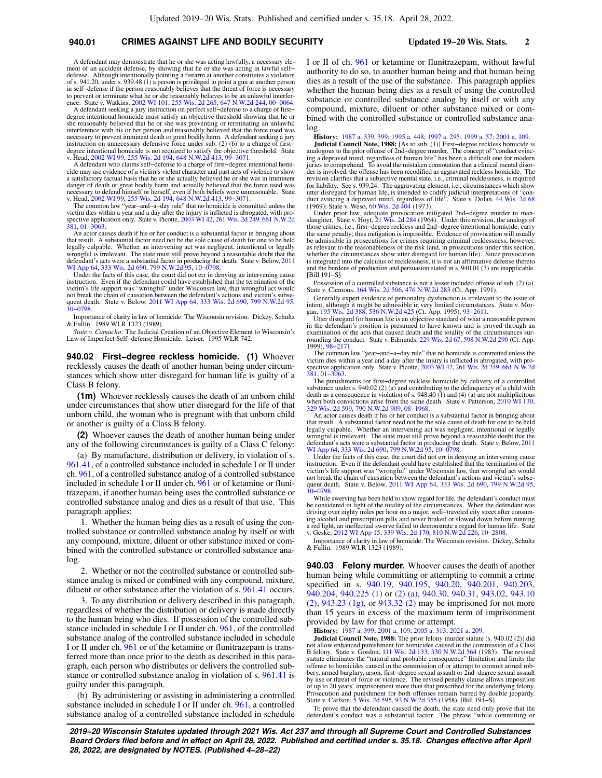## **940.01 CRIMES AGAINST LIFE AND BODILY SECURITY Updated 19−20 Wis. Stats. 2**

A defendant may demonstrate that he or she was acting lawfully, a necessary element of an accident defense, by showing that he or she was acting in lawful self− defense. Although intentionally pointing a firearm at another constitutes a violation of s. 941.20, under s. 939.48 (1) a person is privileged to point a gun at another person in self-defense if the person reasonably believes that the threat of force is necessary<br>to prevent or terminate what he or she reasonably believes to be an unlawful interfer-<br>ence. State v. Watkins, [2002 WI 101](https://docs-preview.legis.wisconsin.gov/document/courts/2002%20WI%20101), 255 Wis. 2

A defendant seeking a jury instruction on perfect self−defense to a charge of first− degree intentional homicide must satisfy an objective threshold showing that he or she reasonably believed that he or she was preventing or terminating an unlawful<br>interference with his or her person and reasonably believed that the force used was<br>necessary to prevent imminent death or great bodily harm. instruction on unnecessary defensive force under sub. (2) (b) to a charge of first− degree intentional homicide is not required to satisfy the objective threshold. State v. Head, [2002 WI 99](https://docs-preview.legis.wisconsin.gov/document/courts/2002%20WI%2099), [255 Wis. 2d 194,](https://docs-preview.legis.wisconsin.gov/document/courts/255%20Wis.%202d%20194) [648 N.W.2d 413](https://docs-preview.legis.wisconsin.gov/document/courts/648%20N.W.2d%20413), [99−3071.](https://docs-preview.legis.wisconsin.gov/document/wisupremecourt/99-3071)

A defendant who claims self−defense to a charge of first−degree intentional homi-cide may use evidence of a victim's violent character and past acts of violence to show a satisfactory factual basis that he or she actually believed he or she was in imminent danger of death or great bodily harm and actually believed that the force used was necessary to defend himself or herself, even if both beliefs were unreasonable. State

v. Head, [2002 WI 99](https://docs-preview.legis.wisconsin.gov/document/courts/2002%20WI%2099), [255 Wis. 2d 194,](https://docs-preview.legis.wisconsin.gov/document/courts/255%20Wis.%202d%20194) [648 N.W.2d 413](https://docs-preview.legis.wisconsin.gov/document/courts/648%20N.W.2d%20413), 99–3071.<br>The common law "year-and-a-day rule" that no homicide is committed unless the<br>victim dies within a year and a day after the injury is inflicted is abrogated, w [381](https://docs-preview.legis.wisconsin.gov/document/courts/661%20N.W.2d%20381), [01−3063](https://docs-preview.legis.wisconsin.gov/document/wisupremecourt/01-3063).

An actor causes death if his or her conduct is a substantial factor in bringing about that result. A substantial factor need not be the sole cause of death for one to be held legally culpable. Whether an intervening act was negligent, intentional or legally wrongful is irrelevant. The state must still prove beyond a reasonable doubt that the defendant's acts were a substantial factor in producing the death. State v. Below, [2011](https://docs-preview.legis.wisconsin.gov/document/courts/2011%20WI%20App%2064) [WI App 64](https://docs-preview.legis.wisconsin.gov/document/courts/2011%20WI%20App%2064), [333 Wis. 2d 690,](https://docs-preview.legis.wisconsin.gov/document/courts/333%20Wis.%202d%20690) [799 N.W.2d 95](https://docs-preview.legis.wisconsin.gov/document/courts/799%20N.W.2d%2095), [10−0798](https://docs-preview.legis.wisconsin.gov/document/wicourtofappeals/10-0798).

Under the facts of this case, the court did not err in denying an intervening cause instruction. Even if the defendant could have established that the termination of the victim's life support was "wrongful" under Wisconsin law, that wrongful act would not break the chain of causation between the defendant's actions and victim's subsequent death. State v. Below, [2011 WI App 64,](https://docs-preview.legis.wisconsin.gov/document/courts/2011%20WI%20App%2064) [333 Wis. 2d 690,](https://docs-preview.legis.wisconsin.gov/document/courts/333%20Wis.%202d%20690) [799 N.W.2d 95](https://docs-preview.legis.wisconsin.gov/document/courts/799%20N.W.2d%2095), [10−0798](https://docs-preview.legis.wisconsin.gov/document/wicourtofappeals/10-0798).

Importance of clarity in law of homicide: The Wisconsin revision. Dickey, Schultz & Fullin. 1989 WLR 1323 (1989).

*State v. Camacho:* The Judicial Creation of an Objective Element to Wisconsin's Law of Imperfect Self−defense Homicide. Leiser. 1995 WLR 742.

**940.02 First−degree reckless homicide. (1)** Whoever recklessly causes the death of another human being under circumstances which show utter disregard for human life is guilty of a Class B felony.

**(1m)** Whoever recklessly causes the death of an unborn child under circumstances that show utter disregard for the life of that unborn child, the woman who is pregnant with that unborn child or another is guilty of a Class B felony.

**(2)** Whoever causes the death of another human being under any of the following circumstances is guilty of a Class C felony:

(a) By manufacture, distribution or delivery, in violation of s. [961.41,](https://docs-preview.legis.wisconsin.gov/document/statutes/961.41) of a controlled substance included in schedule I or II under ch. [961,](https://docs-preview.legis.wisconsin.gov/document/statutes/ch.%20961) of a controlled substance analog of a controlled substance included in schedule I or II under ch. [961](https://docs-preview.legis.wisconsin.gov/document/statutes/ch.%20961) or of ketamine or flunitrazepam, if another human being uses the controlled substance or controlled substance analog and dies as a result of that use. This paragraph applies:

1. Whether the human being dies as a result of using the controlled substance or controlled substance analog by itself or with any compound, mixture, diluent or other substance mixed or combined with the controlled substance or controlled substance analog.

2. Whether or not the controlled substance or controlled substance analog is mixed or combined with any compound, mixture, diluent or other substance after the violation of s. [961.41](https://docs-preview.legis.wisconsin.gov/document/statutes/961.41) occurs.

3. To any distribution or delivery described in this paragraph, regardless of whether the distribution or delivery is made directly to the human being who dies. If possession of the controlled substance included in schedule I or II under ch. [961](https://docs-preview.legis.wisconsin.gov/document/statutes/ch.%20961), of the controlled substance analog of the controlled substance included in schedule I or II under ch. [961](https://docs-preview.legis.wisconsin.gov/document/statutes/ch.%20961) or of the ketamine or flunitrazepam is transferred more than once prior to the death as described in this paragraph, each person who distributes or delivers the controlled substance or controlled substance analog in violation of s. [961.41](https://docs-preview.legis.wisconsin.gov/document/statutes/961.41) is guilty under this paragraph.

(b) By administering or assisting in administering a controlled substance included in schedule I or II under ch. [961,](https://docs-preview.legis.wisconsin.gov/document/statutes/ch.%20961) a controlled substance analog of a controlled substance included in schedule I or II of ch. [961](https://docs-preview.legis.wisconsin.gov/document/statutes/ch.%20961) or ketamine or flunitrazepam, without lawful authority to do so, to another human being and that human being dies as a result of the use of the substance. This paragraph applies whether the human being dies as a result of using the controlled substance or controlled substance analog by itself or with any compound, mixture, diluent or other substance mixed or combined with the controlled substance or controlled substance analog.

**History:** [1987 a. 339,](https://docs-preview.legis.wisconsin.gov/document/acts/1987/339) [399;](https://docs-preview.legis.wisconsin.gov/document/acts/1987/399) [1995 a. 448](https://docs-preview.legis.wisconsin.gov/document/acts/1995/448); [1997 a. 295](https://docs-preview.legis.wisconsin.gov/document/acts/1997/295); [1999 a. 57](https://docs-preview.legis.wisconsin.gov/document/acts/1999/57); [2001 a. 109.](https://docs-preview.legis.wisconsin.gov/document/acts/2001/109)

**Judicial Council Note, 1988:** [As to sub. (1)] First−degree reckless homicide is analogous to the prior offense of 2nd−degree murder. The concept of "conduct evincing a depraved mind, regardless of human life" has been a difficult one for modern juries to comprehend. To avoid the mistaken connotation that a clinical mental disorder is involved, the offense has been recodified as aggravated reckless homicide. The revision clarifies that a subjective mental state, i.e., criminal recklessness, is required for liability. See s. 939.24. The aggravating element, i.e., circumstances which show<br>tuter disregard for human life, is intended to codify judicial interpretations of "con-<br>duct evincing a depraved mind, regardless of lif

slaughter. State v. Hoyt, [21 Wis. 2d 284](https://docs-preview.legis.wisconsin.gov/document/courts/21%20Wis.%202d%20284) (1964). Under this revision, the analogs of those crimes, i.e., first−degree reckless and 2nd−degree intentional homicide, carry the same penalty; thus mitigation is impossible. Evidence of provocation will usually be admissible in prosecutions for crimes requiring criminal recklessness, however, as relevant to the reasonableness of the risk (and, in prosecutions under this section, whether the circumstances show utter disregard for human life). Since provocation is integrated into the calculus of recklessness, it is not an affirmative defense thereto and the burdens of production and persuasion stated in s. 940.01 (3) are inapplicable. [Bill 191–S]

Possession of a controlled substance is not a lesser included offense of sub. (2) (a). State v. Clemons, [164 Wis. 2d 506,](https://docs-preview.legis.wisconsin.gov/document/courts/164%20Wis.%202d%20506) [476 N.W.2d 283](https://docs-preview.legis.wisconsin.gov/document/courts/476%20N.W.2d%20283) (Ct. App. 1991).

Generally expert evidence of personality dysfunction is irrelevant to the issue of intent, although it might be admissible in very limited circumstances. State v. Morgan, [195 Wis. 2d 388,](https://docs-preview.legis.wisconsin.gov/document/courts/195%20Wis.%202d%20388) [536 N.W.2d 425](https://docs-preview.legis.wisconsin.gov/document/courts/536%20N.W.2d%20425) (Ct. App. 1995), 93–2611.<br>Utter disregard for human life is an objective standard of what a reasonable

in the defendant's position is presumed to have known and is proved through an examination of the acts that caused death and the totality of the circumstances sur-rounding the conduct. State v. Edmunds, [229 Wis. 2d 67](https://docs-preview.legis.wisconsin.gov/document/courts/229%20Wis.%202d%2067), [598 N.W.2d 290](https://docs-preview.legis.wisconsin.gov/document/courts/598%20N.W.2d%20290) (Ct. App. 1999), [98−2171](https://docs-preview.legis.wisconsin.gov/document/wicourtofappeals/98-2171).

The common law "year-and-a-day rule" that no homicide is committed unless the victim dies within a year and a day after the injury is inflicted is abrogated, with prospective application only. State v. Picotte, [2003 WI 42,](https://docs-preview.legis.wisconsin.gov/document/courts/2003%20WI%2042) [261 Wis. 2d 249,](https://docs-preview.legis.wisconsin.gov/document/courts/261%20Wis.%202d%20249) [661 N.W.2d](https://docs-preview.legis.wisconsin.gov/document/courts/661%20N.W.2d%20381) [381,](https://docs-preview.legis.wisconsin.gov/document/courts/661%20N.W.2d%20381) [01−3063.](https://docs-preview.legis.wisconsin.gov/document/wisupremecourt/01-3063)

The punishments for first−degree reckless homicide by delivery of a controlled substance under s. 940.02 (2) (a) and contributing to the delinquency of a child with death as a consequence in violation of s. 948.40 (1) and (4) (a) are not multiplicitous when both convictions arise from the same death. State v. Patterson, [2010 WI 130](https://docs-preview.legis.wisconsin.gov/document/courts/2010%20WI%20130), [329 Wis. 2d 599](https://docs-preview.legis.wisconsin.gov/document/courts/329%20Wis.%202d%20599), [790 N.W.2d 909,](https://docs-preview.legis.wisconsin.gov/document/courts/790%20N.W.2d%20909) [08−1968.](https://docs-preview.legis.wisconsin.gov/document/wisupremecourt/08-1968)

An actor causes death if his or her conduct is a substantial factor in bringing about that result. A substantial factor need not be the sole cause of death for one to be held legally culpable. Whether an intervening act was negligent, intentional or legally wrongful is irrelevant. The state must still prove beyond a reasonable doubt that the defendant's acts were a substantial factor in producing the death. State v. Below, [2011](https://docs-preview.legis.wisconsin.gov/document/courts/2011%20WI%20App%2064)<br>[WI App 64,](https://docs-preview.legis.wisconsin.gov/document/courts/2011%20WI%20App%2064) [333 Wis. 2d 690](https://docs-preview.legis.wisconsin.gov/document/courts/333%20Wis.%202d%20690), [799 N.W.2d 95](https://docs-preview.legis.wisconsin.gov/document/courts/799%20N.W.2d%2095), 10–0798.<br>Under the facts of this case, the court did not err in denying an intervening caus

instruction. Even if the defendant could have established that the termination of the victim's life support was "wrongful" under Wisconsin law, that wrongful act would not break the chain of causation between the defendant's actions and victim's subsequent death. State v. Below, [2011 WI App 64](https://docs-preview.legis.wisconsin.gov/document/courts/2011%20WI%20App%2064), [333 Wis. 2d 690](https://docs-preview.legis.wisconsin.gov/document/courts/333%20Wis.%202d%20690), [799 N.W.2d 95](https://docs-preview.legis.wisconsin.gov/document/courts/799%20N.W.2d%2095), [10−0798.](https://docs-preview.legis.wisconsin.gov/document/wicourtofappeals/10-0798)

While swerving has been held to show regard for life, the defendant's conduct must be considered in light of the totality of the circumstances. When the defendant was driving over eighty miles per hour on a major, well−traveled city street after consum-ing alcohol and prescription pills and never braked or slowed down before running<br>a red light, an ineffectual swerve failed to demonstrate a regard for human life. State<br>v. Geske, [2012 WI App 15,](https://docs-preview.legis.wisconsin.gov/document/courts/2012%20WI%20App%2015) [339 Wis. 2d 170,](https://docs-preview.legis.wisconsin.gov/document/courts/339%20Wis.%202d%20170) 810 N.W.2

Importance of clarity in law of homicide: The Wisconsin revision. Dickey, Schultz & Fullin. 1989 WLR 1323 (1989).

**940.03 Felony murder.** Whoever causes the death of another human being while committing or attempting to commit a crime specified in s. [940.19](https://docs-preview.legis.wisconsin.gov/document/statutes/940.19), [940.195](https://docs-preview.legis.wisconsin.gov/document/statutes/940.195), [940.20,](https://docs-preview.legis.wisconsin.gov/document/statutes/940.20) [940.201,](https://docs-preview.legis.wisconsin.gov/document/statutes/940.201) [940.203,](https://docs-preview.legis.wisconsin.gov/document/statutes/940.203) [940.204](https://docs-preview.legis.wisconsin.gov/document/statutes/940.204), [940.225 \(1\)](https://docs-preview.legis.wisconsin.gov/document/statutes/940.225(1)) or [\(2\) \(a\),](https://docs-preview.legis.wisconsin.gov/document/statutes/940.225(2)(a)) [940.30,](https://docs-preview.legis.wisconsin.gov/document/statutes/940.30) [940.31,](https://docs-preview.legis.wisconsin.gov/document/statutes/940.31) [943.02](https://docs-preview.legis.wisconsin.gov/document/statutes/943.02), [943.10](https://docs-preview.legis.wisconsin.gov/document/statutes/943.10(2)) [\(2\),](https://docs-preview.legis.wisconsin.gov/document/statutes/943.10(2)) [943.23 \(1g\)](https://docs-preview.legis.wisconsin.gov/document/statutes/943.23(1g)), or [943.32 \(2\)](https://docs-preview.legis.wisconsin.gov/document/statutes/943.32(2)) may be imprisoned for not more than 15 years in excess of the maximum term of imprisonment provided by law for that crime or attempt.

**History:** [1987 a. 399;](https://docs-preview.legis.wisconsin.gov/document/acts/1987/399) [2001 a. 109](https://docs-preview.legis.wisconsin.gov/document/acts/2001/109); [2005 a. 313;](https://docs-preview.legis.wisconsin.gov/document/acts/2005/313) [2021 a. 209.](https://docs-preview.legis.wisconsin.gov/document/acts/2021/209)

**Judicial Council Note, 1988:** The prior felony murder statute (s. 940.02 (2)) did not allow enhanced punishment for homicides caused in the commission of a Class B felony. State v. Gordon, [111 Wis. 2d 133](https://docs-preview.legis.wisconsin.gov/document/courts/111%20Wis.%202d%20133), [330 N.W.2d 564](https://docs-preview.legis.wisconsin.gov/document/courts/330%20N.W.2d%20564) (1983). The revised statute eliminates the "natural and probable consequence" limitation and limits the offense to homicides caused in the commission of or attempt to commit armed robbery, armed burglary, arson, first−degree sexual assault or 2nd−degree sexual assault by use or threat of force or violence. The revised penalty clause allows imposition of up to 20 years' imprisonment more than that prescribed for the underlying felony. Prosecution and punishment for both offenses remain barred by double jeopardy. State v. Carlson, [5 Wis. 2d 595,](https://docs-preview.legis.wisconsin.gov/document/courts/5%20Wis.%202d%20595) [93 N.W.2d 355](https://docs-preview.legis.wisconsin.gov/document/courts/93%20N.W.2d%20355) (1958). [Bill 191−S]

To prove that the defendant caused the death, the state need only prove that the defendant's conduct was a substantial factor. The phrase "while committing or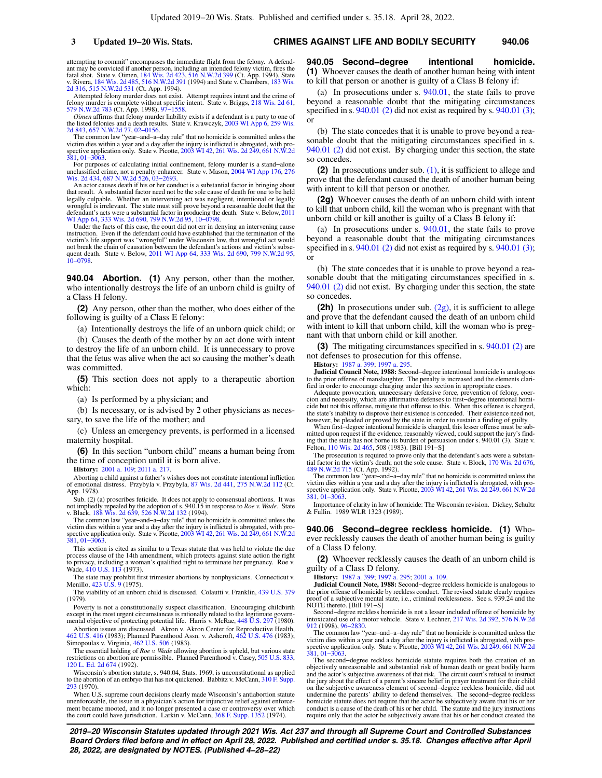attempting to commit" encompasses the immediate flight from the felony. A defendant may be convicted if another person, including an intended felony victim, fires the fatal shot. State v. Oimen, [184 Wis. 2d 423](https://docs-preview.legis.wisconsin.gov/document/courts/184%20Wis.%202d%20423), [516 N.W.2d 399](https://docs-preview.legis.wisconsin.gov/document/courts/516%20N.W.2d%20399) (Ct. App. 1994), State v. Rivera, [184 Wis. 2d 485,](https://docs-preview.legis.wisconsin.gov/document/courts/184%20Wis.%202d%20485) [516 N.W.2d 391](https://docs-preview.legis.wisconsin.gov/document/courts/516%20N.W.2d%20391) (1994) and State v. Chambers, [183 Wis.](https://docs-preview.legis.wisconsin.gov/document/courts/183%20Wis.%202d%20316) [2d 316](https://docs-preview.legis.wisconsin.gov/document/courts/183%20Wis.%202d%20316), [515 N.W.2d 531](https://docs-preview.legis.wisconsin.gov/document/courts/515%20N.W.2d%20531) (Ct. App. 1994). Attempted felony murder does not exist. Attempt requires intent and the crime of

felony murder is complete without specific intent. State v. Briggs, [218 Wis. 2d 61](https://docs-preview.legis.wisconsin.gov/document/courts/218%20Wis.%202d%2061),<br>[579 N.W.2d 783](https://docs-preview.legis.wisconsin.gov/document/courts/579%20N.W.2d%20783) (Ct. App. 1998), [97−1558](https://docs-preview.legis.wisconsin.gov/document/wicourtofappeals/97-1558).<br>*Oimen* affirms that felony murder liability exists if a defendant is a party to one of

the listed felonies and a death results. State v. Krawczyk, [2003 WI App 6,](https://docs-preview.legis.wisconsin.gov/document/courts/2003%20WI%20App%206) [259 Wis.](https://docs-preview.legis.wisconsin.gov/document/courts/259%20Wis.%202d%20843) [2d 843](https://docs-preview.legis.wisconsin.gov/document/courts/259%20Wis.%202d%20843), [657 N.W.2d 77](https://docs-preview.legis.wisconsin.gov/document/courts/657%20N.W.2d%2077), [02−0156](https://docs-preview.legis.wisconsin.gov/document/wicourtofappeals/02-0156).

The common law "year−and−a−day rule" that no homicide is committed unless the victim dies within a year and a day after the injury is inflicted is abrogated, with pro-spective application only. State v. Picotte, [2003 WI 42](https://docs-preview.legis.wisconsin.gov/document/courts/2003%20WI%2042), [261 Wis. 2d 249,](https://docs-preview.legis.wisconsin.gov/document/courts/261%20Wis.%202d%20249) [661 N.W.2d](https://docs-preview.legis.wisconsin.gov/document/courts/661%20N.W.2d%20381) [381](https://docs-preview.legis.wisconsin.gov/document/courts/661%20N.W.2d%20381), [01−3063](https://docs-preview.legis.wisconsin.gov/document/wisupremecourt/01-3063).

For purposes of calculating initial confinement, felony murder is a stand−alone unclassified crime, not a penalty enhancer. State v. Mason, [2004 WI App 176](https://docs-preview.legis.wisconsin.gov/document/courts/2004%20WI%20App%20176), [276](https://docs-preview.legis.wisconsin.gov/document/courts/276%20Wis.%202d%20434) [Wis. 2d 434,](https://docs-preview.legis.wisconsin.gov/document/courts/276%20Wis.%202d%20434) [687 N.W.2d 526](https://docs-preview.legis.wisconsin.gov/document/courts/687%20N.W.2d%20526), [03−2693](https://docs-preview.legis.wisconsin.gov/document/wicourtofappeals/03-2693).

An actor causes death if his or her conduct is a substantial factor in bringing about that result. A substantial factor need not be the sole cause of death for one to be held legally culpable. Whether an intervening act was negligent, intentional or legally wrongful is irrelevant. The state must still prove beyond a reasonable doubt that the defendant's acts were a substantial factor in producing the death. State v. Below, [2011](https://docs-preview.legis.wisconsin.gov/document/courts/2011%20WI%20App%2064) [WI App 64](https://docs-preview.legis.wisconsin.gov/document/courts/2011%20WI%20App%2064), [333 Wis. 2d 690,](https://docs-preview.legis.wisconsin.gov/document/courts/333%20Wis.%202d%20690) [799 N.W.2d 95](https://docs-preview.legis.wisconsin.gov/document/courts/799%20N.W.2d%2095), [10−0798](https://docs-preview.legis.wisconsin.gov/document/wicourtofappeals/10-0798).

Under the facts of this case, the court did not err in denying an intervening cause instruction. Even if the defendant could have established that the termination of the victim's life support was "wrongful" under Wisconsin law, that wrongful act would not break the chain of causation between the defendant's actions and victim's subse-quent death. State v. Below, [2011 WI App 64,](https://docs-preview.legis.wisconsin.gov/document/courts/2011%20WI%20App%2064) [333 Wis. 2d 690,](https://docs-preview.legis.wisconsin.gov/document/courts/333%20Wis.%202d%20690) [799 N.W.2d 95](https://docs-preview.legis.wisconsin.gov/document/courts/799%20N.W.2d%2095), [10−0798](https://docs-preview.legis.wisconsin.gov/document/wicourtofappeals/10-0798).

**940.04 Abortion. (1)** Any person, other than the mother, who intentionally destroys the life of an unborn child is guilty of a Class H felony.

**(2)** Any person, other than the mother, who does either of the following is guilty of a Class E felony:

(a) Intentionally destroys the life of an unborn quick child; or

(b) Causes the death of the mother by an act done with intent to destroy the life of an unborn child. It is unnecessary to prove that the fetus was alive when the act so causing the mother's death was committed.

**(5)** This section does not apply to a therapeutic abortion which:

(a) Is performed by a physician; and

(b) Is necessary, or is advised by 2 other physicians as necessary, to save the life of the mother; and

(c) Unless an emergency prevents, is performed in a licensed maternity hospital.

**(6)** In this section "unborn child" means a human being from the time of conception until it is born alive.

**History:** [2001 a. 109](https://docs-preview.legis.wisconsin.gov/document/acts/2001/109); [2011 a. 217.](https://docs-preview.legis.wisconsin.gov/document/acts/2011/217)

Aborting a child against a father's wishes does not constitute intentional infliction of emotional distress. Przybyla v. Przybyla, [87 Wis. 2d 441](https://docs-preview.legis.wisconsin.gov/document/courts/87%20Wis.%202d%20441), [275 N.W.2d 112](https://docs-preview.legis.wisconsin.gov/document/courts/275%20N.W.2d%20112) (Ct. App. 1978).

Sub. (2) (a) proscribes feticide. It does not apply to consensual abortions. It was not impliedly repealed by the adoption of s. 940.15 in response to *Roe v*. *Wade*. State v. Black, [188 Wis. 2d 639](https://docs-preview.legis.wisconsin.gov/document/courts/188%20Wis.%202d%20639), [526 N.W.2d 132](https://docs-preview.legis.wisconsin.gov/document/courts/526%20N.W.2d%20132) (1994).

The common law "year−and−a−day rule" that no homicide is committed unless the victim dies within a year and a day after the injury is inflicted is abrogated, with pro-spective application only. State v. Picotte, [2003 WI 42](https://docs-preview.legis.wisconsin.gov/document/courts/2003%20WI%2042), [261 Wis. 2d 249,](https://docs-preview.legis.wisconsin.gov/document/courts/261%20Wis.%202d%20249) [661 N.W.2d](https://docs-preview.legis.wisconsin.gov/document/courts/661%20N.W.2d%20381) [381](https://docs-preview.legis.wisconsin.gov/document/courts/661%20N.W.2d%20381), [01−3063](https://docs-preview.legis.wisconsin.gov/document/wisupremecourt/01-3063).

This section is cited as similar to a Texas statute that was held to violate the due process clause of the 14th amendment, which protects against state action the right to privacy, including a woman's qualified right to terminate her pregnancy. Roe v. Wade, [410 U.S. 113](https://docs-preview.legis.wisconsin.gov/document/courts/410%20U.S.%20113) (1973).

The state may prohibit first trimester abortions by nonphysicians. Connecticut v. Menillo, [423 U.S. 9](https://docs-preview.legis.wisconsin.gov/document/courts/423%20U.S.%209) (1975).

The viability of an unborn child is discussed. Colautti v. Franklin, [439 U.S. 379](https://docs-preview.legis.wisconsin.gov/document/courts/439%20U.S.%20379) (1979).

Poverty is not a constitutionally suspect classification. Encouraging childbirth<br>except in the most urgent circumstances is rationally related to the legitimate govern-<br>mental objective of protecting potential life. Harris

Abortion issues are discussed. Akron v. Akron Center for Reproductive Health, [462 U.S. 416](https://docs-preview.legis.wisconsin.gov/document/courts/462%20U.S.%20416) (1983); Planned Parenthood Assn. v. Ashcroft, [462 U.S. 476](https://docs-preview.legis.wisconsin.gov/document/courts/462%20U.S.%20476) (1983); Simopoulas v. Virginia, [462 U.S. 506](https://docs-preview.legis.wisconsin.gov/document/courts/462%20U.S.%20506) (1983).

The essential holding of *Roe v. Wade* allowing abortion is upheld, but various state restrictions on abortion are permissible. Planned Parenthood v. Casey, [505 U.S. 833](https://docs-preview.legis.wisconsin.gov/document/courts/505%20U.S.%20833), [120 L. Ed. 2d 674](https://docs-preview.legis.wisconsin.gov/document/courts/120%20L.%20Ed.%202d%20674) (1992).

Wisconsin's abortion statute, s. 940.04, Stats. 1969, is unconstitutional as applied to the abortion of an embryo that has not quickened. Babbitz v. McCann, [310 F. Supp.](https://docs-preview.legis.wisconsin.gov/document/courts/310%20F.%20Supp.%20293) [293](https://docs-preview.legis.wisconsin.gov/document/courts/310%20F.%20Supp.%20293) (1970).

When U.S. supreme court decisions clearly made Wisconsin's antiabortion statute unenforceable, the issue in a physician's action for injunctive relief against enforcement became mooted, and it no longer presented a case or controversy over which the court could have jurisdiction. Larkin v. McCann, [368 F. Supp. 1352](https://docs-preview.legis.wisconsin.gov/document/courts/368%20F.%20Supp.%201352) (1974).

**940.05 Second−degree intentional homicide. (1)** Whoever causes the death of another human being with intent to kill that person or another is guilty of a Class B felony if:

(a) In prosecutions under s. [940.01,](https://docs-preview.legis.wisconsin.gov/document/statutes/940.01) the state fails to prove beyond a reasonable doubt that the mitigating circumstances specified in s.  $940.01$  (2) did not exist as required by s.  $940.01$  (3); or

(b) The state concedes that it is unable to prove beyond a reasonable doubt that the mitigating circumstances specified in s. [940.01 \(2\)](https://docs-preview.legis.wisconsin.gov/document/statutes/940.01(2)) did not exist. By charging under this section, the state so concedes.

**(2)** In prosecutions under sub. [\(1\),](https://docs-preview.legis.wisconsin.gov/document/statutes/940.05(1)) it is sufficient to allege and prove that the defendant caused the death of another human being with intent to kill that person or another.

**(2g)** Whoever causes the death of an unborn child with intent to kill that unborn child, kill the woman who is pregnant with that unborn child or kill another is guilty of a Class B felony if:

(a) In prosecutions under s. [940.01,](https://docs-preview.legis.wisconsin.gov/document/statutes/940.01) the state fails to prove beyond a reasonable doubt that the mitigating circumstances specified in s. [940.01 \(2\)](https://docs-preview.legis.wisconsin.gov/document/statutes/940.01(2)) did not exist as required by s. [940.01 \(3\);](https://docs-preview.legis.wisconsin.gov/document/statutes/940.01(3)) or

(b) The state concedes that it is unable to prove beyond a reasonable doubt that the mitigating circumstances specified in s. [940.01 \(2\)](https://docs-preview.legis.wisconsin.gov/document/statutes/940.01(2)) did not exist. By charging under this section, the state so concedes.

**(2h)** In prosecutions under sub. [\(2g\),](https://docs-preview.legis.wisconsin.gov/document/statutes/940.05(2g)) it is sufficient to allege and prove that the defendant caused the death of an unborn child with intent to kill that unborn child, kill the woman who is pregnant with that unborn child or kill another.

**(3)** The mitigating circumstances specified in s. [940.01 \(2\)](https://docs-preview.legis.wisconsin.gov/document/statutes/940.01(2)) are not defenses to prosecution for this offense.

**History:** [1987 a. 399;](https://docs-preview.legis.wisconsin.gov/document/acts/1987/399) [1997 a. 295](https://docs-preview.legis.wisconsin.gov/document/acts/1997/295). **Judicial Council Note, 1988:** Second−degree intentional homicide is analogous to the prior offense of manslaughter. The penalty is increased and the elements clarified in order to encourage charging under this section in appropriate cases.

Adequate provocation, unnecessary defensive force, prevention of felony, coer-cion and necessity, which are affirmative defenses to first−degree intentional homicide but not this offense, mitigate that offense to this. When this offense is charged, the state's inability to disprove their existence is conceded. Their existence need not, however, be pleaded or proved by the state in order to sustain a finding of guilty.

When first−degree intentional homicide is charged, this lesser offense must be sub-mitted upon request if the evidence, reasonably viewed, could support the jury's find-<br>ing that the state has not borne its burden of persuasion under s. 940.01 (3). State v.<br>Felton, [110 Wis. 2d 465](https://docs-preview.legis.wisconsin.gov/document/courts/110%20Wis.%202d%20465), 508 (1983). [Bill 191

The prosecution is required to prove only that the defendant's acts were a substantial factor in the victim's death; not the sole cause. State v. Block, [170 Wis. 2d 676](https://docs-preview.legis.wisconsin.gov/document/courts/170%20Wis.%202d%20676), [489 N.W.2d 715](https://docs-preview.legis.wisconsin.gov/document/courts/489%20N.W.2d%20715) (Ct. App. 1992).

The common law "year−and−a−day rule" that no homicide is committed unless the victim dies within a year and a day after the injury is inflicted is abrogated, with pro-spective application only. State v. Picotte, [2003 WI 42,](https://docs-preview.legis.wisconsin.gov/document/courts/2003%20WI%2042) [261 Wis. 2d 249,](https://docs-preview.legis.wisconsin.gov/document/courts/261%20Wis.%202d%20249) [661 N.W.2d](https://docs-preview.legis.wisconsin.gov/document/courts/661%20N.W.2d%20381) [381,](https://docs-preview.legis.wisconsin.gov/document/courts/661%20N.W.2d%20381) [01−3063.](https://docs-preview.legis.wisconsin.gov/document/wisupremecourt/01-3063)

Importance of clarity in law of homicide: The Wisconsin revision. Dickey, Schultz & Fullin. 1989 WLR 1323 (1989).

**940.06 Second−degree reckless homicide. (1)** Whoever recklessly causes the death of another human being is guilty of a Class D felony.

**(2)** Whoever recklessly causes the death of an unborn child is guilty of a Class D felony.

**History:** [1987 a. 399;](https://docs-preview.legis.wisconsin.gov/document/acts/1987/399) [1997 a. 295](https://docs-preview.legis.wisconsin.gov/document/acts/1997/295); [2001 a. 109.](https://docs-preview.legis.wisconsin.gov/document/acts/2001/109)

**Judicial Council Note, 1988:** Second−degree reckless homicide is analogous to the prior offense of homicide by reckless conduct. The revised statute clearly requires proof of a subjective mental state, i.e., criminal recklessness. See s. 939.24 and the NOTE thereto. [Bill 191−S]

Second−degree reckless homicide is not a lesser included offense of homicide by intoxicated use of a motor vehicle. State v. Lechner, [217 Wis. 2d 392,](https://docs-preview.legis.wisconsin.gov/document/courts/217%20Wis.%202d%20392) [576 N.W.2d](https://docs-preview.legis.wisconsin.gov/document/courts/576%20N.W.2d%20912) [912](https://docs-preview.legis.wisconsin.gov/document/courts/576%20N.W.2d%20912) (1998), [96−2830](https://docs-preview.legis.wisconsin.gov/document/wisupremecourt/96-2830).

The common law "year−and−a−day rule" that no homicide is committed unless the victim dies within a year and a day after the injury is inflicted is abrogated, with pro-spective application only. State v. Picotte, [2003 WI 42,](https://docs-preview.legis.wisconsin.gov/document/courts/2003%20WI%2042) [261 Wis. 2d 249,](https://docs-preview.legis.wisconsin.gov/document/courts/261%20Wis.%202d%20249) [661 N.W.2d](https://docs-preview.legis.wisconsin.gov/document/courts/661%20N.W.2d%20381) [381,](https://docs-preview.legis.wisconsin.gov/document/courts/661%20N.W.2d%20381) [01−3063.](https://docs-preview.legis.wisconsin.gov/document/wisupremecourt/01-3063)

The second−degree reckless homicide statute requires both the creation of an objectively unreasonable and substantial risk of human death or great bodily harm and the actor's subjective awareness of that risk. The circuit court's refusal to instruct the jury about the effect of a parent's sincere belief in prayer treatment for their child on the subjective awareness element of second−degree reckless homicide, did not undermine the parents' ability to defend themselves. The second−degree reckless homicide statute does not require that the actor be subjectively aware that his or her conduct is a cause of the death of his or her child. The statute and the jury instructions require only that the actor be subjectively aware that his or her conduct created the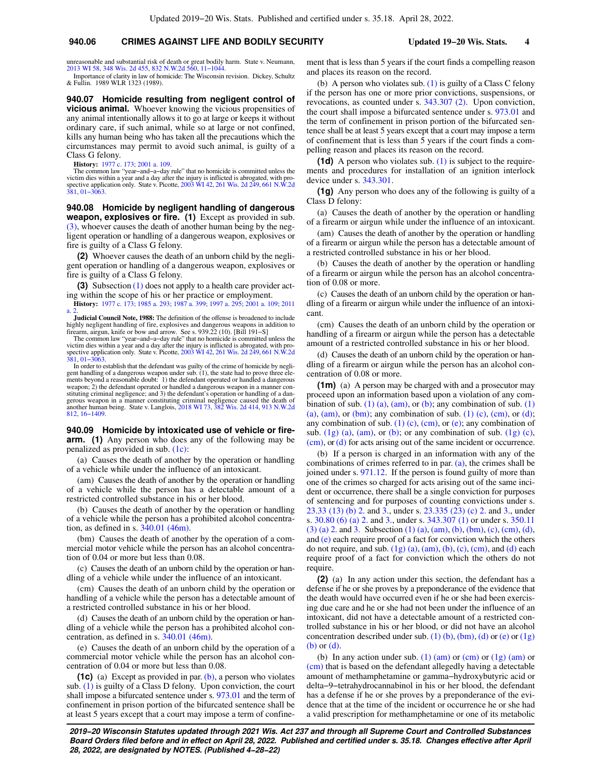## **940.06 CRIMES AGAINST LIFE AND BODILY SECURITY Updated 19−20 Wis. Stats. 4**

unreasonable and substantial risk of death or great bodily harm. State v. Neumann, [2013 WI 58](https://docs-preview.legis.wisconsin.gov/document/courts/2013%20WI%2058), [348 Wis. 2d 455,](https://docs-preview.legis.wisconsin.gov/document/courts/348%20Wis.%202d%20455) [832 N.W.2d 560,](https://docs-preview.legis.wisconsin.gov/document/courts/832%20N.W.2d%20560) [11−1044](https://docs-preview.legis.wisconsin.gov/document/wisupremecourt/11-1044).

Importance of clarity in law of homicide: The Wisconsin revision. Dickey, Schultz & Fullin. 1989 WLR 1323 (1989).

**940.07 Homicide resulting from negligent control of vicious animal.** Whoever knowing the vicious propensities of any animal intentionally allows it to go at large or keeps it without ordinary care, if such animal, while so at large or not confined, kills any human being who has taken all the precautions which the circumstances may permit to avoid such animal, is guilty of a Class G felony.

**History:** [1977 c. 173](https://docs-preview.legis.wisconsin.gov/document/acts/1977/173); [2001 a. 109](https://docs-preview.legis.wisconsin.gov/document/acts/2001/109).

The common law "year−and−a−day rule" that no homicide is committed unless the victim dies within a year and a day after the injury is inflicted is abrogated, with pro-spective application only. State v. Picotte, [2003 WI 42](https://docs-preview.legis.wisconsin.gov/document/courts/2003%20WI%2042), [261 Wis. 2d 249,](https://docs-preview.legis.wisconsin.gov/document/courts/261%20Wis.%202d%20249) [661 N.W.2d](https://docs-preview.legis.wisconsin.gov/document/courts/661%20N.W.2d%20381) [381](https://docs-preview.legis.wisconsin.gov/document/courts/661%20N.W.2d%20381), [01−3063](https://docs-preview.legis.wisconsin.gov/document/wisupremecourt/01-3063).

**940.08 Homicide by negligent handling of dangerous weapon, explosives or fire. (1)** Except as provided in sub. [\(3\)](https://docs-preview.legis.wisconsin.gov/document/statutes/940.08(3)), whoever causes the death of another human being by the negligent operation or handling of a dangerous weapon, explosives or fire is guilty of a Class G felony.

**(2)** Whoever causes the death of an unborn child by the negligent operation or handling of a dangerous weapon, explosives or fire is guilty of a Class G felony.

**(3)** Subsection [\(1\)](https://docs-preview.legis.wisconsin.gov/document/statutes/940.08(1)) does not apply to a health care provider acting within the scope of his or her practice or employment.

**History:** [1977 c. 173](https://docs-preview.legis.wisconsin.gov/document/acts/1977/173); [1985 a. 293;](https://docs-preview.legis.wisconsin.gov/document/acts/1985/293) [1987 a. 399](https://docs-preview.legis.wisconsin.gov/document/acts/1987/399); [1997 a. 295;](https://docs-preview.legis.wisconsin.gov/document/acts/1997/295) [2001 a. 109;](https://docs-preview.legis.wisconsin.gov/document/acts/2001/109) [2011](https://docs-preview.legis.wisconsin.gov/document/acts/2011/2) [a. 2.](https://docs-preview.legis.wisconsin.gov/document/acts/2011/2)

**Judicial Council Note, 1988:** The definition of the offense is broadened to include highly negligent handling of fire, explosives and dangerous weapons in addition to firearm, airgun, knife or bow and arrow. See s. 939.22 (10). [Bill 191−S]

The common law "year-and-a-day rule" that no homicide is committed unless the victim dies within a year and a day after the injury is inflicted is abrogated, with pro-<br>spective application only. State v. Picotte, 2003 WI 4 [381](https://docs-preview.legis.wisconsin.gov/document/courts/661%20N.W.2d%20381), [01−3063](https://docs-preview.legis.wisconsin.gov/document/wisupremecourt/01-3063).

In order to establish that the defendant was guilty of the crime of homicide by negli-gent handling of a dangerous weapon under sub. (1), the state had to prove three elements beyond a reasonable doubt: 1) the defendant operated or handled a dangerous weapon; 2) the defendant operated or handled a dangerous weapon in a manner constituting criminal negligence; and 3) the defendant's operation or handling of a dangerous weapon in a manner constituting criminal negligence caused the death of another human being. State v. Langlois, [2018 WI 73](https://docs-preview.legis.wisconsin.gov/document/courts/2018%20WI%2073), [382 Wis. 2d 414](https://docs-preview.legis.wisconsin.gov/document/courts/382%20Wis.%202d%20414), [913 N.W.2d](https://docs-preview.legis.wisconsin.gov/document/courts/913%20N.W.2d%20812) [812](https://docs-preview.legis.wisconsin.gov/document/courts/913%20N.W.2d%20812), [16−1409](https://docs-preview.legis.wisconsin.gov/document/wisupremecourt/16-1409).

**940.09 Homicide by intoxicated use of vehicle or firearm. (1)** Any person who does any of the following may be penalized as provided in sub. [\(1c\):](https://docs-preview.legis.wisconsin.gov/document/statutes/940.09(1c))

(a) Causes the death of another by the operation or handling of a vehicle while under the influence of an intoxicant.

(am) Causes the death of another by the operation or handling of a vehicle while the person has a detectable amount of a restricted controlled substance in his or her blood.

(b) Causes the death of another by the operation or handling of a vehicle while the person has a prohibited alcohol concentration, as defined in s. [340.01 \(46m\)](https://docs-preview.legis.wisconsin.gov/document/statutes/340.01(46m)).

(bm) Causes the death of another by the operation of a commercial motor vehicle while the person has an alcohol concentration of 0.04 or more but less than 0.08.

(c) Causes the death of an unborn child by the operation or handling of a vehicle while under the influence of an intoxicant.

(cm) Causes the death of an unborn child by the operation or handling of a vehicle while the person has a detectable amount of a restricted controlled substance in his or her blood.

(d) Causes the death of an unborn child by the operation or handling of a vehicle while the person has a prohibited alcohol concentration, as defined in s. [340.01 \(46m\)](https://docs-preview.legis.wisconsin.gov/document/statutes/340.01(46m)).

(e) Causes the death of an unborn child by the operation of a commercial motor vehicle while the person has an alcohol concentration of 0.04 or more but less than 0.08.

**(1c)** (a) Except as provided in par. [\(b\)](https://docs-preview.legis.wisconsin.gov/document/statutes/940.09(1c)(b)), a person who violates sub. [\(1\)](https://docs-preview.legis.wisconsin.gov/document/statutes/940.09(1)) is guilty of a Class D felony. Upon conviction, the court shall impose a bifurcated sentence under s. [973.01](https://docs-preview.legis.wisconsin.gov/document/statutes/973.01) and the term of confinement in prison portion of the bifurcated sentence shall be at least 5 years except that a court may impose a term of confinement that is less than 5 years if the court finds a compelling reason and places its reason on the record.

(b) A person who violates sub. [\(1\)](https://docs-preview.legis.wisconsin.gov/document/statutes/940.09(1)) is guilty of a Class C felony if the person has one or more prior convictions, suspensions, or revocations, as counted under s. [343.307 \(2\).](https://docs-preview.legis.wisconsin.gov/document/statutes/343.307(2)) Upon conviction, the court shall impose a bifurcated sentence under s. [973.01](https://docs-preview.legis.wisconsin.gov/document/statutes/973.01) and the term of confinement in prison portion of the bifurcated sentence shall be at least 5 years except that a court may impose a term of confinement that is less than  $\overline{5}$  years if the court finds a compelling reason and places its reason on the record.

**(1d)** A person who violates sub. [\(1\)](https://docs-preview.legis.wisconsin.gov/document/statutes/940.09(1)) is subject to the requirements and procedures for installation of an ignition interlock device under s. [343.301](https://docs-preview.legis.wisconsin.gov/document/statutes/343.301).

**(1g)** Any person who does any of the following is guilty of a Class D felony:

(a) Causes the death of another by the operation or handling of a firearm or airgun while under the influence of an intoxicant.

(am) Causes the death of another by the operation or handling of a firearm or airgun while the person has a detectable amount of a restricted controlled substance in his or her blood.

(b) Causes the death of another by the operation or handling of a firearm or airgun while the person has an alcohol concentration of 0.08 or more.

(c) Causes the death of an unborn child by the operation or handling of a firearm or airgun while under the influence of an intoxicant.

(cm) Causes the death of an unborn child by the operation or handling of a firearm or airgun while the person has a detectable amount of a restricted controlled substance in his or her blood.

(d) Causes the death of an unborn child by the operation or handling of a firearm or airgun while the person has an alcohol concentration of 0.08 or more.

**(1m)** (a) A person may be charged with and a prosecutor may proceed upon an information based upon a violation of any com-bination of sub. [\(1\) \(a\)](https://docs-preview.legis.wisconsin.gov/document/statutes/940.09(1)(a)),  $(am)$ , or [\(b\);](https://docs-preview.legis.wisconsin.gov/document/statutes/940.09(1)(b)) any combination of sub. [\(1\)](https://docs-preview.legis.wisconsin.gov/document/statutes/940.09(1)(a)) [\(a\)](https://docs-preview.legis.wisconsin.gov/document/statutes/940.09(1)(a)), [\(am\),](https://docs-preview.legis.wisconsin.gov/document/statutes/940.09(1)(am)) or [\(bm\)](https://docs-preview.legis.wisconsin.gov/document/statutes/940.09(1)(bm)); any combination of sub. [\(1\) \(c\),](https://docs-preview.legis.wisconsin.gov/document/statutes/940.09(1)(c)) [\(cm\)](https://docs-preview.legis.wisconsin.gov/document/statutes/940.09(1)(cm)), or [\(d\);](https://docs-preview.legis.wisconsin.gov/document/statutes/940.09(1)(d)) any combination of sub. [\(1\) \(c\),](https://docs-preview.legis.wisconsin.gov/document/statutes/940.09(1)(c)) [\(cm\)](https://docs-preview.legis.wisconsin.gov/document/statutes/940.09(1)(cm)), or [\(e\);](https://docs-preview.legis.wisconsin.gov/document/statutes/940.09(1)(e)) any combination of sub.  $(1g)$   $(a)$ ,  $(am)$ , or  $(b)$ ; or any combination of sub.  $(1g)$   $(c)$ , [\(cm\)](https://docs-preview.legis.wisconsin.gov/document/statutes/940.09(1g)(cm)), or [\(d\)](https://docs-preview.legis.wisconsin.gov/document/statutes/940.09(1g)(d)) for acts arising out of the same incident or occurrence.

(b) If a person is charged in an information with any of the combinations of crimes referred to in par. [\(a\),](https://docs-preview.legis.wisconsin.gov/document/statutes/940.09(1m)(a)) the crimes shall be joined under s. [971.12.](https://docs-preview.legis.wisconsin.gov/document/statutes/971.12) If the person is found guilty of more than one of the crimes so charged for acts arising out of the same incident or occurrence, there shall be a single conviction for purposes of sentencing and for purposes of counting convictions under s. [23.33 \(13\) \(b\) 2.](https://docs-preview.legis.wisconsin.gov/document/statutes/23.33(13)(b)2.) and [3.,](https://docs-preview.legis.wisconsin.gov/document/statutes/23.33(13)(b)3.) under s. [23.335 \(23\) \(c\) 2.](https://docs-preview.legis.wisconsin.gov/document/statutes/23.335(23)(c)2.) and [3.](https://docs-preview.legis.wisconsin.gov/document/statutes/23.335(23)(c)3.), under s. [30.80 \(6\) \(a\) 2.](https://docs-preview.legis.wisconsin.gov/document/statutes/30.80(6)(a)2.) and [3.](https://docs-preview.legis.wisconsin.gov/document/statutes/30.80(6)(a)3.), under s. [343.307 \(1\)](https://docs-preview.legis.wisconsin.gov/document/statutes/343.307(1)) or under s. [350.11](https://docs-preview.legis.wisconsin.gov/document/statutes/350.11(3)(a)2.) [\(3\) \(a\) 2.](https://docs-preview.legis.wisconsin.gov/document/statutes/350.11(3)(a)2.) and [3.](https://docs-preview.legis.wisconsin.gov/document/statutes/350.11(3)(a)3.) Subsection  $(1)$  (a),  $(am)$ ,  $(b)$ ,  $(bm)$ ,  $(c)$ ,  $(cm)$ ,  $(d)$ , and [\(e\)](https://docs-preview.legis.wisconsin.gov/document/statutes/940.09(1)(e)) each require proof of a fact for conviction which the others do not require, and sub.  $(1g)$   $(a)$ ,  $(am)$ ,  $(b)$ ,  $(c)$ ,  $(cm)$ , and  $(d)$  each require proof of a fact for conviction which the others do not require.

**(2)** (a) In any action under this section, the defendant has a defense if he or she proves by a preponderance of the evidence that the death would have occurred even if he or she had been exercising due care and he or she had not been under the influence of an intoxicant, did not have a detectable amount of a restricted controlled substance in his or her blood, or did not have an alcohol concentration described under sub.  $(1)$  (b), [\(bm\),](https://docs-preview.legis.wisconsin.gov/document/statutes/940.09(1)(bm)) [\(d\)](https://docs-preview.legis.wisconsin.gov/document/statutes/940.09(1)(d)) or [\(e\)](https://docs-preview.legis.wisconsin.gov/document/statutes/940.09(1)(e)) or  $(1g)$ [\(b\)](https://docs-preview.legis.wisconsin.gov/document/statutes/940.09(1g)(b)) or [\(d\)](https://docs-preview.legis.wisconsin.gov/document/statutes/940.09(1g)(d)).

(b) In any action under sub. [\(1\) \(am\)](https://docs-preview.legis.wisconsin.gov/document/statutes/940.09(1)(am)) or [\(cm\)](https://docs-preview.legis.wisconsin.gov/document/statutes/940.09(1)(cm)) or  $(1g)$  (am) or [\(cm\)](https://docs-preview.legis.wisconsin.gov/document/statutes/940.09(1g)(cm)) that is based on the defendant allegedly having a detectable amount of methamphetamine or gamma−hydroxybutyric acid or delta−9−tetrahydrocannabinol in his or her blood, the defendant has a defense if he or she proves by a preponderance of the evidence that at the time of the incident or occurrence he or she had a valid prescription for methamphetamine or one of its metabolic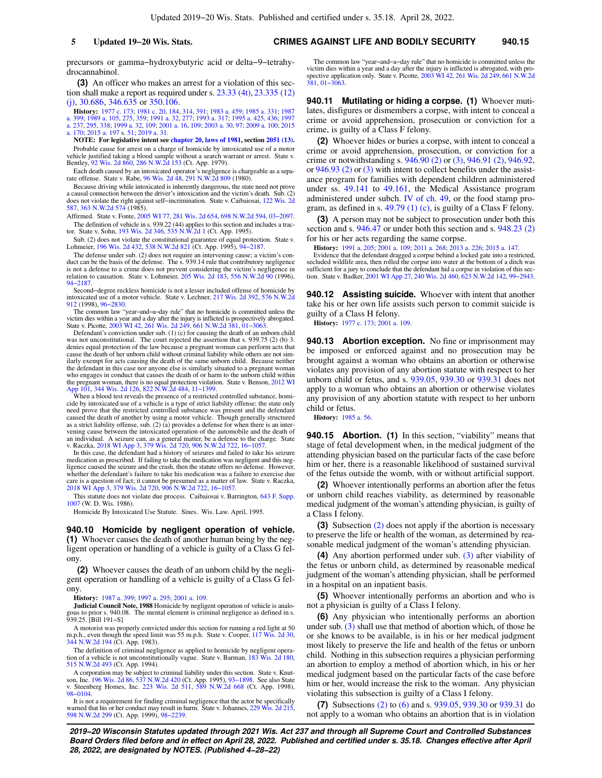precursors or gamma−hydroxybutyric acid or delta−9−tetrahydrocannabinol.

**(3)** An officer who makes an arrest for a violation of this section shall make a report as required under s. [23.33 \(4t\)](https://docs-preview.legis.wisconsin.gov/document/statutes/23.33(4t)), [23.335 \(12\)](https://docs-preview.legis.wisconsin.gov/document/statutes/23.335(12)(j)) [\(j\)](https://docs-preview.legis.wisconsin.gov/document/statutes/23.335(12)(j)), [30.686,](https://docs-preview.legis.wisconsin.gov/document/statutes/30.686) [346.635](https://docs-preview.legis.wisconsin.gov/document/statutes/346.635) or [350.106](https://docs-preview.legis.wisconsin.gov/document/statutes/350.106).

**History:** [1977 c. 173;](https://docs-preview.legis.wisconsin.gov/document/acts/1977/173) [1981 c. 20](https://docs-preview.legis.wisconsin.gov/document/acts/1981/20), [184](https://docs-preview.legis.wisconsin.gov/document/acts/1981/184), [314](https://docs-preview.legis.wisconsin.gov/document/acts/1981/314), [391;](https://docs-preview.legis.wisconsin.gov/document/acts/1981/391) [1983 a. 459](https://docs-preview.legis.wisconsin.gov/document/acts/1983/459); [1985 a. 331](https://docs-preview.legis.wisconsin.gov/document/acts/1985/331); [1987](https://docs-preview.legis.wisconsin.gov/document/acts/1987/399) [a. 399;](https://docs-preview.legis.wisconsin.gov/document/acts/1987/399) [1989 a. 105](https://docs-preview.legis.wisconsin.gov/document/acts/1989/105), [275](https://docs-preview.legis.wisconsin.gov/document/acts/1989/275), [359](https://docs-preview.legis.wisconsin.gov/document/acts/1989/359); [1991 a. 32,](https://docs-preview.legis.wisconsin.gov/document/acts/1991/32) [277;](https://docs-preview.legis.wisconsin.gov/document/acts/1991/277) [1993 a. 317](https://docs-preview.legis.wisconsin.gov/document/acts/1993/317); [1995 a. 425](https://docs-preview.legis.wisconsin.gov/document/acts/1995/425), [436](https://docs-preview.legis.wisconsin.gov/document/acts/1995/436); [1997](https://docs-preview.legis.wisconsin.gov/document/acts/1997/237) [a. 237,](https://docs-preview.legis.wisconsin.gov/document/acts/1997/237) [295](https://docs-preview.legis.wisconsin.gov/document/acts/1997/295), [338](https://docs-preview.legis.wisconsin.gov/document/acts/1997/338); [1999 a. 32,](https://docs-preview.legis.wisconsin.gov/document/acts/1999/32) [109](https://docs-preview.legis.wisconsin.gov/document/acts/1999/109); [2001 a. 16,](https://docs-preview.legis.wisconsin.gov/document/acts/2001/16) [109](https://docs-preview.legis.wisconsin.gov/document/acts/2001/109); [2003 a. 30,](https://docs-preview.legis.wisconsin.gov/document/acts/2003/30) [97;](https://docs-preview.legis.wisconsin.gov/document/acts/2003/97) [2009 a. 100;](https://docs-preview.legis.wisconsin.gov/document/acts/2009/100) [2015](https://docs-preview.legis.wisconsin.gov/document/acts/2015/170) [a. 170;](https://docs-preview.legis.wisconsin.gov/document/acts/2015/170) [2015 a. 197](https://docs-preview.legis.wisconsin.gov/document/acts/2015/197) s. [51;](https://docs-preview.legis.wisconsin.gov/document/acts/2015/197,%20s.%2051) [2019 a. 31.](https://docs-preview.legis.wisconsin.gov/document/acts/2019/31)

**NOTE: For legislative intent see [chapter 20, laws of 1981](https://docs-preview.legis.wisconsin.gov/document/acts/1981/20), section [2051 \(13\)](https://docs-preview.legis.wisconsin.gov/document/acts/1981/20,%20s.%202051).** Probable cause for arrest on a charge of homicide by intoxicated use of a motor vehicle justified taking a blood sample without a search warrant or arrest. State v. Bentley, [92 Wis. 2d 860](https://docs-preview.legis.wisconsin.gov/document/courts/92%20Wis.%202d%20860), [286 N.W.2d 153](https://docs-preview.legis.wisconsin.gov/document/courts/286%20N.W.2d%20153) (Ct. App. 1979).

Each death caused by an intoxicated operator's negligence is chargeable as a sepa-rate offense. State v. Rabe, [96 Wis. 2d 48](https://docs-preview.legis.wisconsin.gov/document/courts/96%20Wis.%202d%2048), [291 N.W.2d 809](https://docs-preview.legis.wisconsin.gov/document/courts/291%20N.W.2d%20809) (1980).

Because driving while intoxicated is inherently dangerous, the state need not prove a causal connection between the driver's intoxication and the victim's death. Sub. (2) does not violate the right against self−incrimination. State v. Caibaiosai, [122 Wis. 2d](https://docs-preview.legis.wisconsin.gov/document/courts/122%20Wis.%202d%20587) [587](https://docs-preview.legis.wisconsin.gov/document/courts/122%20Wis.%202d%20587), [363 N.W.2d 574](https://docs-preview.legis.wisconsin.gov/document/courts/363%20N.W.2d%20574) (1985).

Affirmed. State v. Fonte, [2005 WI 77,](https://docs-preview.legis.wisconsin.gov/document/courts/2005%20WI%2077) [281 Wis. 2d 654](https://docs-preview.legis.wisconsin.gov/document/courts/281%20Wis.%202d%20654), [698 N.W.2d 594](https://docs-preview.legis.wisconsin.gov/document/courts/698%20N.W.2d%20594), [03−2097](https://docs-preview.legis.wisconsin.gov/document/wisupremecourt/03-2097). The definition of vehicle in s. 939.22 (44) applies to this section and includes a tractor. State v. Sohn, [193 Wis. 2d 346,](https://docs-preview.legis.wisconsin.gov/document/courts/193%20Wis.%202d%20346) [535 N.W.2d 1](https://docs-preview.legis.wisconsin.gov/document/courts/535%20N.W.2d%201) (Ct. App. 1995).

Sub. (2) does not violate the constitutional guarantee of equal protection. State v. Lohmeier, [196 Wis. 2d 432](https://docs-preview.legis.wisconsin.gov/document/courts/196%20Wis.%202d%20432), [538 N.W.2d 821](https://docs-preview.legis.wisconsin.gov/document/courts/538%20N.W.2d%20821) (Ct. App. 1995), [94−2187](https://docs-preview.legis.wisconsin.gov/document/wicourtofappeals/94-2187).

The defense under sub. (2) does not require an intervening cause; a victim's conduct can be the basis of the defense. The s. 939.14 rule that contributory negligence is not a defense to a crime does not prevent considering the victim's negligence in relation to causation. State v. Lohmeier, [205 Wis. 2d 183,](https://docs-preview.legis.wisconsin.gov/document/courts/205%20Wis.%202d%20183) [556 N.W.2d 90](https://docs-preview.legis.wisconsin.gov/document/courts/556%20N.W.2d%2090) (1996), [94−2187](https://docs-preview.legis.wisconsin.gov/document/wisupremecourt/94-2187).

Second−degree reckless homicide is not a lesser included offense of homicide by intoxicated use of a motor vehicle. State v. Lechner, [217 Wis. 2d 392,](https://docs-preview.legis.wisconsin.gov/document/courts/217%20Wis.%202d%20392) [576 N.W.2d](https://docs-preview.legis.wisconsin.gov/document/courts/576%20N.W.2d%20912) [912](https://docs-preview.legis.wisconsin.gov/document/courts/576%20N.W.2d%20912) (1998), [96−2830.](https://docs-preview.legis.wisconsin.gov/document/wisupremecourt/96-2830)

The common law "year−and−a−day rule" that no homicide is committed unless the victim dies within a year and a day after the injury is inflicted is prospectively abrogated. State v. Picotte, [2003 WI 42,](https://docs-preview.legis.wisconsin.gov/document/courts/2003%20WI%2042) [261 Wis. 2d 249,](https://docs-preview.legis.wisconsin.gov/document/courts/261%20Wis.%202d%20249) [661 N.W.2d 381,](https://docs-preview.legis.wisconsin.gov/document/courts/661%20N.W.2d%20381) [01−3063.](https://docs-preview.legis.wisconsin.gov/document/wisupremecourt/01-3063)

Defendant's conviction under sub. (1) (c) for causing the death of an unborn child was not unconstitutional. The court rejected the assertion that s. 939.75 (2) (b) 3. denies equal protection of the law because a pregnant woman can perform acts that cause the death of her unborn child without criminal liability while others are not sim-ilarly exempt for acts causing the death of the same unborn child. Because neither the defendant in this case nor anyone else is similarly situated to a pregnant woman who engages in conduct that causes the death of or harm to the unborn child within the pregnant woman, there is no equal protection violation. State v. Benson, [2012 WI](https://docs-preview.legis.wisconsin.gov/document/courts/2012%20WI%20App%20101) [App 101](https://docs-preview.legis.wisconsin.gov/document/courts/2012%20WI%20App%20101), [344 Wis. 2d 126,](https://docs-preview.legis.wisconsin.gov/document/courts/344%20Wis.%202d%20126) [822 N.W.2d 484](https://docs-preview.legis.wisconsin.gov/document/courts/822%20N.W.2d%20484), [11−1399](https://docs-preview.legis.wisconsin.gov/document/wicourtofappeals/11-1399).

When a blood test reveals the presence of a restricted controlled substance, homicide by intoxicated use of a vehicle is a type of strict liability offense; the state only need prove that the restricted controlled substance was present and the defendant caused the death of another by using a motor vehicle. Though generally structured as a strict liability offense, sub. (2) (a) provides a defense for when there is an intervening cause between the intoxicated operation of the automobile and the death of an individual. A seizure can, as a general matter, be a defense to the charge. State v. Raczka, [2018 WI App 3](https://docs-preview.legis.wisconsin.gov/document/courts/2018%20WI%20App%203), [379 Wis. 2d 720,](https://docs-preview.legis.wisconsin.gov/document/courts/379%20Wis.%202d%20720) [906 N.W.2d 722,](https://docs-preview.legis.wisconsin.gov/document/courts/906%20N.W.2d%20722) [16−1057.](https://docs-preview.legis.wisconsin.gov/document/wicourtofappeals/16-1057)

In this case, the defendant had a history of seizures and failed to take his seizure medication as prescribed. If failing to take the medication was negligent and this negligence caused the seizure and the crash, then the statute offers no defense. However, whether the defendant's failure to take his medication was a failure to exercise due care is a question of fact; it cannot be presumed as a matter of law. State v. Raczka, [2018 WI App 3,](https://docs-preview.legis.wisconsin.gov/document/courts/2018%20WI%20App%203) [379 Wis. 2d 720](https://docs-preview.legis.wisconsin.gov/document/courts/379%20Wis.%202d%20720), [906 N.W.2d 722,](https://docs-preview.legis.wisconsin.gov/document/courts/906%20N.W.2d%20722) [16−1057.](https://docs-preview.legis.wisconsin.gov/document/wicourtofappeals/16-1057)

This statute does not violate due process. Caibaiosai v. Barrington, [643 F. Supp.](https://docs-preview.legis.wisconsin.gov/document/courts/643%20F.%20Supp.%201007) [1007](https://docs-preview.legis.wisconsin.gov/document/courts/643%20F.%20Supp.%201007) (W. D. Wis. 1986).

Homicide By Intoxicated Use Statute. Sines. Wis. Law. April, 1995.

**940.10 Homicide by negligent operation of vehicle. (1)** Whoever causes the death of another human being by the negligent operation or handling of a vehicle is guilty of a Class G felony.

**(2)** Whoever causes the death of an unborn child by the negligent operation or handling of a vehicle is guilty of a Class G felony.

**History:** [1987 a. 399](https://docs-preview.legis.wisconsin.gov/document/acts/1987/399); [1997 a. 295](https://docs-preview.legis.wisconsin.gov/document/acts/1997/295); [2001 a. 109.](https://docs-preview.legis.wisconsin.gov/document/acts/2001/109)

**Judicial Council Note, 1988** Homicide by negligent operation of vehicle is analoous to prior s. 940.08. The mental element is criminal negligence as defined in s. 939.25. [Bill 191−S]

A motorist was properly convicted under this section for running a red light at 50 m.p.h., even though the speed limit was 55 m.p.h. State v. Cooper, [117 Wis. 2d 30](https://docs-preview.legis.wisconsin.gov/document/courts/117%20Wis.%202d%2030), [344 N.W.2d 194](https://docs-preview.legis.wisconsin.gov/document/courts/344%20N.W.2d%20194) (Ct. App. 1983).

The definition of criminal negligence as applied to homicide by negligent operation of a vehicle is not unconstitutionally vague. State v. Barman, [183 Wis. 2d 180](https://docs-preview.legis.wisconsin.gov/document/courts/183%20Wis.%202d%20180), [515 N.W.2d 493](https://docs-preview.legis.wisconsin.gov/document/courts/515%20N.W.2d%20493) (Ct. App. 1994).

A corporation may be subject to criminal liability under this section. State v. Knutson, Inc. [196 Wis. 2d 86,](https://docs-preview.legis.wisconsin.gov/document/courts/196%20Wis.%202d%2086) [537 N.W.2d 420](https://docs-preview.legis.wisconsin.gov/document/courts/537%20N.W.2d%20420) (Ct. App. 1995), [93−1898.](https://docs-preview.legis.wisconsin.gov/document/wicourtofappeals/93-1898) See also State v. Steenberg Homes, Inc. [223 Wis. 2d 511,](https://docs-preview.legis.wisconsin.gov/document/courts/223%20Wis.%202d%20511) [589 N.W.2d 668](https://docs-preview.legis.wisconsin.gov/document/courts/589%20N.W.2d%20668) (Ct. App. 1998), [98−0104](https://docs-preview.legis.wisconsin.gov/document/wicourtofappeals/98-0104).

It is not a requirement for finding criminal negligence that the actor be specifically warned that his or her conduct may result in harm. State v. Johannes, [229 Wis. 2d 215](https://docs-preview.legis.wisconsin.gov/document/courts/229%20Wis.%202d%20215), [598 N.W.2d 299](https://docs-preview.legis.wisconsin.gov/document/courts/598%20N.W.2d%20299) (Ct. App. 1999), [98−2239](https://docs-preview.legis.wisconsin.gov/document/wicourtofappeals/98-2239).

The common law "year−and−a−day rule" that no homicide is committed unless the victim dies within a year and a day after the injury is inflicted is abrogated, with pro-spective application only. State v. Picotte, [2003 WI 42,](https://docs-preview.legis.wisconsin.gov/document/courts/2003%20WI%2042) [261 Wis. 2d 249,](https://docs-preview.legis.wisconsin.gov/document/courts/261%20Wis.%202d%20249) [661 N.W.2d](https://docs-preview.legis.wisconsin.gov/document/courts/661%20N.W.2d%20381) [381,](https://docs-preview.legis.wisconsin.gov/document/courts/661%20N.W.2d%20381) [01−3063.](https://docs-preview.legis.wisconsin.gov/document/wisupremecourt/01-3063)

**940.11 Mutilating or hiding a corpse. (1)** Whoever mutilates, disfigures or dismembers a corpse, with intent to conceal a crime or avoid apprehension, prosecution or conviction for a crime, is guilty of a Class F felony.

**(2)** Whoever hides or buries a corpse, with intent to conceal a crime or avoid apprehension, prosecution, or conviction for a crime or notwithstanding s. [946.90 \(2\)](https://docs-preview.legis.wisconsin.gov/document/statutes/946.90(2)) or [\(3\)](https://docs-preview.legis.wisconsin.gov/document/statutes/946.90(3)), [946.91 \(2\),](https://docs-preview.legis.wisconsin.gov/document/statutes/946.91(2)) [946.92,](https://docs-preview.legis.wisconsin.gov/document/statutes/946.92) or [946.93 \(2\)](https://docs-preview.legis.wisconsin.gov/document/statutes/946.93(2)) or [\(3\)](https://docs-preview.legis.wisconsin.gov/document/statutes/946.93(3)) with intent to collect benefits under the assistance program for families with dependent children administered under ss. [49.141](https://docs-preview.legis.wisconsin.gov/document/statutes/49.141) to [49.161](https://docs-preview.legis.wisconsin.gov/document/statutes/49.161), the Medical Assistance program administered under subch. [IV of ch. 49](https://docs-preview.legis.wisconsin.gov/document/statutes/subch.%20IV%20of%20ch.%2049), or the food stamp program, as defined in s. [49.79 \(1\) \(c\)](https://docs-preview.legis.wisconsin.gov/document/statutes/49.79(1)(c)), is guilty of a Class F felony.

**(3)** A person may not be subject to prosecution under both this section and s. [946.47](https://docs-preview.legis.wisconsin.gov/document/statutes/946.47) or under both this section and s. [948.23 \(2\)](https://docs-preview.legis.wisconsin.gov/document/statutes/948.23(2)) for his or her acts regarding the same corpse.

**History:** [1991 a. 205;](https://docs-preview.legis.wisconsin.gov/document/acts/1991/205) [2001 a. 109](https://docs-preview.legis.wisconsin.gov/document/acts/2001/109); [2011 a. 268;](https://docs-preview.legis.wisconsin.gov/document/acts/2011/268) [2013 a. 226](https://docs-preview.legis.wisconsin.gov/document/acts/2013/226); [2015 a. 147](https://docs-preview.legis.wisconsin.gov/document/acts/2015/147).

Evidence that the defendant dragged a corpse behind a locked gate into a restricted, secluded wildlife area, then rolled the corpse into water at the bottom of a ditch was sufficient for a jury to conclude that the defendant hid a corpse in violation of this section. State v. Badker, [2001 WI App 27](https://docs-preview.legis.wisconsin.gov/document/courts/2001%20WI%20App%2027), [240 Wis. 2d 460](https://docs-preview.legis.wisconsin.gov/document/courts/240%20Wis.%202d%20460), [623 N.W.2d 142,](https://docs-preview.legis.wisconsin.gov/document/courts/623%20N.W.2d%20142) [99−2943](https://docs-preview.legis.wisconsin.gov/document/wicourtofappeals/99-2943).

**940.12 Assisting suicide.** Whoever with intent that another take his or her own life assists such person to commit suicide is guilty of a Class H felony. **History:** [1977 c. 173;](https://docs-preview.legis.wisconsin.gov/document/acts/1977/173) [2001 a. 109](https://docs-preview.legis.wisconsin.gov/document/acts/2001/109).

**940.13 Abortion exception.** No fine or imprisonment may be imposed or enforced against and no prosecution may be brought against a woman who obtains an abortion or otherwise violates any provision of any abortion statute with respect to her unborn child or fetus, and s. [939.05,](https://docs-preview.legis.wisconsin.gov/document/statutes/939.05) [939.30](https://docs-preview.legis.wisconsin.gov/document/statutes/939.30) or [939.31](https://docs-preview.legis.wisconsin.gov/document/statutes/939.31) does not apply to a woman who obtains an abortion or otherwise violates any provision of any abortion statute with respect to her unborn child or fetus.

**History:** [1985 a. 56](https://docs-preview.legis.wisconsin.gov/document/acts/1985/56).

**940.15 Abortion. (1)** In this section, "viability" means that stage of fetal development when, in the medical judgment of the attending physician based on the particular facts of the case before him or her, there is a reasonable likelihood of sustained survival of the fetus outside the womb, with or without artificial support.

**(2)** Whoever intentionally performs an abortion after the fetus or unborn child reaches viability, as determined by reasonable medical judgment of the woman's attending physician, is guilty of a Class I felony.

**(3)** Subsection [\(2\)](https://docs-preview.legis.wisconsin.gov/document/statutes/940.15(2)) does not apply if the abortion is necessary to preserve the life or health of the woman, as determined by reasonable medical judgment of the woman's attending physician.

**(4)** Any abortion performed under sub. [\(3\)](https://docs-preview.legis.wisconsin.gov/document/statutes/940.15(3)) after viability of the fetus or unborn child, as determined by reasonable medical judgment of the woman's attending physician, shall be performed in a hospital on an inpatient basis.

**(5)** Whoever intentionally performs an abortion and who is not a physician is guilty of a Class I felony.

**(6)** Any physician who intentionally performs an abortion under sub. [\(3\)](https://docs-preview.legis.wisconsin.gov/document/statutes/940.15(3)) shall use that method of abortion which, of those he or she knows to be available, is in his or her medical judgment most likely to preserve the life and health of the fetus or unborn child. Nothing in this subsection requires a physician performing an abortion to employ a method of abortion which, in his or her medical judgment based on the particular facts of the case before him or her, would increase the risk to the woman. Any physician violating this subsection is guilty of a Class I felony.

**(7)** Subsections [\(2\)](https://docs-preview.legis.wisconsin.gov/document/statutes/940.15(2)) to [\(6\)](https://docs-preview.legis.wisconsin.gov/document/statutes/940.15(6)) and s. [939.05,](https://docs-preview.legis.wisconsin.gov/document/statutes/939.05) [939.30](https://docs-preview.legis.wisconsin.gov/document/statutes/939.30) or [939.31](https://docs-preview.legis.wisconsin.gov/document/statutes/939.31) do not apply to a woman who obtains an abortion that is in violation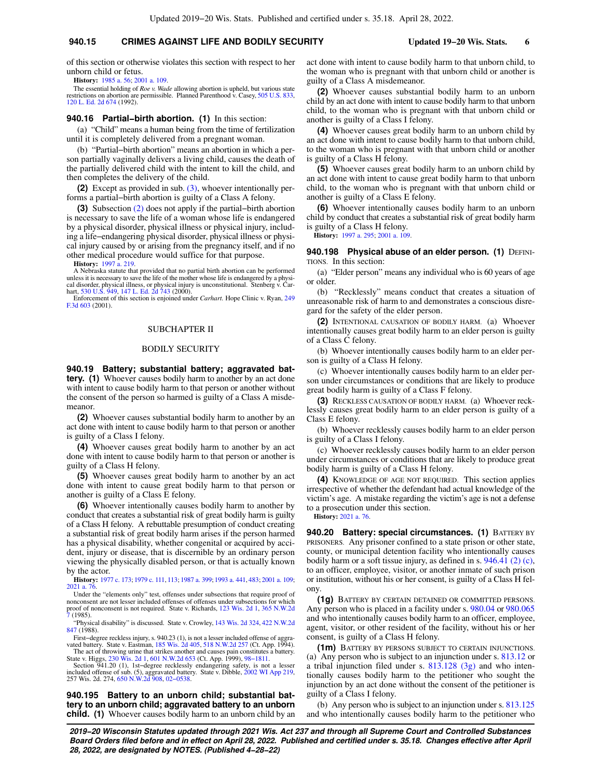## **940.15 CRIMES AGAINST LIFE AND BODILY SECURITY Updated 19−20 Wis. Stats. 6**

**History:** [1985 a. 56;](https://docs-preview.legis.wisconsin.gov/document/acts/1985/56) [2001 a. 109.](https://docs-preview.legis.wisconsin.gov/document/acts/2001/109)

The essential holding of *Roe v. Wade* allowing abortion is upheld, but various state restrictions on abortion are permissible. Planned Parenthood v. Casey, [505 U.S. 833](https://docs-preview.legis.wisconsin.gov/document/courts/505%20U.S.%20833), [120 L. Ed. 2d 674](https://docs-preview.legis.wisconsin.gov/document/courts/120%20L.%20Ed.%202d%20674) (1992).

#### **940.16 Partial−birth abortion. (1)** In this section:

(a) "Child" means a human being from the time of fertilization until it is completely delivered from a pregnant woman.

(b) "Partial−birth abortion" means an abortion in which a person partially vaginally delivers a living child, causes the death of the partially delivered child with the intent to kill the child, and then completes the delivery of the child.

**(2)** Except as provided in sub. [\(3\),](https://docs-preview.legis.wisconsin.gov/document/statutes/940.16(3)) whoever intentionally performs a partial−birth abortion is guilty of a Class A felony.

**(3)** Subsection [\(2\)](https://docs-preview.legis.wisconsin.gov/document/statutes/940.16(2)) does not apply if the partial−birth abortion is necessary to save the life of a woman whose life is endangered by a physical disorder, physical illness or physical injury, including a life−endangering physical disorder, physical illness or physical injury caused by or arising from the pregnancy itself, and if no other medical procedure would suffice for that purpose.

**History:** [1997 a. 219](https://docs-preview.legis.wisconsin.gov/document/acts/1997/219).

A Nebraska statute that provided that no partial birth abortion can be performed unless it is necessary to save the life of the mother whose life is endangered by a physical disorder, physical illness, or physical injury is unconstitutional. Stenberg v. Car-hart, [530 U.S. 949](https://docs-preview.legis.wisconsin.gov/document/courts/530%20U.S.%20949), [147 L. Ed. 2d 743](https://docs-preview.legis.wisconsin.gov/document/courts/147%20L.%20Ed.%202d%20743) (2000). Enforcement of this section is enjoined under *Carhart.* Hope Clinic v. Ryan, [249](https://docs-preview.legis.wisconsin.gov/document/courts/249%20F.3d%20603)

[F.3d 603](https://docs-preview.legis.wisconsin.gov/document/courts/249%20F.3d%20603) (2001).

#### SUBCHAPTER II

#### BODILY SECURITY

**940.19 Battery; substantial battery; aggravated battery. (1)** Whoever causes bodily harm to another by an act done with intent to cause bodily harm to that person or another without the consent of the person so harmed is guilty of a Class A misdemeanor.

**(2)** Whoever causes substantial bodily harm to another by an act done with intent to cause bodily harm to that person or another is guilty of a Class I felony.

**(4)** Whoever causes great bodily harm to another by an act done with intent to cause bodily harm to that person or another is guilty of a Class H felony.

**(5)** Whoever causes great bodily harm to another by an act done with intent to cause great bodily harm to that person or another is guilty of a Class E felony.

**(6)** Whoever intentionally causes bodily harm to another by conduct that creates a substantial risk of great bodily harm is guilty of a Class H felony. A rebuttable presumption of conduct creating a substantial risk of great bodily harm arises if the person harmed has a physical disability, whether congenital or acquired by accident, injury or disease, that is discernible by an ordinary person viewing the physically disabled person, or that is actually known by the actor.

**History:** [1977 c. 173;](https://docs-preview.legis.wisconsin.gov/document/acts/1977/173) [1979 c. 111,](https://docs-preview.legis.wisconsin.gov/document/acts/1979/111) [113;](https://docs-preview.legis.wisconsin.gov/document/acts/1979/113) [1987 a. 399](https://docs-preview.legis.wisconsin.gov/document/acts/1987/399); [1993 a. 441](https://docs-preview.legis.wisconsin.gov/document/acts/1993/441), [483](https://docs-preview.legis.wisconsin.gov/document/acts/1993/483); [2001 a. 109](https://docs-preview.legis.wisconsin.gov/document/acts/2001/109); [2021 a. 76](https://docs-preview.legis.wisconsin.gov/document/acts/2021/76).

Under the "elements only" test, offenses under subsections that require proof of nonconsent are not lesser included offenses of offenses under subsections for which poof of nonconsent is not required. State v. Richards, [123 Wis. 2d 1](https://docs-preview.legis.wisconsin.gov/document/courts/123%20Wis.%202d%201), [365 N.W.2d](https://docs-preview.legis.wisconsin.gov/document/courts/365%20N.W.2d%207) proof of 1<br>[7](https://docs-preview.legis.wisconsin.gov/document/courts/365%20N.W.2d%207) (1985).

"Physical disability" is discussed. State v. Crowley, [143 Wis. 2d 324,](https://docs-preview.legis.wisconsin.gov/document/courts/143%20Wis.%202d%20324) [422 N.W.2d](https://docs-preview.legis.wisconsin.gov/document/courts/422%20N.W.2d%20847) [847](https://docs-preview.legis.wisconsin.gov/document/courts/422%20N.W.2d%20847) (1988).

First−degree reckless injury, s. 940.23 (1), is not a lesser included offense of aggra-vated battery. State v. Eastman, [185 Wis. 2d 405](https://docs-preview.legis.wisconsin.gov/document/courts/185%20Wis.%202d%20405), [518 N.W.2d 257](https://docs-preview.legis.wisconsin.gov/document/courts/518%20N.W.2d%20257) (Ct. App. 1994). The act of throwing urine that strikes another and causes pain constitutes a battery.<br>tate v. Higgs, 230 Wis. 2d 1, 601 N.W.2d 653 (Ct. App. 1999), 98-1811.

State v. Higgs, [230 Wis. 2d 1](https://docs-preview.legis.wisconsin.gov/document/courts/230%20Wis.%202d%201), [601 N.W.2d 653](https://docs-preview.legis.wisconsin.gov/document/courts/601%20N.W.2d%20653) (Ct. App. 1999), [98−1811.](https://docs-preview.legis.wisconsin.gov/document/wicourtofappeals/98-1811) Section 941.20 (1), 1st−degree recklessly endangering safety, is not a lesser included offense of sub. (5), aggravated battery. State v. Dibble, [2002 WI App 219](https://docs-preview.legis.wisconsin.gov/document/courts/2002%20WI%20App%20219), 257 Wis. 2d. 274, [650 N.W.2d 908](https://docs-preview.legis.wisconsin.gov/document/courts/650%20N.W.2d%20908), [02−0538](https://docs-preview.legis.wisconsin.gov/document/wicourtofappeals/02-0538).

**940.195 Battery to an unborn child; substantial battery to an unborn child; aggravated battery to an unborn child. (1)** Whoever causes bodily harm to an unborn child by an act done with intent to cause bodily harm to that unborn child, to the woman who is pregnant with that unborn child or another is guilty of a Class A misdemeanor.

**(2)** Whoever causes substantial bodily harm to an unborn child by an act done with intent to cause bodily harm to that unborn child, to the woman who is pregnant with that unborn child or another is guilty of a Class I felony.

**(4)** Whoever causes great bodily harm to an unborn child by an act done with intent to cause bodily harm to that unborn child, to the woman who is pregnant with that unborn child or another is guilty of a Class H felony.

**(5)** Whoever causes great bodily harm to an unborn child by an act done with intent to cause great bodily harm to that unborn child, to the woman who is pregnant with that unborn child or another is guilty of a Class E felony.

**(6)** Whoever intentionally causes bodily harm to an unborn child by conduct that creates a substantial risk of great bodily harm is guilty of a Class H felony.

**History:** [1997 a. 295;](https://docs-preview.legis.wisconsin.gov/document/acts/1997/295) [2001 a. 109](https://docs-preview.legis.wisconsin.gov/document/acts/2001/109).

940.198 Physical abuse of an elder person. (1) DEFINI-TIONS. In this section:

(a) "Elder person" means any individual who is 60 years of age or older.

(b) "Recklessly" means conduct that creates a situation of unreasonable risk of harm to and demonstrates a conscious disregard for the safety of the elder person.

**(2)** INTENTIONAL CAUSATION OF BODILY HARM. (a) Whoever intentionally causes great bodily harm to an elder person is guilty of a Class C felony.

(b) Whoever intentionally causes bodily harm to an elder person is guilty of a Class H felony.

(c) Whoever intentionally causes bodily harm to an elder person under circumstances or conditions that are likely to produce great bodily harm is guilty of a Class F felony.

**(3)** RECKLESS CAUSATION OF BODILY HARM. (a) Whoever recklessly causes great bodily harm to an elder person is guilty of a Class E felony.

(b) Whoever recklessly causes bodily harm to an elder person is guilty of a Class I felony.

(c) Whoever recklessly causes bodily harm to an elder person under circumstances or conditions that are likely to produce great bodily harm is guilty of a Class H felony.

**(4)** KNOWLEDGE OF AGE NOT REQUIRED. This section applies irrespective of whether the defendant had actual knowledge of the victim's age. A mistake regarding the victim's age is not a defense to a prosecution under this section.

**History:** [2021 a. 76](https://docs-preview.legis.wisconsin.gov/document/acts/2021/76).

**940.20 Battery: special circumstances. (1) BATTERY BY** PRISONERS. Any prisoner confined to a state prison or other state, county, or municipal detention facility who intentionally causes bodily harm or a soft tissue injury, as defined in s. [946.41 \(2\) \(c\),](https://docs-preview.legis.wisconsin.gov/document/statutes/946.41(2)(c)) to an officer, employee, visitor, or another inmate of such prison or institution, without his or her consent, is guilty of a Class H felony.

**(1g)** BATTERY BY CERTAIN DETAINED OR COMMITTED PERSONS. Any person who is placed in a facility under s. [980.04](https://docs-preview.legis.wisconsin.gov/document/statutes/980.04) or [980.065](https://docs-preview.legis.wisconsin.gov/document/statutes/980.065) and who intentionally causes bodily harm to an officer, employee, agent, visitor, or other resident of the facility, without his or her consent, is guilty of a Class H felony.

**(1m)** BATTERY BY PERSONS SUBJECT TO CERTAIN INJUNCTIONS. (a) Any person who is subject to an injunction under s. [813.12](https://docs-preview.legis.wisconsin.gov/document/statutes/813.12) or a tribal injunction filed under s. [813.128 \(3g\)](https://docs-preview.legis.wisconsin.gov/document/statutes/813.128(3g)) and who intentionally causes bodily harm to the petitioner who sought the injunction by an act done without the consent of the petitioner is guilty of a Class I felony.

(b) Any person who is subject to an injunction under s. [813.125](https://docs-preview.legis.wisconsin.gov/document/statutes/813.125) and who intentionally causes bodily harm to the petitioner who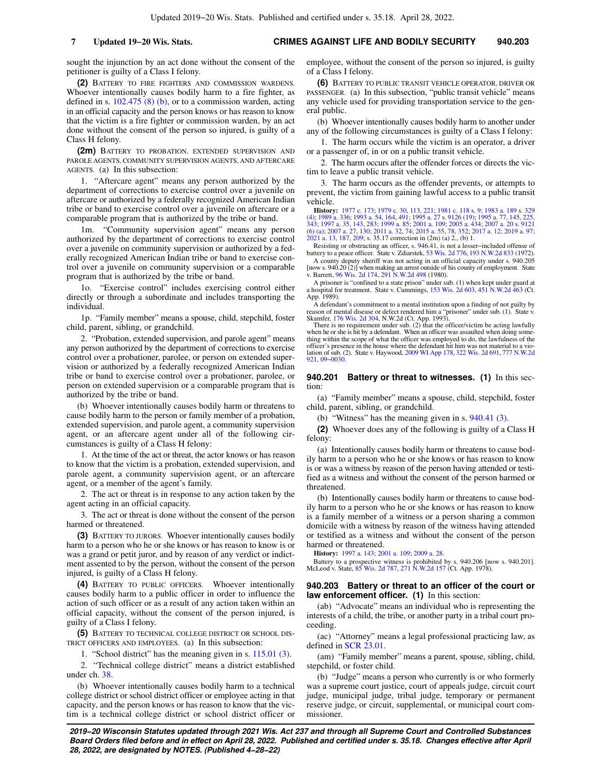sought the injunction by an act done without the consent of the petitioner is guilty of a Class I felony.

**(2)** BATTERY TO FIRE FIGHTERS AND COMMISSION WARDENS. Whoever intentionally causes bodily harm to a fire fighter, as defined in s.  $102.475$  (8) (b), or to a commission warden, acting in an official capacity and the person knows or has reason to know that the victim is a fire fighter or commission warden, by an act done without the consent of the person so injured, is guilty of a Class H felony.

**(2m)** BATTERY TO PROBATION, EXTENDED SUPERVISION AND PAROLE AGENTS, COMMUNITY SUPERVISION AGENTS, AND AFTERCARE AGENTS. (a) In this subsection:

1. "Aftercare agent" means any person authorized by the department of corrections to exercise control over a juvenile on aftercare or authorized by a federally recognized American Indian tribe or band to exercise control over a juvenile on aftercare or a comparable program that is authorized by the tribe or band.

1m. "Community supervision agent" means any person authorized by the department of corrections to exercise control over a juvenile on community supervision or authorized by a federally recognized American Indian tribe or band to exercise control over a juvenile on community supervision or a comparable program that is authorized by the tribe or band.

1o. "Exercise control" includes exercising control either directly or through a subordinate and includes transporting the individual.

1p. "Family member" means a spouse, child, stepchild, foster child, parent, sibling, or grandchild.

2. "Probation, extended supervision, and parole agent" means any person authorized by the department of corrections to exercise control over a probationer, parolee, or person on extended supervision or authorized by a federally recognized American Indian tribe or band to exercise control over a probationer, parolee, or person on extended supervision or a comparable program that is authorized by the tribe or band.

(b) Whoever intentionally causes bodily harm or threatens to cause bodily harm to the person or family member of a probation, extended supervision, and parole agent, a community supervision agent, or an aftercare agent under all of the following circumstances is guilty of a Class H felony:

1. At the time of the act or threat, the actor knows or has reason to know that the victim is a probation, extended supervision, and parole agent, a community supervision agent, or an aftercare agent, or a member of the agent's family.

2. The act or threat is in response to any action taken by the agent acting in an official capacity.

3. The act or threat is done without the consent of the person harmed or threatened.

**(3)** BATTERY TO JURORS. Whoever intentionally causes bodily harm to a person who he or she knows or has reason to know is or was a grand or petit juror, and by reason of any verdict or indictment assented to by the person, without the consent of the person injured, is guilty of a Class H felony.

**(4)** BATTERY TO PUBLIC OFFICERS. Whoever intentionally causes bodily harm to a public officer in order to influence the action of such officer or as a result of any action taken within an official capacity, without the consent of the person injured, is guilty of a Class I felony.

**(5)** BATTERY TO TECHNICAL COLLEGE DISTRICT OR SCHOOL DIS-TRICT OFFICERS AND EMPLOYEES. (a) In this subsection:

1. "School district" has the meaning given in s. [115.01 \(3\).](https://docs-preview.legis.wisconsin.gov/document/statutes/115.01(3))

2. "Technical college district" means a district established under ch. [38.](https://docs-preview.legis.wisconsin.gov/document/statutes/ch.%2038)

(b) Whoever intentionally causes bodily harm to a technical college district or school district officer or employee acting in that capacity, and the person knows or has reason to know that the victim is a technical college district or school district officer or employee, without the consent of the person so injured, is guilty of a Class I felony.

**(6)** BATTERY TO PUBLIC TRANSIT VEHICLE OPERATOR, DRIVER OR PASSENGER. (a) In this subsection, "public transit vehicle" means any vehicle used for providing transportation service to the general public.

(b) Whoever intentionally causes bodily harm to another under any of the following circumstances is guilty of a Class I felony:

1. The harm occurs while the victim is an operator, a driver or a passenger of, in or on a public transit vehicle.

2. The harm occurs after the offender forces or directs the victim to leave a public transit vehicle.

3. The harm occurs as the offender prevents, or attempts to prevent, the victim from gaining lawful access to a public transit vehicle.

**History:** [1977 c. 173;](https://docs-preview.legis.wisconsin.gov/document/acts/1977/173) [1979 c. 30,](https://docs-preview.legis.wisconsin.gov/document/acts/1979/30) [113](https://docs-preview.legis.wisconsin.gov/document/acts/1979/113), [221](https://docs-preview.legis.wisconsin.gov/document/acts/1979/221); [1981 c. 118](https://docs-preview.legis.wisconsin.gov/document/acts/1981/118) s. [9](https://docs-preview.legis.wisconsin.gov/document/acts/1981/118,%20s.%209); [1983 a. 189](https://docs-preview.legis.wisconsin.gov/document/acts/1983/189) s. [329](https://docs-preview.legis.wisconsin.gov/document/acts/1983/189,%20s.%20329) [\(4\)](https://docs-preview.legis.wisconsin.gov/document/acts/1983/189,%20s.%20329); [1989 a. 336;](https://docs-preview.legis.wisconsin.gov/document/acts/1989/336) [1993 a. 54](https://docs-preview.legis.wisconsin.gov/document/acts/1993/54), [164](https://docs-preview.legis.wisconsin.gov/document/acts/1993/164), [491;](https://docs-preview.legis.wisconsin.gov/document/acts/1993/491) [1995 a. 27](https://docs-preview.legis.wisconsin.gov/document/acts/1995/27) s. [9126 \(19\);](https://docs-preview.legis.wisconsin.gov/document/acts/1995/27,%20s.%209126) [1995 a. 77,](https://docs-preview.legis.wisconsin.gov/document/acts/1995/77) [145,](https://docs-preview.legis.wisconsin.gov/document/acts/1995/145) [225](https://docs-preview.legis.wisconsin.gov/document/acts/1995/225), [343;](https://docs-preview.legis.wisconsin.gov/document/acts/1995/343) [1997 a. 35,](https://docs-preview.legis.wisconsin.gov/document/acts/1997/35) [143,](https://docs-preview.legis.wisconsin.gov/document/acts/1997/143) [283;](https://docs-preview.legis.wisconsin.gov/document/acts/1997/283) [1999 a. 85;](https://docs-preview.legis.wisconsin.gov/document/acts/1999/85) [2001 a. 109](https://docs-preview.legis.wisconsin.gov/document/acts/2001/109); [2005 a. 434](https://docs-preview.legis.wisconsin.gov/document/acts/2005/434); [2007 a. 20](https://docs-preview.legis.wisconsin.gov/document/acts/2007/20) s. [9121](https://docs-preview.legis.wisconsin.gov/document/acts/2007/20,%20s.%209121) [\(6\) \(a\);](https://docs-preview.legis.wisconsin.gov/document/acts/2007/20,%20s.%209121) [2007 a. 27](https://docs-preview.legis.wisconsin.gov/document/acts/2007/27), [130](https://docs-preview.legis.wisconsin.gov/document/acts/2007/130); [2011 a. 32,](https://docs-preview.legis.wisconsin.gov/document/acts/2011/32) [74](https://docs-preview.legis.wisconsin.gov/document/acts/2011/74); [2015 a. 55](https://docs-preview.legis.wisconsin.gov/document/acts/2015/55), [78,](https://docs-preview.legis.wisconsin.gov/document/acts/2015/78) [352;](https://docs-preview.legis.wisconsin.gov/document/acts/2015/352) [2017 a. 12](https://docs-preview.legis.wisconsin.gov/document/acts/2017/12); [2019 a. 97](https://docs-preview.legis.wisconsin.gov/document/acts/2019/97); [2021 a. 13](https://docs-preview.legis.wisconsin.gov/document/acts/2021/13), [187,](https://docs-preview.legis.wisconsin.gov/document/acts/2021/187) [209;](https://docs-preview.legis.wisconsin.gov/document/acts/2021/209) s. 35.17 correction in (2m) (a) 2., (b) 1.

Resisting or obstructing an officer, s. 946.41, is not a lesser−included offense of battery to a peace officer. State v. Zdiarstek, [53 Wis. 2d 776,](https://docs-preview.legis.wisconsin.gov/document/courts/53%20Wis.%202d%20776) [193 N.W.2d 833](https://docs-preview.legis.wisconsin.gov/document/courts/193%20N.W.2d%20833) (1972).

A county deputy sheriff was not acting in an official capacity under s. 940.205 [now s. 940.20 (2)] when making an arrest outside of his county of employment. State v. Barrett, [96 Wis. 2d 174](https://docs-preview.legis.wisconsin.gov/document/courts/96%20Wis.%202d%20174), [291 N.W.2d 498](https://docs-preview.legis.wisconsin.gov/document/courts/291%20N.W.2d%20498) (1980).

A prisoner is "confined to a state prison" under sub. (1) when kept under guard at a hospital for treatment. State v. Cummings, [153 Wis. 2d 603,](https://docs-preview.legis.wisconsin.gov/document/courts/153%20Wis.%202d%20603) [451 N.W.2d 463](https://docs-preview.legis.wisconsin.gov/document/courts/451%20N.W.2d%20463) (Ct. App. 1989).

A defendant's commitment to a mental institution upon a finding of not guilty by reason of mental disease or defect rendered him a "prisoner" under sub. (1). State v. Skamfer, [176 Wis. 2d 304](https://docs-preview.legis.wisconsin.gov/document/courts/176%20Wis.%202d%20304), N.W.2d (Ct. App. 1993).

There is no requirement under sub. (2) that the officer/victim be acting lawfully when he or she is hit by a defendant. When an officer was assaulted when doing something within the scope of what the officer was employed to do, the lawfulness of the officer's presence in the house where the defendant hit him was not material to a vio-lation of sub. (2). State v. Haywood, [2009 WI App 178](https://docs-preview.legis.wisconsin.gov/document/courts/2009%20WI%20App%20178), [322 Wis. 2d 691](https://docs-preview.legis.wisconsin.gov/document/courts/322%20Wis.%202d%20691), [777 N.W.2d](https://docs-preview.legis.wisconsin.gov/document/courts/777%20N.W.2d%20921) [921,](https://docs-preview.legis.wisconsin.gov/document/courts/777%20N.W.2d%20921) [09−0030.](https://docs-preview.legis.wisconsin.gov/document/wicourtofappeals/09-0030)

**940.201 Battery or threat to witnesses. (1)** In this section:

(a) "Family member" means a spouse, child, stepchild, foster child, parent, sibling, or grandchild.

(b) "Witness" has the meaning given in s. [940.41 \(3\).](https://docs-preview.legis.wisconsin.gov/document/statutes/940.41(3))

**(2)** Whoever does any of the following is guilty of a Class H felony:

(a) Intentionally causes bodily harm or threatens to cause bodily harm to a person who he or she knows or has reason to know is or was a witness by reason of the person having attended or testified as a witness and without the consent of the person harmed or threatened.

(b) Intentionally causes bodily harm or threatens to cause bodily harm to a person who he or she knows or has reason to know is a family member of a witness or a person sharing a common domicile with a witness by reason of the witness having attended or testified as a witness and without the consent of the person harmed or threatened.

**History:** [1997 a. 143;](https://docs-preview.legis.wisconsin.gov/document/acts/1997/143) [2001 a. 109](https://docs-preview.legis.wisconsin.gov/document/acts/2001/109); [2009 a. 28](https://docs-preview.legis.wisconsin.gov/document/acts/2009/28).

Battery to a prospective witness is prohibited by s. 940.206 [now s. 940.201].<br>McLeod v. State, [85 Wis. 2d 787](https://docs-preview.legis.wisconsin.gov/document/courts/85%20Wis.%202d%20787), [271 N.W.2d 157](https://docs-preview.legis.wisconsin.gov/document/courts/271%20N.W.2d%20157) (Ct. App. 1978).

#### **940.203 Battery or threat to an officer of the court or law enforcement officer. (1)** In this section:

(ab) "Advocate" means an individual who is representing the interests of a child, the tribe, or another party in a tribal court proceeding.

(ac) "Attorney" means a legal professional practicing law, as defined in [SCR 23.01](https://docs-preview.legis.wisconsin.gov/document/scr/23.01).

(am) "Family member" means a parent, spouse, sibling, child, stepchild, or foster child.

(b) "Judge" means a person who currently is or who formerly was a supreme court justice, court of appeals judge, circuit court judge, municipal judge, tribal judge, temporary or permanent reserve judge, or circuit, supplemental, or municipal court commissioner.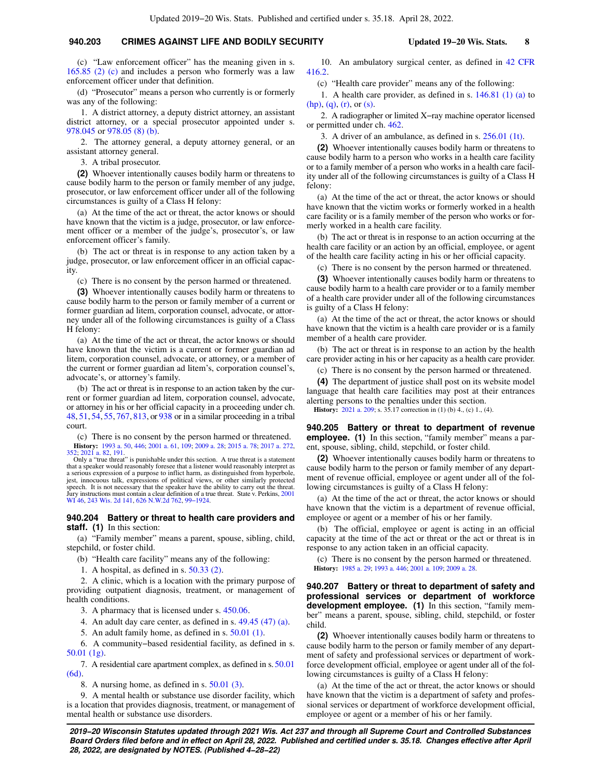## **940.203 CRIMES AGAINST LIFE AND BODILY SECURITY Updated 19−20 Wis. Stats. 8**

(c) "Law enforcement officer" has the meaning given in s. [165.85 \(2\) \(c\)](https://docs-preview.legis.wisconsin.gov/document/statutes/165.85(2)(c)) and includes a person who formerly was a law enforcement officer under that definition.

(d) "Prosecutor" means a person who currently is or formerly was any of the following:

1. A district attorney, a deputy district attorney, an assistant district attorney, or a special prosecutor appointed under s. [978.045](https://docs-preview.legis.wisconsin.gov/document/statutes/978.045) or [978.05 \(8\) \(b\).](https://docs-preview.legis.wisconsin.gov/document/statutes/978.05(8)(b))

2. The attorney general, a deputy attorney general, or an assistant attorney general.

3. A tribal prosecutor.

**(2)** Whoever intentionally causes bodily harm or threatens to cause bodily harm to the person or family member of any judge, prosecutor, or law enforcement officer under all of the following circumstances is guilty of a Class H felony:

(a) At the time of the act or threat, the actor knows or should have known that the victim is a judge, prosecutor, or law enforcement officer or a member of the judge's, prosecutor's, or law enforcement officer's family.

(b) The act or threat is in response to any action taken by a judge, prosecutor, or law enforcement officer in an official capacity.

(c) There is no consent by the person harmed or threatened.

**(3)** Whoever intentionally causes bodily harm or threatens to cause bodily harm to the person or family member of a current or former guardian ad litem, corporation counsel, advocate, or attorney under all of the following circumstances is guilty of a Class H felony:

(a) At the time of the act or threat, the actor knows or should have known that the victim is a current or former guardian ad litem, corporation counsel, advocate, or attorney, or a member of the current or former guardian ad litem's, corporation counsel's, advocate's, or attorney's family.

(b) The act or threat is in response to an action taken by the current or former guardian ad litem, corporation counsel, advocate, or attorney in his or her official capacity in a proceeding under ch. [48,](https://docs-preview.legis.wisconsin.gov/document/statutes/ch.%2048) [51,](https://docs-preview.legis.wisconsin.gov/document/statutes/ch.%2051) [54](https://docs-preview.legis.wisconsin.gov/document/statutes/ch.%2054), [55,](https://docs-preview.legis.wisconsin.gov/document/statutes/ch.%2055) [767](https://docs-preview.legis.wisconsin.gov/document/statutes/ch.%20767), [813](https://docs-preview.legis.wisconsin.gov/document/statutes/ch.%20813), or [938](https://docs-preview.legis.wisconsin.gov/document/statutes/ch.%20938) or in a similar proceeding in a tribal court.

(c) There is no consent by the person harmed or threatened. **History:** [1993 a. 50](https://docs-preview.legis.wisconsin.gov/document/acts/1993/50), [446](https://docs-preview.legis.wisconsin.gov/document/acts/1993/446); [2001 a. 61,](https://docs-preview.legis.wisconsin.gov/document/acts/2001/61) [109;](https://docs-preview.legis.wisconsin.gov/document/acts/2001/109) [2009 a. 28;](https://docs-preview.legis.wisconsin.gov/document/acts/2009/28) [2015 a. 78](https://docs-preview.legis.wisconsin.gov/document/acts/2015/78); [2017 a. 272](https://docs-preview.legis.wisconsin.gov/document/acts/2017/272), [352](https://docs-preview.legis.wisconsin.gov/document/acts/2017/352); [2021 a. 82](https://docs-preview.legis.wisconsin.gov/document/acts/2021/82), [191.](https://docs-preview.legis.wisconsin.gov/document/acts/2021/191)

Only a "true threat" is punishable under this section. A true threat is a statement that a speaker would reasonably foresee that a listener would reasonably interpret as a serious expression of a purpose to inflict harm, as distinguished from hyperbole,<br>jest, innocuous talk, expressions of political views, or other similarly protected<br>speech. It is not necessary that the speaker have the a [WI 46](https://docs-preview.legis.wisconsin.gov/document/courts/2001%20WI%2046), [243 Wis. 2d 141](https://docs-preview.legis.wisconsin.gov/document/courts/243%20Wis.%202d%20141), [626 N.W.2d 762,](https://docs-preview.legis.wisconsin.gov/document/courts/626%20N.W.2d%20762) [99−1924.](https://docs-preview.legis.wisconsin.gov/document/wisupremecourt/99-1924)

## **940.204 Battery or threat to health care providers and staff. (1)** In this section:

(a) "Family member" means a parent, spouse, sibling, child, stepchild, or foster child.

(b) "Health care facility" means any of the following:

1. A hospital, as defined in s. [50.33 \(2\)](https://docs-preview.legis.wisconsin.gov/document/statutes/50.33(2)).

2. A clinic, which is a location with the primary purpose of providing outpatient diagnosis, treatment, or management of health conditions.

- 3. A pharmacy that is licensed under s. [450.06](https://docs-preview.legis.wisconsin.gov/document/statutes/450.06).
- 4. An adult day care center, as defined in s. [49.45 \(47\) \(a\).](https://docs-preview.legis.wisconsin.gov/document/statutes/49.45(47)(a))
- 5. An adult family home, as defined in s. [50.01 \(1\)](https://docs-preview.legis.wisconsin.gov/document/statutes/50.01(1)).

6. A community−based residential facility, as defined in s. [50.01 \(1g\).](https://docs-preview.legis.wisconsin.gov/document/statutes/50.01(1g))

7. A residential care apartment complex, as defined in s.[50.01](https://docs-preview.legis.wisconsin.gov/document/statutes/50.01(6d)) [\(6d\).](https://docs-preview.legis.wisconsin.gov/document/statutes/50.01(6d))

8. A nursing home, as defined in s. [50.01 \(3\)](https://docs-preview.legis.wisconsin.gov/document/statutes/50.01(3)).

9. A mental health or substance use disorder facility, which is a location that provides diagnosis, treatment, or management of mental health or substance use disorders.

10. An ambulatory surgical center, as defined in [42 CFR](https://docs-preview.legis.wisconsin.gov/document/cfr/42%20CFR%20416.2) [416.2](https://docs-preview.legis.wisconsin.gov/document/cfr/42%20CFR%20416.2).

(c) "Health care provider" means any of the following:

1. A health care provider, as defined in s. [146.81 \(1\) \(a\)](https://docs-preview.legis.wisconsin.gov/document/statutes/146.81(1)(a)) to [\(hp\)](https://docs-preview.legis.wisconsin.gov/document/statutes/146.81(1)(hp)), [\(q\)](https://docs-preview.legis.wisconsin.gov/document/statutes/146.81(1)(q)), [\(r\),](https://docs-preview.legis.wisconsin.gov/document/statutes/146.81(1)(r)) or [\(s\).](https://docs-preview.legis.wisconsin.gov/document/statutes/146.81(1)(s))

2. A radiographer or limited X−ray machine operator licensed or permitted under ch. [462](https://docs-preview.legis.wisconsin.gov/document/statutes/ch.%20462).

3. A driver of an ambulance, as defined in s. [256.01 \(1t\).](https://docs-preview.legis.wisconsin.gov/document/statutes/256.01(1t))

**(2)** Whoever intentionally causes bodily harm or threatens to cause bodily harm to a person who works in a health care facility or to a family member of a person who works in a health care facility under all of the following circumstances is guilty of a Class H felony:

(a) At the time of the act or threat, the actor knows or should have known that the victim works or formerly worked in a health care facility or is a family member of the person who works or formerly worked in a health care facility.

(b) The act or threat is in response to an action occurring at the health care facility or an action by an official, employee, or agent of the health care facility acting in his or her official capacity.

(c) There is no consent by the person harmed or threatened.

**(3)** Whoever intentionally causes bodily harm or threatens to cause bodily harm to a health care provider or to a family member of a health care provider under all of the following circumstances is guilty of a Class H felony:

(a) At the time of the act or threat, the actor knows or should have known that the victim is a health care provider or is a family member of a health care provider.

(b) The act or threat is in response to an action by the health care provider acting in his or her capacity as a health care provider.

(c) There is no consent by the person harmed or threatened.

**(4)** The department of justice shall post on its website model language that health care facilities may post at their entrances alerting persons to the penalties under this section.

**History:** [2021 a. 209;](https://docs-preview.legis.wisconsin.gov/document/acts/2021/209) s. 35.17 correction in (1) (b) 4., (c) 1., (4).

**940.205 Battery or threat to department of revenue employee.** (1) In this section, "family member" means a parent, spouse, sibling, child, stepchild, or foster child.

**(2)** Whoever intentionally causes bodily harm or threatens to cause bodily harm to the person or family member of any department of revenue official, employee or agent under all of the following circumstances is guilty of a Class H felony:

(a) At the time of the act or threat, the actor knows or should have known that the victim is a department of revenue official, employee or agent or a member of his or her family.

(b) The official, employee or agent is acting in an official capacity at the time of the act or threat or the act or threat is in response to any action taken in an official capacity.

(c) There is no consent by the person harmed or threatened. **History:** [1985 a. 29](https://docs-preview.legis.wisconsin.gov/document/acts/1985/29); [1993 a. 446;](https://docs-preview.legis.wisconsin.gov/document/acts/1993/446) [2001 a. 109](https://docs-preview.legis.wisconsin.gov/document/acts/2001/109); [2009 a. 28.](https://docs-preview.legis.wisconsin.gov/document/acts/2009/28)

**940.207 Battery or threat to department of safety and professional services or department of workforce development employee. (1)** In this section, "family member" means a parent, spouse, sibling, child, stepchild, or foster child.

**(2)** Whoever intentionally causes bodily harm or threatens to cause bodily harm to the person or family member of any department of safety and professional services or department of workforce development official, employee or agent under all of the following circumstances is guilty of a Class H felony:

(a) At the time of the act or threat, the actor knows or should have known that the victim is a department of safety and professional services or department of workforce development official, employee or agent or a member of his or her family.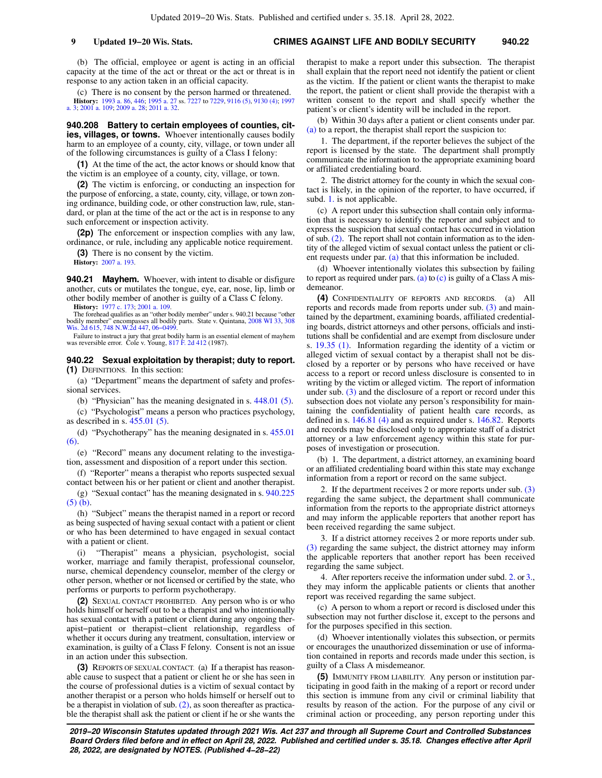(b) The official, employee or agent is acting in an official capacity at the time of the act or threat or the act or threat is in response to any action taken in an official capacity.

(c) There is no consent by the person harmed or threatened. **History:** [1993 a. 86,](https://docs-preview.legis.wisconsin.gov/document/acts/1993/86) [446;](https://docs-preview.legis.wisconsin.gov/document/acts/1993/446) [1995 a. 27](https://docs-preview.legis.wisconsin.gov/document/acts/1995/27) ss. [7227](https://docs-preview.legis.wisconsin.gov/document/acts/1995/27,%20s.%207227) to [7229,](https://docs-preview.legis.wisconsin.gov/document/acts/1995/27,%20s.%207229) [9116 \(5\),](https://docs-preview.legis.wisconsin.gov/document/acts/1995/27,%20s.%209116) [9130 \(4\)](https://docs-preview.legis.wisconsin.gov/document/acts/1995/27,%20s.%209130); [1997](https://docs-preview.legis.wisconsin.gov/document/acts/1997/3) [a. 3;](https://docs-preview.legis.wisconsin.gov/document/acts/1997/3) [2001 a. 109;](https://docs-preview.legis.wisconsin.gov/document/acts/2001/109) [2009 a. 28;](https://docs-preview.legis.wisconsin.gov/document/acts/2009/28) [2011 a. 32.](https://docs-preview.legis.wisconsin.gov/document/acts/2011/32)

**940.208 Battery to certain employees of counties, cities, villages, or towns.** Whoever intentionally causes bodily harm to an employee of a county, city, village, or town under all of the following circumstances is guilty of a Class I felony:

**(1)** At the time of the act, the actor knows or should know that the victim is an employee of a county, city, village, or town.

**(2)** The victim is enforcing, or conducting an inspection for the purpose of enforcing, a state, county, city, village, or town zoning ordinance, building code, or other construction law, rule, standard, or plan at the time of the act or the act is in response to any such enforcement or inspection activity.

**(2p)** The enforcement or inspection complies with any law, ordinance, or rule, including any applicable notice requirement.

**(3)** There is no consent by the victim.

**History:** [2007 a. 193](https://docs-preview.legis.wisconsin.gov/document/acts/2007/193).

**940.21 Mayhem.** Whoever, with intent to disable or disfigure another, cuts or mutilates the tongue, eye, ear, nose, lip, limb or other bodily member of another is guilty of a Class C felony.

**History:** [1977 c. 173](https://docs-preview.legis.wisconsin.gov/document/acts/1977/173); [2001 a. 109](https://docs-preview.legis.wisconsin.gov/document/acts/2001/109). The forehead qualifies as an "other bodily member" under s. 940.21 because "other bodily member" encompasses all bodily parts. State v. Quintana, [2008 WI 33,](https://docs-preview.legis.wisconsin.gov/document/courts/2008%20WI%2033) [308](https://docs-preview.legis.wisconsin.gov/document/courts/308%20Wis.%202d%20615) [Wis. 2d 615,](https://docs-preview.legis.wisconsin.gov/document/courts/308%20Wis.%202d%20615) [748 N.W.2d 447](https://docs-preview.legis.wisconsin.gov/document/courts/748%20N.W.2d%20447), [06−0499](https://docs-preview.legis.wisconsin.gov/document/wisupremecourt/06-0499).

Failure to instruct a jury that great bodily harm is an essential element of mayhem was reversible error. Cole v. Young, [817 F. 2d 412](https://docs-preview.legis.wisconsin.gov/document/courts/817%20F.%202d%20412) (1987).

**940.22 Sexual exploitation by therapist; duty to report. (1)** DEFINITIONS. In this section:

(a) "Department" means the department of safety and professional services.

(b) "Physician" has the meaning designated in s. [448.01 \(5\)](https://docs-preview.legis.wisconsin.gov/document/statutes/448.01(5)).

(c) "Psychologist" means a person who practices psychology, as described in s. [455.01 \(5\).](https://docs-preview.legis.wisconsin.gov/document/statutes/455.01(5))

(d) "Psychotherapy" has the meaning designated in s. [455.01](https://docs-preview.legis.wisconsin.gov/document/statutes/455.01(6)) [\(6\)](https://docs-preview.legis.wisconsin.gov/document/statutes/455.01(6)).

(e) "Record" means any document relating to the investigation, assessment and disposition of a report under this section.

(f) "Reporter" means a therapist who reports suspected sexual contact between his or her patient or client and another therapist.

(g) "Sexual contact" has the meaning designated in s. [940.225](https://docs-preview.legis.wisconsin.gov/document/statutes/940.225(5)(b)) [\(5\) \(b\)](https://docs-preview.legis.wisconsin.gov/document/statutes/940.225(5)(b)).

(h) "Subject" means the therapist named in a report or record as being suspected of having sexual contact with a patient or client or who has been determined to have engaged in sexual contact with a patient or client.

(i) "Therapist" means a physician, psychologist, social worker, marriage and family therapist, professional counselor, nurse, chemical dependency counselor, member of the clergy or other person, whether or not licensed or certified by the state, who performs or purports to perform psychotherapy.

**(2)** SEXUAL CONTACT PROHIBITED. Any person who is or who holds himself or herself out to be a therapist and who intentionally has sexual contact with a patient or client during any ongoing therapist−patient or therapist−client relationship, regardless of whether it occurs during any treatment, consultation, interview or examination, is guilty of a Class F felony. Consent is not an issue in an action under this subsection.

**(3)** REPORTS OF SEXUAL CONTACT. (a) If a therapist has reasonable cause to suspect that a patient or client he or she has seen in the course of professional duties is a victim of sexual contact by another therapist or a person who holds himself or herself out to be a therapist in violation of sub.  $(2)$ , as soon thereafter as practicable the therapist shall ask the patient or client if he or she wants the therapist to make a report under this subsection. The therapist shall explain that the report need not identify the patient or client as the victim. If the patient or client wants the therapist to make the report, the patient or client shall provide the therapist with a written consent to the report and shall specify whether the patient's or client's identity will be included in the report.

(b) Within 30 days after a patient or client consents under par. [\(a\)](https://docs-preview.legis.wisconsin.gov/document/statutes/940.22(3)(a)) to a report, the therapist shall report the suspicion to:

1. The department, if the reporter believes the subject of the report is licensed by the state. The department shall promptly communicate the information to the appropriate examining board or affiliated credentialing board.

2. The district attorney for the county in which the sexual contact is likely, in the opinion of the reporter, to have occurred, if subd. [1.](https://docs-preview.legis.wisconsin.gov/document/statutes/940.22(3)(b)1.) is not applicable.

(c) A report under this subsection shall contain only information that is necessary to identify the reporter and subject and to express the suspicion that sexual contact has occurred in violation of sub. [\(2\).](https://docs-preview.legis.wisconsin.gov/document/statutes/940.22(2)) The report shall not contain information as to the identity of the alleged victim of sexual contact unless the patient or client requests under par. [\(a\)](https://docs-preview.legis.wisconsin.gov/document/statutes/940.22(3)(a)) that this information be included.

(d) Whoever intentionally violates this subsection by failing to report as required under pars. [\(a\)](https://docs-preview.legis.wisconsin.gov/document/statutes/940.22(3)(a)) to  $(c)$  is guilty of a Class A misdemeanor.

**(4)** CONFIDENTIALITY OF REPORTS AND RECORDS. (a) All reports and records made from reports under sub. [\(3\)](https://docs-preview.legis.wisconsin.gov/document/statutes/940.22(3)) and maintained by the department, examining boards, affiliated credentialing boards, district attorneys and other persons, officials and institutions shall be confidential and are exempt from disclosure under s. [19.35 \(1\).](https://docs-preview.legis.wisconsin.gov/document/statutes/19.35(1)) Information regarding the identity of a victim or alleged victim of sexual contact by a therapist shall not be disclosed by a reporter or by persons who have received or have access to a report or record unless disclosure is consented to in writing by the victim or alleged victim. The report of information under sub. [\(3\)](https://docs-preview.legis.wisconsin.gov/document/statutes/940.22(3)) and the disclosure of a report or record under this subsection does not violate any person's responsibility for maintaining the confidentiality of patient health care records, as defined in s. [146.81 \(4\)](https://docs-preview.legis.wisconsin.gov/document/statutes/146.81(4)) and as required under s. [146.82.](https://docs-preview.legis.wisconsin.gov/document/statutes/146.82) Reports and records may be disclosed only to appropriate staff of a district attorney or a law enforcement agency within this state for purposes of investigation or prosecution.

(b) 1. The department, a district attorney, an examining board or an affiliated credentialing board within this state may exchange information from a report or record on the same subject.

2. If the department receives 2 or more reports under sub. [\(3\)](https://docs-preview.legis.wisconsin.gov/document/statutes/940.22(3)) regarding the same subject, the department shall communicate information from the reports to the appropriate district attorneys and may inform the applicable reporters that another report has been received regarding the same subject.

3. If a district attorney receives 2 or more reports under sub. [\(3\)](https://docs-preview.legis.wisconsin.gov/document/statutes/940.22(3)) regarding the same subject, the district attorney may inform the applicable reporters that another report has been received regarding the same subject.

4. After reporters receive the information under subd. [2.](https://docs-preview.legis.wisconsin.gov/document/statutes/940.22(4)(b)2.) or [3.,](https://docs-preview.legis.wisconsin.gov/document/statutes/940.22(4)(b)3.) they may inform the applicable patients or clients that another report was received regarding the same subject.

(c) A person to whom a report or record is disclosed under this subsection may not further disclose it, except to the persons and for the purposes specified in this section.

(d) Whoever intentionally violates this subsection, or permits or encourages the unauthorized dissemination or use of information contained in reports and records made under this section, is guilty of a Class A misdemeanor.

**(5)** IMMUNITY FROM LIABILITY. Any person or institution participating in good faith in the making of a report or record under this section is immune from any civil or criminal liability that results by reason of the action. For the purpose of any civil or criminal action or proceeding, any person reporting under this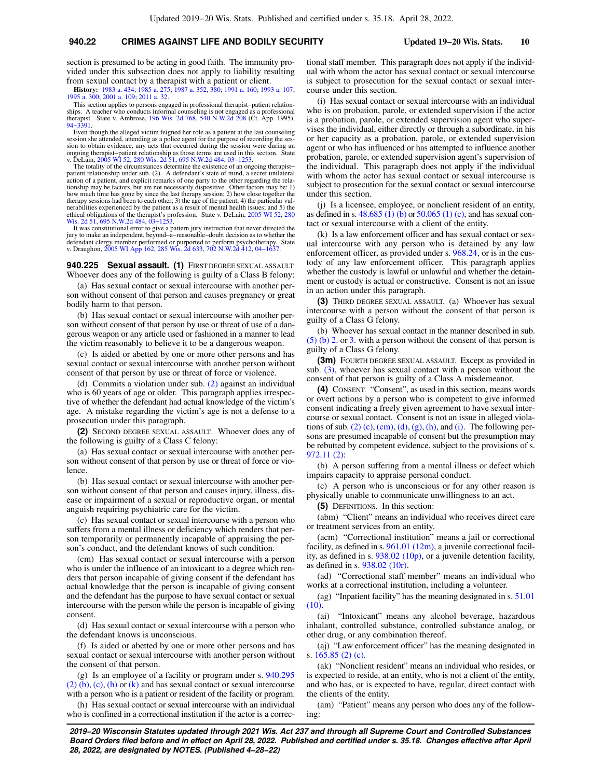## **940.22 CRIMES AGAINST LIFE AND BODILY SECURITY Updated 19−20 Wis. Stats. 10**

section is presumed to be acting in good faith. The immunity provided under this subsection does not apply to liability resulting from sexual contact by a therapist with a patient or client.

**History:** [1983 a. 434;](https://docs-preview.legis.wisconsin.gov/document/acts/1983/434) [1985 a. 275](https://docs-preview.legis.wisconsin.gov/document/acts/1985/275); [1987 a. 352](https://docs-preview.legis.wisconsin.gov/document/acts/1987/352), [380](https://docs-preview.legis.wisconsin.gov/document/acts/1987/380); [1991 a. 160](https://docs-preview.legis.wisconsin.gov/document/acts/1991/160); [1993 a. 107](https://docs-preview.legis.wisconsin.gov/document/acts/1993/107); [1995 a. 300;](https://docs-preview.legis.wisconsin.gov/document/acts/1995/300) [2001 a. 109](https://docs-preview.legis.wisconsin.gov/document/acts/2001/109); [2011 a. 32](https://docs-preview.legis.wisconsin.gov/document/acts/2011/32).

This section applies to persons engaged in professional therapist−patient relationships. A teacher who conducts informal counseling is not engaged as a professional therapist. State v. Ambrose, [196 Wis. 2d 768](https://docs-preview.legis.wisconsin.gov/document/courts/196%20Wis.%202d%20768), [540 N.W.2d 208](https://docs-preview.legis.wisconsin.gov/document/courts/540%20N.W.2d%20208) (Ct. App. 1995), [94−3391](https://docs-preview.legis.wisconsin.gov/document/wicourtofappeals/94-3391).

Even though the alleged victim feigned her role as a patient at the last counseling session she attended, attending as a police agent for the purpose of recording the ses-sion to obtain evidence, any acts that occurred during the session were during an ongoing therapist-patient relationship as those terms are used in this section. State<br>v. DeLain, [2005 WI 52](https://docs-preview.legis.wisconsin.gov/document/courts/2005%20WI%2052), [280 Wis. 2d 51](https://docs-preview.legis.wisconsin.gov/document/courts/280%20Wis.%202d%2051), [695 N.W.2d 484](https://docs-preview.legis.wisconsin.gov/document/courts/695%20N.W.2d%20484), 03-1253.<br>The totality of the circumstances determine the existence of an ongoing

patient relationship under sub. (2). A defendant's state of mind, a secret unilateral action of a patient, and explicit remarks of one party to the other regarding the rela-tionship may be factors, but are not necessarily dispositive. Other factors may be: 1) how much time has gone by since the last therapy session; 2) how close together the therapy sessions had been to each other; 3) the age of the patient; 4) the particular vul-nerabilities experienced by the patient as a result of mental health issues; and 5) the ethical obligations of the therapist's profession. State v. DeLain, [2005 WI 52,](https://docs-preview.legis.wisconsin.gov/document/courts/2005%20WI%2052) [280](https://docs-preview.legis.wisconsin.gov/document/courts/280%20Wis.%202d%2051) [Wis. 2d 51](https://docs-preview.legis.wisconsin.gov/document/courts/280%20Wis.%202d%2051), [695 N.W.2d 484,](https://docs-preview.legis.wisconsin.gov/document/courts/695%20N.W.2d%20484) [03−1253.](https://docs-preview.legis.wisconsin.gov/document/wisupremecourt/03-1253)

It was constitutional error to give a pattern jury instruction that never directed the jury to make an independent, beyond−a−reasonable−doubt decision as to whether the defendant clergy member performed or purported to perform psychotherapy. State v. Draughon, [2005 WI App 162,](https://docs-preview.legis.wisconsin.gov/document/courts/2005%20WI%20App%20162) [285 Wis. 2d 633](https://docs-preview.legis.wisconsin.gov/document/courts/285%20Wis.%202d%20633), [702 N.W.2d 412](https://docs-preview.legis.wisconsin.gov/document/courts/702%20N.W.2d%20412), [04−1637](https://docs-preview.legis.wisconsin.gov/document/wicourtofappeals/04-1637).

**940.225 Sexual assault. (1)** FIRST DEGREE SEXUAL ASSAULT. Whoever does any of the following is guilty of a Class B felony:

(a) Has sexual contact or sexual intercourse with another person without consent of that person and causes pregnancy or great bodily harm to that person.

(b) Has sexual contact or sexual intercourse with another person without consent of that person by use or threat of use of a dangerous weapon or any article used or fashioned in a manner to lead the victim reasonably to believe it to be a dangerous weapon.

(c) Is aided or abetted by one or more other persons and has sexual contact or sexual intercourse with another person without consent of that person by use or threat of force or violence.

(d) Commits a violation under sub. [\(2\)](https://docs-preview.legis.wisconsin.gov/document/statutes/940.225(2)) against an individual who is 60 years of age or older. This paragraph applies irrespective of whether the defendant had actual knowledge of the victim's age. A mistake regarding the victim's age is not a defense to a prosecution under this paragraph.

**(2)** SECOND DEGREE SEXUAL ASSAULT. Whoever does any of the following is guilty of a Class C felony:

(a) Has sexual contact or sexual intercourse with another person without consent of that person by use or threat of force or violence.

(b) Has sexual contact or sexual intercourse with another person without consent of that person and causes injury, illness, disease or impairment of a sexual or reproductive organ, or mental anguish requiring psychiatric care for the victim.

(c) Has sexual contact or sexual intercourse with a person who suffers from a mental illness or deficiency which renders that person temporarily or permanently incapable of appraising the person's conduct, and the defendant knows of such condition.

(cm) Has sexual contact or sexual intercourse with a person who is under the influence of an intoxicant to a degree which renders that person incapable of giving consent if the defendant has actual knowledge that the person is incapable of giving consent and the defendant has the purpose to have sexual contact or sexual intercourse with the person while the person is incapable of giving consent.

(d) Has sexual contact or sexual intercourse with a person who the defendant knows is unconscious.

(f) Is aided or abetted by one or more other persons and has sexual contact or sexual intercourse with another person without the consent of that person.

(g) Is an employee of a facility or program under s. [940.295](https://docs-preview.legis.wisconsin.gov/document/statutes/940.295(2)(b))  $(2)$  (b),  $(c)$ ,  $(h)$  or  $(k)$  and has sexual contact or sexual intercourse with a person who is a patient or resident of the facility or program.

(h) Has sexual contact or sexual intercourse with an individual who is confined in a correctional institution if the actor is a correctional staff member. This paragraph does not apply if the individual with whom the actor has sexual contact or sexual intercourse is subject to prosecution for the sexual contact or sexual intercourse under this section.

(i) Has sexual contact or sexual intercourse with an individual who is on probation, parole, or extended supervision if the actor is a probation, parole, or extended supervision agent who supervises the individual, either directly or through a subordinate, in his or her capacity as a probation, parole, or extended supervision agent or who has influenced or has attempted to influence another probation, parole, or extended supervision agent's supervision of the individual. This paragraph does not apply if the individual with whom the actor has sexual contact or sexual intercourse is subject to prosecution for the sexual contact or sexual intercourse under this section.

(j) Is a licensee, employee, or nonclient resident of an entity, as defined in s.  $48.685$  (1) (b) or  $50.065$  (1) (c), and has sexual contact or sexual intercourse with a client of the entity.

(k) Is a law enforcement officer and has sexual contact or sexual intercourse with any person who is detained by any law enforcement officer, as provided under s. [968.24,](https://docs-preview.legis.wisconsin.gov/document/statutes/968.24) or is in the custody of any law enforcement officer. This paragraph applies whether the custody is lawful or unlawful and whether the detainment or custody is actual or constructive. Consent is not an issue in an action under this paragraph.

**(3)** THIRD DEGREE SEXUAL ASSAULT. (a) Whoever has sexual intercourse with a person without the consent of that person is guilty of a Class G felony.

(b) Whoever has sexual contact in the manner described in sub. [\(5\) \(b\) 2.](https://docs-preview.legis.wisconsin.gov/document/statutes/940.225(5)(b)2.) or [3.](https://docs-preview.legis.wisconsin.gov/document/statutes/940.225(5)(b)3.) with a person without the consent of that person is guilty of a Class G felony.

**(3m)** FOURTH DEGREE SEXUAL ASSAULT. Except as provided in sub.  $(3)$ , whoever has sexual contact with a person without the consent of that person is guilty of a Class A misdemeanor.

**(4)** CONSENT. "Consent", as used in this section, means words or overt actions by a person who is competent to give informed consent indicating a freely given agreement to have sexual intercourse or sexual contact. Consent is not an issue in alleged violations of sub.  $(2)$  (c), [\(cm\)](https://docs-preview.legis.wisconsin.gov/document/statutes/940.225(2)(cm)), [\(d\),](https://docs-preview.legis.wisconsin.gov/document/statutes/940.225(2)(d)) [\(g\)](https://docs-preview.legis.wisconsin.gov/document/statutes/940.225(2)(g)), [\(h\),](https://docs-preview.legis.wisconsin.gov/document/statutes/940.225(2)(h)) and [\(i\)](https://docs-preview.legis.wisconsin.gov/document/statutes/940.225(2)(i)). The following persons are presumed incapable of consent but the presumption may be rebutted by competent evidence, subject to the provisions of s. [972.11 \(2\)](https://docs-preview.legis.wisconsin.gov/document/statutes/972.11(2)):

(b) A person suffering from a mental illness or defect which impairs capacity to appraise personal conduct.

(c) A person who is unconscious or for any other reason is physically unable to communicate unwillingness to an act.

**(5)** DEFINITIONS. In this section:

(abm) "Client" means an individual who receives direct care or treatment services from an entity.

(acm) "Correctional institution" means a jail or correctional facility, as defined in s.  $961.01$  (12m), a juvenile correctional facility, as defined in s. [938.02 \(10p\),](https://docs-preview.legis.wisconsin.gov/document/statutes/938.02(10p)) or a juvenile detention facility, as defined in s. [938.02 \(10r\).](https://docs-preview.legis.wisconsin.gov/document/statutes/938.02(10r))

(ad) "Correctional staff member" means an individual who works at a correctional institution, including a volunteer.

(ag) "Inpatient facility" has the meaning designated in s. [51.01](https://docs-preview.legis.wisconsin.gov/document/statutes/51.01(10)) [\(10\)](https://docs-preview.legis.wisconsin.gov/document/statutes/51.01(10)).

(ai) "Intoxicant" means any alcohol beverage, hazardous inhalant, controlled substance, controlled substance analog, or other drug, or any combination thereof.

(aj) "Law enforcement officer" has the meaning designated in s. [165.85 \(2\) \(c\)](https://docs-preview.legis.wisconsin.gov/document/statutes/165.85(2)(c)).

(ak) "Nonclient resident" means an individual who resides, or is expected to reside, at an entity, who is not a client of the entity, and who has, or is expected to have, regular, direct contact with the clients of the entity.

(am) "Patient" means any person who does any of the following: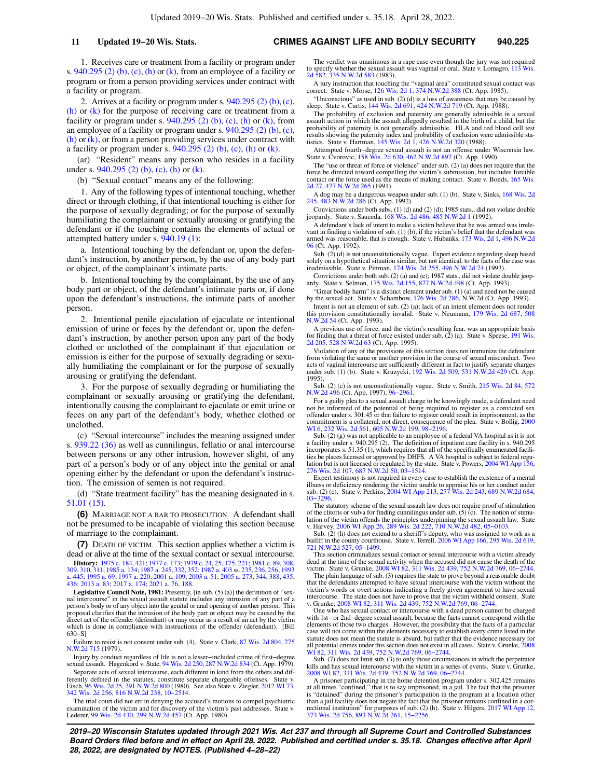1. Receives care or treatment from a facility or program under s.  $940.295$  (2) (b), [\(c\)](https://docs-preview.legis.wisconsin.gov/document/statutes/940.295(2)(c)), [\(h\)](https://docs-preview.legis.wisconsin.gov/document/statutes/940.295(2)(h)) or [\(k\),](https://docs-preview.legis.wisconsin.gov/document/statutes/940.295(2)(k)) from an employee of a facility or program or from a person providing services under contract with a facility or program.

2. Arrives at a facility or program under s. [940.295 \(2\) \(b\)](https://docs-preview.legis.wisconsin.gov/document/statutes/940.295(2)(b)), [\(c\),](https://docs-preview.legis.wisconsin.gov/document/statutes/940.295(2)(c)) [\(h\)](https://docs-preview.legis.wisconsin.gov/document/statutes/940.295(2)(h)) or [\(k\)](https://docs-preview.legis.wisconsin.gov/document/statutes/940.295(2)(k)) for the purpose of receiving care or treatment from a facility or program under s.  $940.295$  (2) (b), [\(c\),](https://docs-preview.legis.wisconsin.gov/document/statutes/940.295(2)(c)) [\(h\)](https://docs-preview.legis.wisconsin.gov/document/statutes/940.295(2)(h)) or [\(k\),](https://docs-preview.legis.wisconsin.gov/document/statutes/940.295(2)(k)) from an employee of a facility or program under s. [940.295 \(2\) \(b\),](https://docs-preview.legis.wisconsin.gov/document/statutes/940.295(2)(b)) [\(c\),](https://docs-preview.legis.wisconsin.gov/document/statutes/940.295(2)(c)) [\(h\)](https://docs-preview.legis.wisconsin.gov/document/statutes/940.295(2)(h)) or  $(k)$ , or from a person providing services under contract with a facility or program under s.  $940.295$  (2) (b), [\(c\)](https://docs-preview.legis.wisconsin.gov/document/statutes/940.295(2)(c)), [\(h\)](https://docs-preview.legis.wisconsin.gov/document/statutes/940.295(2)(h)) or [\(k\).](https://docs-preview.legis.wisconsin.gov/document/statutes/940.295(2)(k))

(ar) "Resident" means any person who resides in a facility under s.  $940.295$  (2) (b), [\(c\)](https://docs-preview.legis.wisconsin.gov/document/statutes/940.295(2)(c)), [\(h\)](https://docs-preview.legis.wisconsin.gov/document/statutes/940.295(2)(h)) or [\(k\)](https://docs-preview.legis.wisconsin.gov/document/statutes/940.295(2)(k)).

(b) "Sexual contact" means any of the following:

1. Any of the following types of intentional touching, whether direct or through clothing, if that intentional touching is either for the purpose of sexually degrading; or for the purpose of sexually humiliating the complainant or sexually arousing or gratifying the defendant or if the touching contains the elements of actual or attempted battery under s. [940.19 \(1\):](https://docs-preview.legis.wisconsin.gov/document/statutes/940.19(1))

a. Intentional touching by the defendant or, upon the defendant's instruction, by another person, by the use of any body part or object, of the complainant's intimate parts.

b. Intentional touching by the complainant, by the use of any body part or object, of the defendant's intimate parts or, if done upon the defendant's instructions, the intimate parts of another person.

2. Intentional penile ejaculation of ejaculate or intentional emission of urine or feces by the defendant or, upon the defendant's instruction, by another person upon any part of the body clothed or unclothed of the complainant if that ejaculation or emission is either for the purpose of sexually degrading or sexually humiliating the complainant or for the purpose of sexually arousing or gratifying the defendant.

3. For the purpose of sexually degrading or humiliating the complainant or sexually arousing or gratifying the defendant, intentionally causing the complainant to ejaculate or emit urine or feces on any part of the defendant's body, whether clothed or unclothed.

(c) "Sexual intercourse" includes the meaning assigned under s. [939.22 \(36\)](https://docs-preview.legis.wisconsin.gov/document/statutes/939.22(36)) as well as cunnilingus, fellatio or anal intercourse between persons or any other intrusion, however slight, of any part of a person's body or of any object into the genital or anal opening either by the defendant or upon the defendant's instruction. The emission of semen is not required.

(d) "State treatment facility" has the meaning designated in s. [51.01 \(15\).](https://docs-preview.legis.wisconsin.gov/document/statutes/51.01(15))

**(6)** MARRIAGE NOT A BAR TO PROSECUTION. A defendant shall not be presumed to be incapable of violating this section because of marriage to the complainant.

**(7)** DEATH OF VICTIM. This section applies whether a victim is dead or alive at the time of the sexual contact or sexual intercourse.

**History:** [1975 c. 184,](https://docs-preview.legis.wisconsin.gov/document/acts/1975/184) [421](https://docs-preview.legis.wisconsin.gov/document/acts/1975/421); [1977 c. 173](https://docs-preview.legis.wisconsin.gov/document/acts/1977/173); [1979 c. 24](https://docs-preview.legis.wisconsin.gov/document/acts/1979/24), [25](https://docs-preview.legis.wisconsin.gov/document/acts/1979/25), [175](https://docs-preview.legis.wisconsin.gov/document/acts/1979/175), [221;](https://docs-preview.legis.wisconsin.gov/document/acts/1979/221) [1981 c. 89,](https://docs-preview.legis.wisconsin.gov/document/acts/1981/89) [308](https://docs-preview.legis.wisconsin.gov/document/acts/1981/308), [309](https://docs-preview.legis.wisconsin.gov/document/acts/1981/309), [310,](https://docs-preview.legis.wisconsin.gov/document/acts/1981/310) [311;](https://docs-preview.legis.wisconsin.gov/document/acts/1981/311) [1985 a. 134;](https://docs-preview.legis.wisconsin.gov/document/acts/1985/134) [1987 a. 245,](https://docs-preview.legis.wisconsin.gov/document/acts/1987/245) [332,](https://docs-preview.legis.wisconsin.gov/document/acts/1987/332) [352](https://docs-preview.legis.wisconsin.gov/document/acts/1987/352); [1987 a. 403](https://docs-preview.legis.wisconsin.gov/document/acts/1987/403) ss. [235](https://docs-preview.legis.wisconsin.gov/document/acts/1987/403,%20s.%20235), [236,](https://docs-preview.legis.wisconsin.gov/document/acts/1987/403,%20s.%20236) [256;](https://docs-preview.legis.wisconsin.gov/document/acts/1987/403,%20s.%20256) [1993](https://docs-preview.legis.wisconsin.gov/document/acts/1993/445) [a. 445;](https://docs-preview.legis.wisconsin.gov/document/acts/1993/445) [1995 a. 69;](https://docs-preview.legis.wisconsin.gov/document/acts/1995/69) [1997 a. 220;](https://docs-preview.legis.wisconsin.gov/document/acts/1997/220) [2001 a. 109;](https://docs-preview.legis.wisconsin.gov/document/acts/2001/109) [2003 a. 51;](https://docs-preview.legis.wisconsin.gov/document/acts/2003/51) [2005 a. 273,](https://docs-preview.legis.wisconsin.gov/document/acts/2005/273) [344,](https://docs-preview.legis.wisconsin.gov/document/acts/2005/344) [388](https://docs-preview.legis.wisconsin.gov/document/acts/2005/388), [435](https://docs-preview.legis.wisconsin.gov/document/acts/2005/435), [436](https://docs-preview.legis.wisconsin.gov/document/acts/2005/436); [2013 a. 83](https://docs-preview.legis.wisconsin.gov/document/acts/2013/83); [2017 a. 174](https://docs-preview.legis.wisconsin.gov/document/acts/2017/174); [2021 a. 76](https://docs-preview.legis.wisconsin.gov/document/acts/2021/76), [188](https://docs-preview.legis.wisconsin.gov/document/acts/2021/188).

**Legislative Council Note, 1981:** Presently, [in sub. (5) (a)] the definition of "sex-<br>ual intercourse" in the sexual assault statute includes any intrusion of any part of a person's body or of any object into the genital or anal opening of another person. This proposal clarifies that the intrusion of the body part or object may be caused by the direct act of the offender (defendant) or may occur as a result of an act by the victim which is done in compliance with instructions of the offender (defendant). [Bill 630−S]

Failure to resist is not consent under sub. (4). State v. Clark, [87 Wis. 2d 804](https://docs-preview.legis.wisconsin.gov/document/courts/87%20Wis.%202d%20804), [275](https://docs-preview.legis.wisconsin.gov/document/courts/275%20N.W.2d%20715) [N.W.2d 715](https://docs-preview.legis.wisconsin.gov/document/courts/275%20N.W.2d%20715) (1979).

Injury by conduct regardless of life is not a lesser−included crime of first−degree sexual assault. Hagenkord v. State, [94 Wis. 2d 250](https://docs-preview.legis.wisconsin.gov/document/courts/94%20Wis.%202d%20250), [287 N.W.2d 834](https://docs-preview.legis.wisconsin.gov/document/courts/287%20N.W.2d%20834) (Ct. App. 1979).

Separate acts of sexual intercourse, each different in kind from the others and differently defined in the statutes, constitute separate chargeable offenses. State v. Eisch, [96 Wis. 2d 25](https://docs-preview.legis.wisconsin.gov/document/courts/96%20Wis.%202d%2025), [291 N.W.2d 800](https://docs-preview.legis.wisconsin.gov/document/courts/291%20N.W.2d%20800) (1980). See also State v. Ziegler, [2012 WI 73](https://docs-preview.legis.wisconsin.gov/document/courts/2012%20WI%2073), [342 Wis. 2d 256,](https://docs-preview.legis.wisconsin.gov/document/courts/342%20Wis.%202d%20256) [816 N.W.2d 238,](https://docs-preview.legis.wisconsin.gov/document/courts/816%20N.W.2d%20238) [10−2514.](https://docs-preview.legis.wisconsin.gov/document/wisupremecourt/10-2514)

The trial court did not err in denying the accused's motions to compel psychiatric examination of the victim and for discovery of the victim's past addresses. State v. Lederer, [99 Wis. 2d 430](https://docs-preview.legis.wisconsin.gov/document/courts/99%20Wis.%202d%20430), [299 N.W.2d 457](https://docs-preview.legis.wisconsin.gov/document/courts/299%20N.W.2d%20457) (Ct. App. 1980).

The verdict was unanimous in a rape case even though the jury was not required to specify whether the sexual assault was vaginal or oral. State v. Lomagro, [113 Wis.](https://docs-preview.legis.wisconsin.gov/document/courts/113%20Wis.%202d%20582) [2d 582](https://docs-preview.legis.wisconsin.gov/document/courts/113%20Wis.%202d%20582), [335 N.W.2d 583](https://docs-preview.legis.wisconsin.gov/document/courts/335%20N.W.2d%20583) (1983).

A jury instruction that touching the "vaginal area" constituted sexual contact was correct. State v. Morse, [126 Wis. 2d 1](https://docs-preview.legis.wisconsin.gov/document/courts/126%20Wis.%202d%201), [374 N.W.2d 388](https://docs-preview.legis.wisconsin.gov/document/courts/374%20N.W.2d%20388) (Ct. App. 1985).

"Unconscious" as used in sub. (2) (d) is a loss of awareness that may be caused by sleep. State v. Curtis, [144 Wis. 2d 691,](https://docs-preview.legis.wisconsin.gov/document/courts/144%20Wis.%202d%20691) [424 N.W.2d 719](https://docs-preview.legis.wisconsin.gov/document/courts/424%20N.W.2d%20719) (Ct. App. 1988).

The probability of exclusion and paternity are generally admissible in a sexual assault action in which the assault allegedly resulted in the birth of a child, but the probability of paternity is not generally admissible. HLA and red blood cell test results showing the paternity index and probability of exclusion were admissible sta-tistics. State v. Hartman, [145 Wis. 2d 1,](https://docs-preview.legis.wisconsin.gov/document/courts/145%20Wis.%202d%201) [426 N.W.2d 320](https://docs-preview.legis.wisconsin.gov/document/courts/426%20N.W.2d%20320) (1988).

Attempted fourth−degree sexual assault is not an offense under Wisconsin law. State v. Cvorovic, [158 Wis. 2d 630,](https://docs-preview.legis.wisconsin.gov/document/courts/158%20Wis.%202d%20630) [462 N.W.2d 897](https://docs-preview.legis.wisconsin.gov/document/courts/462%20N.W.2d%20897) (Ct. App. 1990).

The "use or threat of force or violence" under sub. (2) (a) does not require that the force be directed toward compelling the victim's submission, but includes forcible contact or the force used as the means of making contact. State v. Bonds, [165 Wis.](https://docs-preview.legis.wisconsin.gov/document/courts/165%20Wis.%202d%2027) [2d 27,](https://docs-preview.legis.wisconsin.gov/document/courts/165%20Wis.%202d%2027) [477 N.W.2d 265](https://docs-preview.legis.wisconsin.gov/document/courts/477%20N.W.2d%20265) (1991).

A dog may be a dangerous weapon under sub. (1) (b). State v. Sinks, [168 Wis. 2d](https://docs-preview.legis.wisconsin.gov/document/courts/168%20Wis.%202d%20245) [245,](https://docs-preview.legis.wisconsin.gov/document/courts/168%20Wis.%202d%20245) [483 N.W.2d 286](https://docs-preview.legis.wisconsin.gov/document/courts/483%20N.W.2d%20286) (Ct. App. 1992).

Convictions under both subs. (1) (d) and (2) (d); 1985 stats., did not violate double jeopardy. State v. Sauceda, [168 Wis. 2d 486,](https://docs-preview.legis.wisconsin.gov/document/courts/168%20Wis.%202d%20486) [485 N.W.2d 1](https://docs-preview.legis.wisconsin.gov/document/courts/485%20N.W.2d%201) (1992).

A defendant's lack of intent to make a victim believe that he was armed was irrelevant in finding a violation of sub. (1) (b); if the victim's belief that the defendant was armed was reasonable, that is enough. State v. Hubanks, [173 Wis. 2d 1,](https://docs-preview.legis.wisconsin.gov/document/courts/173%20Wis.%202d%201) [496 N.W.2d](https://docs-preview.legis.wisconsin.gov/document/courts/496%20N.W.2d%2096) [96](https://docs-preview.legis.wisconsin.gov/document/courts/496%20N.W.2d%2096) (Ct. App. 1992).

Sub. (2) (d) is not unconstitutionally vague. Expert evidence regarding sleep based solely on a hypothetical situation similar, but not identical, to the facts of the case was inadmissible. State v. Pittman, [174 Wis. 2d 255](https://docs-preview.legis.wisconsin.gov/document/courts/174%20Wis.%202d%20255), [496 N.W.2d 74](https://docs-preview.legis.wisconsin.gov/document/courts/496%20N.W.2d%2074) (1993).

Convictions under both sub. (2) (a) and (e); 1987 stats., did not violate double jeop-ardy. State v. Selmon, [175 Wis. 2d 155,](https://docs-preview.legis.wisconsin.gov/document/courts/175%20Wis.%202d%20155) [877 N.W.2d 498](https://docs-preview.legis.wisconsin.gov/document/courts/877%20N.W.2d%20498) (Ct. App. 1993).

"Great bodily harm" is a distinct element under sub. (1) (a) and need not be caused by the sexual act. State v. Schambow, [176 Wis. 2d 286,](https://docs-preview.legis.wisconsin.gov/document/courts/176%20Wis.%202d%20286) N.W.2d (Ct. App. 1993).

Intent is not an element of sub. (2) (a); lack of an intent element does not render this provision constitutionally invalid. State v. Neumann, [179 Wis. 2d 687](https://docs-preview.legis.wisconsin.gov/document/courts/179%20Wis.%202d%20687), [508](https://docs-preview.legis.wisconsin.gov/document/courts/508%20N.W.2d%2054) [N.W.2d 54](https://docs-preview.legis.wisconsin.gov/document/courts/508%20N.W.2d%2054) (Ct. App. 1993).

A previous use of force, and the victim's resulting fear, was an appropriate basis for finding that a threat of force existed under sub. (2) (a). State v. Speese, [191 Wis.](https://docs-preview.legis.wisconsin.gov/document/courts/191%20Wis.%202d%20205) [2d 205](https://docs-preview.legis.wisconsin.gov/document/courts/191%20Wis.%202d%20205), [528 N.W.2d 63](https://docs-preview.legis.wisconsin.gov/document/courts/528%20N.W.2d%2063) (Ct. App. 1995).

Violation of any of the provisions of this section does not immunize the defendant from violating the same or another provision in the course of sexual misconduct. Two acts of vaginal intercourse are sufficiently different in fact to justify separate charges under sub. (1) (b). State v. Kruzycki, [192 Wis. 2d 509,](https://docs-preview.legis.wisconsin.gov/document/courts/192%20Wis.%202d%20509) [531 N.W.2d 429](https://docs-preview.legis.wisconsin.gov/document/courts/531%20N.W.2d%20429) (Ct. App. 1995).

Sub. (2) (c) is not unconstitutionally vague. State v. Smith, [215 Wis. 2d 84](https://docs-preview.legis.wisconsin.gov/document/courts/215%20Wis.%202d%2084), [572](https://docs-preview.legis.wisconsin.gov/document/courts/572%20N.W.2d%20496) [N.W.2d 496](https://docs-preview.legis.wisconsin.gov/document/courts/572%20N.W.2d%20496) (Ct. App. 1997), [96−2961](https://docs-preview.legis.wisconsin.gov/document/wicourtofappeals/96-2961).

For a guilty plea to a sexual assault charge to be knowingly made, a defendant need not be informed of the potential of being required to register as a convicted sex offender under s. 301.45 or that failure to register could result in imprisonment, as the commitment is a collateral, not direct, consequence of the plea. State v. Bollig, [2000](https://docs-preview.legis.wisconsin.gov/document/courts/2000%20WI%206) [WI 6](https://docs-preview.legis.wisconsin.gov/document/courts/2000%20WI%206), [232 Wis. 2d 561,](https://docs-preview.legis.wisconsin.gov/document/courts/232%20Wis.%202d%20561) [605 N.W.2d 199](https://docs-preview.legis.wisconsin.gov/document/courts/605%20N.W.2d%20199), [98−2196.](https://docs-preview.legis.wisconsin.gov/document/wisupremecourt/98-2196)

Sub. (2) (g) was not applicable to an employee of a federal VA hospital as it is not a facility under s. 940.295 (2). The definition of inpatient care facility in s. 940.295 incorporates s. 51.35 (1), which requires that all of the specifically enumerated facili-ties be places licensed or approved by DHFS. A VA hospital is subject to federal regulation but is not licensed or regulated by the state. State v. Powers, [2004 WI App 156](https://docs-preview.legis.wisconsin.gov/document/courts/2004%20WI%20App%20156), [276 Wis. 2d 107](https://docs-preview.legis.wisconsin.gov/document/courts/276%20Wis.%202d%20107), [687 N.W.2d 50](https://docs-preview.legis.wisconsin.gov/document/courts/687%20N.W.2d%2050), [03−1514](https://docs-preview.legis.wisconsin.gov/document/wicourtofappeals/03-1514).

Expert testimony is not required in every case to establish the existence of a mental illness or deficiency rendering the victim unable to appraise his or her conduct under sub. (2) (c). State v. Perkins, [2004 WI App 213](https://docs-preview.legis.wisconsin.gov/document/courts/2004%20WI%20App%20213), [277 Wis. 2d 243](https://docs-preview.legis.wisconsin.gov/document/courts/277%20Wis.%202d%20243), [689 N.W.2d 684](https://docs-preview.legis.wisconsin.gov/document/courts/689%20N.W.2d%20684), [03−3296.](https://docs-preview.legis.wisconsin.gov/document/wicourtofappeals/03-3296)

The statutory scheme of the sexual assault law does not require proof of stimulation of the clitoris or vulva for finding cunnilingus under sub. (5) (c). The notion of stimulation of the victim offends the principles underpinning the sexual assault law. State v. Harvey, [2006 WI App 26,](https://docs-preview.legis.wisconsin.gov/document/courts/2006%20WI%20App%2026) [289 Wis. 2d 222](https://docs-preview.legis.wisconsin.gov/document/courts/289%20Wis.%202d%20222), [710 N.W.2d 482,](https://docs-preview.legis.wisconsin.gov/document/courts/710%20N.W.2d%20482) [05−0103.](https://docs-preview.legis.wisconsin.gov/document/wicourtofappeals/05-0103)

Sub. (2) (h) does not extend to a sheriff's deputy, who was assigned to work as a bailiff in the county courthouse. State v. Terrell, [2006 WI App 166,](https://docs-preview.legis.wisconsin.gov/document/courts/2006%20WI%20App%20166) [295 Wis. 2d 619](https://docs-preview.legis.wisconsin.gov/document/courts/295%20Wis.%202d%20619), [721 N.W.2d 527](https://docs-preview.legis.wisconsin.gov/document/courts/721%20N.W.2d%20527), [05−1499](https://docs-preview.legis.wisconsin.gov/document/wicourtofappeals/05-1499).

This section criminalizes sexual contact or sexual intercourse with a victim already dead at the time of the sexual activity when the accused did not cause the death of the victim. State v. Grunke, [2008 WI 82](https://docs-preview.legis.wisconsin.gov/document/courts/2008%20WI%2082), [311 Wis. 2d 439,](https://docs-preview.legis.wisconsin.gov/document/courts/311%20Wis.%202d%20439) [752 N.W.2d 769](https://docs-preview.legis.wisconsin.gov/document/courts/752%20N.W.2d%20769), [06−2744](https://docs-preview.legis.wisconsin.gov/document/wisupremecourt/06-2744).

The plain language of sub. (3) requires the state to prove beyond a reasonable doubt that the defendants attempted to have sexual intercourse with the victim without the victim's words or overt actions indicating a freely given agreement to have sexual intercourse. The state does not have to prove that the victim withheld consent. State v. Grunke, [2008 WI 82,](https://docs-preview.legis.wisconsin.gov/document/courts/2008%20WI%2082) [311 Wis. 2d 439,](https://docs-preview.legis.wisconsin.gov/document/courts/311%20Wis.%202d%20439) [752 N.W.2d 769,](https://docs-preview.legis.wisconsin.gov/document/courts/752%20N.W.2d%20769) [06−2744.](https://docs-preview.legis.wisconsin.gov/document/wisupremecourt/06-2744)

One who has sexual contact or intercourse with a dead person cannot be charged with 1st− or 2nd−degree sexual assault, because the facts cannot correspond with the elements of those two charges. However, the possibility that the facts of a particular case will not come within the elements necessary to establish every crime listed in the statute does not mean the statute is absurd, but rather that the evidence necessary for all potential crimes under this section does not exist in all cases. State v. Grunke, [2008](https://docs-preview.legis.wisconsin.gov/document/courts/2008%20WI%2082) [WI 82,](https://docs-preview.legis.wisconsin.gov/document/courts/2008%20WI%2082) [311 Wis. 2d 439,](https://docs-preview.legis.wisconsin.gov/document/courts/311%20Wis.%202d%20439) [752 N.W.2d 769,](https://docs-preview.legis.wisconsin.gov/document/courts/752%20N.W.2d%20769) [06−2744.](https://docs-preview.legis.wisconsin.gov/document/wisupremecourt/06-2744)

Sub. (7) does not limit sub. (3) to only those circumstances in which the perpetrator kills and has sexual intercourse with the victim in a series of events. State v. Grunke, [2008 WI 82](https://docs-preview.legis.wisconsin.gov/document/courts/2008%20WI%2082), [311 Wis. 2d 439,](https://docs-preview.legis.wisconsin.gov/document/courts/311%20Wis.%202d%20439) [752 N.W.2d 769](https://docs-preview.legis.wisconsin.gov/document/courts/752%20N.W.2d%20769), [06−2744.](https://docs-preview.legis.wisconsin.gov/document/wisupremecourt/06-2744)

A prisoner participating in the home detention program under s. 302.425 remains at all times "confined," that is to say imprisoned, in a jail. The fact that the prisoner is "detained" during the prisoner's participation in the program at a location other than a jail facility does not negate the fact that the prisoner remains confined in a cor-rectional institution" for purposes of sub. (2) (h). State v. Hilgers, [2017 WI App 12](https://docs-preview.legis.wisconsin.gov/document/courts/2017%20WI%20App%2012), [373 Wis. 2d 756](https://docs-preview.legis.wisconsin.gov/document/courts/373%20Wis.%202d%20756), [893 N.W.2d 261,](https://docs-preview.legis.wisconsin.gov/document/courts/893%20N.W.2d%20261) [15−2256.](https://docs-preview.legis.wisconsin.gov/document/wicourtofappeals/15-2256)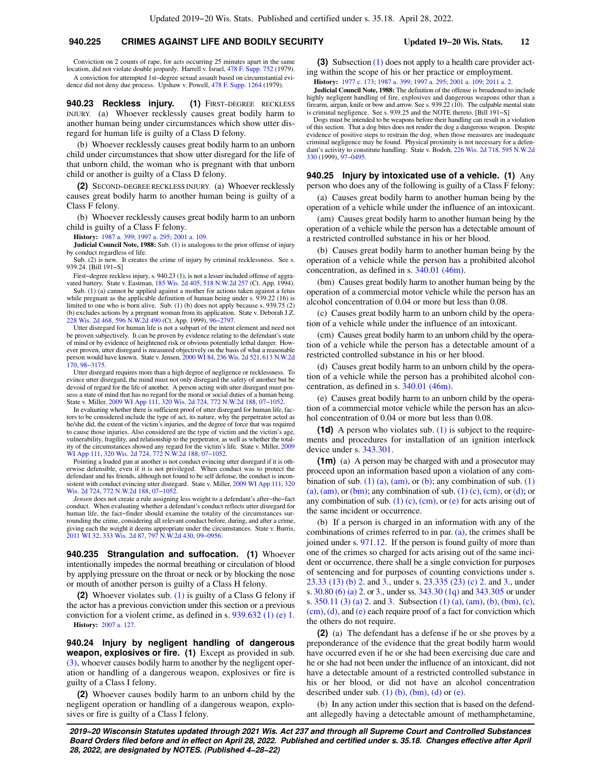# **940.225 CRIMES AGAINST LIFE AND BODILY SECURITY Updated 19−20 Wis. Stats. 12**

Conviction on 2 counts of rape, for acts occurring 25 minutes apart in the same location, did not violate double jeopardy. Harrell v. Israel, [478 F. Supp. 752](https://docs-preview.legis.wisconsin.gov/document/courts/478%20F.%20Supp.%20752) (1979). A conviction for attempted 1st−degree sexual assault based on circumstantial evi-

dence did not deny due process. Upshaw v. Powell, [478 F. Supp. 1264](https://docs-preview.legis.wisconsin.gov/document/courts/478%20F.%20Supp.%201264) (1979).

940.23 Reckless injury. (1) FIRST-DEGREE RECKLESS INJURY. (a) Whoever recklessly causes great bodily harm to another human being under circumstances which show utter disregard for human life is guilty of a Class D felony.

(b) Whoever recklessly causes great bodily harm to an unborn child under circumstances that show utter disregard for the life of that unborn child, the woman who is pregnant with that unborn child or another is guilty of a Class D felony.

**(2)** SECOND−DEGREE RECKLESS INJURY. (a) Whoever recklessly causes great bodily harm to another human being is guilty of a Class F felony.

(b) Whoever recklessly causes great bodily harm to an unborn child is guilty of a Class F felony.

**History:** [1987 a. 399](https://docs-preview.legis.wisconsin.gov/document/acts/1987/399); [1997 a. 295](https://docs-preview.legis.wisconsin.gov/document/acts/1997/295); [2001 a. 109.](https://docs-preview.legis.wisconsin.gov/document/acts/2001/109)

**Judicial Council Note, 1988:** Sub. (1) is analogous to the prior offense of injury by conduct regardless of life.

Sub. (2) is new. It creates the crime of injury by criminal recklessness. See s. 939.24. [Bill 191−S]

First−degree reckless injury, s. 940.23 (1), is not a lesser included offense of aggravated battery. State v. Eastman, [185 Wis. 2d 405](https://docs-preview.legis.wisconsin.gov/document/courts/185%20Wis.%202d%20405), [518 N.W.2d 257](https://docs-preview.legis.wisconsin.gov/document/courts/518%20N.W.2d%20257) (Ct. App. 1994). Sub. (1) (a) cannot be applied against a mother for actions taken against a fetus while pregnant as the applicable definition of human being under s. 939.22 (16) is limited to one who is born alive. Sub. (1) (b) does not apply because s. 939.75 (2) (b) excludes actions by a pregnant woman from its application. State v. Deborah J.Z. [228 Wis. 2d 468,](https://docs-preview.legis.wisconsin.gov/document/courts/228%20Wis.%202d%20468) [596 N.W.2d 490](https://docs-preview.legis.wisconsin.gov/document/courts/596%20N.W.2d%20490) (Ct. App. 1999), [96−2797.](https://docs-preview.legis.wisconsin.gov/document/wicourtofappeals/96-2797)

Utter disregard for human life is not a subpart of the intent element and need not be proven subjectively. It can be proven by evidence relating to the defendant's state of mind or by evidence of heightened risk or obvious potentially lethal danger. However proven, utter disregard is measured objectively on the basis of what a reasonable person would have known. State v. Jensen, [2000 WI 84,](https://docs-preview.legis.wisconsin.gov/document/courts/2000%20WI%2084) [236 Wis. 2d 521](https://docs-preview.legis.wisconsin.gov/document/courts/236%20Wis.%202d%20521), [613 N.W.2d](https://docs-preview.legis.wisconsin.gov/document/courts/613%20N.W.2d%20170) [170](https://docs-preview.legis.wisconsin.gov/document/courts/613%20N.W.2d%20170), [98−3175](https://docs-preview.legis.wisconsin.gov/document/wisupremecourt/98-3175).

Utter disregard requires more than a high degree of negligence or recklessness. To evince utter disregard, the mind must not only disregard the safety of another but be devoid of regard for the life of another. A person acting with utter disregard must possess a state of mind that has no regard for the moral or social duties of a human being. State v. Miller, [2009 WI App 111,](https://docs-preview.legis.wisconsin.gov/document/courts/2009%20WI%20App%20111) [320 Wis. 2d 724,](https://docs-preview.legis.wisconsin.gov/document/courts/320%20Wis.%202d%20724) [772 N.W.2d 188](https://docs-preview.legis.wisconsin.gov/document/courts/772%20N.W.2d%20188), [07−1052](https://docs-preview.legis.wisconsin.gov/document/wicourtofappeals/07-1052).

In evaluating whether there is sufficient proof of utter disregard for human life, factors to be considered include the type of act, its nature, why the perpetrator acted as he/she did, the extent of the victim's injuries, and the degree of force that was required to cause those injuries. Also considered are the type of victim and the victim's age, vulnerability, fragility, and relationship to the perpetrator, as well as whether the totality of the circumstances showed any regard for the victim's life. State v. Miller, [2009](https://docs-preview.legis.wisconsin.gov/document/courts/2009%20WI%20App%20111) [WI App 111](https://docs-preview.legis.wisconsin.gov/document/courts/2009%20WI%20App%20111), [320 Wis. 2d 724,](https://docs-preview.legis.wisconsin.gov/document/courts/320%20Wis.%202d%20724) [772 N.W.2d 188](https://docs-preview.legis.wisconsin.gov/document/courts/772%20N.W.2d%20188), 07–1052.

Pointing a loaded gun at another is not conduct evincing utter disregard if it is otherwise defensible, even if it is not privileged. When conduct was to protect the defendant and his friends, although not found to be self defense, the conduct is inconsistent with conduct evincing utter disregard. State v. Miller, [2009 WI App 111](https://docs-preview.legis.wisconsin.gov/document/courts/2009%20WI%20App%20111), [320](https://docs-preview.legis.wisconsin.gov/document/courts/320%20Wis.%202d%20724) [Wis. 2d 724,](https://docs-preview.legis.wisconsin.gov/document/courts/320%20Wis.%202d%20724) [772 N.W.2d 188](https://docs-preview.legis.wisconsin.gov/document/courts/772%20N.W.2d%20188), [07−1052](https://docs-preview.legis.wisconsin.gov/document/wicourtofappeals/07-1052).

*Jensen* does not create a rule assigning less weight to a defendant's after-the-fact conduct. When evaluating whether a defendant's conduct reflects utter disregard for human life, the fact−finder should examine the totality of the circumstances surrounding the crime, considering all relevant conduct before, during, and after a crime, giving each the weight it deems appropriate under the circumstances. State v. Burris, [2011 WI 32,](https://docs-preview.legis.wisconsin.gov/document/courts/2011%20WI%2032) [333 Wis. 2d 87](https://docs-preview.legis.wisconsin.gov/document/courts/333%20Wis.%202d%2087), [797 N.W.2d 430,](https://docs-preview.legis.wisconsin.gov/document/courts/797%20N.W.2d%20430) [09−0956.](https://docs-preview.legis.wisconsin.gov/document/wisupremecourt/09-0956)

**940.235 Strangulation and suffocation. (1)** Whoever intentionally impedes the normal breathing or circulation of blood by applying pressure on the throat or neck or by blocking the nose or mouth of another person is guilty of a Class H felony.

**(2)** Whoever violates sub. [\(1\)](https://docs-preview.legis.wisconsin.gov/document/statutes/940.235(1)) is guilty of a Class G felony if the actor has a previous conviction under this section or a previous conviction for a violent crime, as defined in s. [939.632 \(1\) \(e\) 1.](https://docs-preview.legis.wisconsin.gov/document/statutes/939.632(1)(e)1.) **History:** [2007 a. 127](https://docs-preview.legis.wisconsin.gov/document/acts/2007/127).

**940.24 Injury by negligent handling of dangerous weapon, explosives or fire. (1)** Except as provided in sub. [\(3\)](https://docs-preview.legis.wisconsin.gov/document/statutes/940.24(3)), whoever causes bodily harm to another by the negligent operation or handling of a dangerous weapon, explosives or fire is guilty of a Class I felony.

**(2)** Whoever causes bodily harm to an unborn child by the negligent operation or handling of a dangerous weapon, explosives or fire is guilty of a Class I felony.

**(3)** Subsection [\(1\)](https://docs-preview.legis.wisconsin.gov/document/statutes/940.24(1)) does not apply to a health care provider acting within the scope of his or her practice or employment.

**History:** [1977 c. 173;](https://docs-preview.legis.wisconsin.gov/document/acts/1977/173) [1987 a. 399](https://docs-preview.legis.wisconsin.gov/document/acts/1987/399); [1997 a. 295;](https://docs-preview.legis.wisconsin.gov/document/acts/1997/295) [2001 a. 109;](https://docs-preview.legis.wisconsin.gov/document/acts/2001/109) [2011 a. 2.](https://docs-preview.legis.wisconsin.gov/document/acts/2011/2)

**Judicial Council Note, 1988:** The definition of the offense is broadened to include highly negligent handling of fire, explosives and dangerous weapons other than a firearm, airgun, knife or bow and arrow. See s. 939.22 (10). The culpable mental state is criminal negligence. See s. 939.25 and the NOTE thereto. [Bill 191−S]

Dogs must be intended to be weapons before their handling can result in a violation of this section. That a dog bites does not render the dog a dangerous weapon. Despite evidence of positive steps to restrain the dog, when those measures are inadequate criminal negligence may be found. Physical proximity is not necessary for a defendant's activity to constitute handling. State v. Bodoh, [226 Wis. 2d 718](https://docs-preview.legis.wisconsin.gov/document/courts/226%20Wis.%202d%20718), [595 N.W.2d](https://docs-preview.legis.wisconsin.gov/document/courts/595%20N.W.2d%20330) [330](https://docs-preview.legis.wisconsin.gov/document/courts/595%20N.W.2d%20330) (1999), [97−0495](https://docs-preview.legis.wisconsin.gov/document/wisupremecourt/97-0495).

**940.25 Injury by intoxicated use of a vehicle. (1)** Any person who does any of the following is guilty of a Class F felony:

(a) Causes great bodily harm to another human being by the operation of a vehicle while under the influence of an intoxicant.

(am) Causes great bodily harm to another human being by the operation of a vehicle while the person has a detectable amount of a restricted controlled substance in his or her blood.

(b) Causes great bodily harm to another human being by the operation of a vehicle while the person has a prohibited alcohol concentration, as defined in s. [340.01 \(46m\).](https://docs-preview.legis.wisconsin.gov/document/statutes/340.01(46m))

(bm) Causes great bodily harm to another human being by the operation of a commercial motor vehicle while the person has an alcohol concentration of 0.04 or more but less than 0.08.

(c) Causes great bodily harm to an unborn child by the operation of a vehicle while under the influence of an intoxicant.

(cm) Causes great bodily harm to an unborn child by the operation of a vehicle while the person has a detectable amount of a restricted controlled substance in his or her blood.

(d) Causes great bodily harm to an unborn child by the operation of a vehicle while the person has a prohibited alcohol concentration, as defined in s. [340.01 \(46m\).](https://docs-preview.legis.wisconsin.gov/document/statutes/340.01(46m))

(e) Causes great bodily harm to an unborn child by the operation of a commercial motor vehicle while the person has an alcohol concentration of 0.04 or more but less than 0.08.

**(1d)** A person who violates sub. [\(1\)](https://docs-preview.legis.wisconsin.gov/document/statutes/940.25(1)) is subject to the requirements and procedures for installation of an ignition interlock device under s. [343.301](https://docs-preview.legis.wisconsin.gov/document/statutes/343.301).

**(1m)** (a) A person may be charged with and a prosecutor may proceed upon an information based upon a violation of any com-bination of sub. [\(1\) \(a\)](https://docs-preview.legis.wisconsin.gov/document/statutes/940.25(1)(a)),  $(am)$ , or [\(b\);](https://docs-preview.legis.wisconsin.gov/document/statutes/940.25(1)(b)) any combination of sub. [\(1\)](https://docs-preview.legis.wisconsin.gov/document/statutes/940.25(1)(a)) [\(a\)](https://docs-preview.legis.wisconsin.gov/document/statutes/940.25(1)(a)),  $(am)$ , or  $(bm)$ ; any combination of sub. [\(1\) \(c\),](https://docs-preview.legis.wisconsin.gov/document/statutes/940.25(1)(c))  $(cm)$ , or [\(d\);](https://docs-preview.legis.wisconsin.gov/document/statutes/940.25(1)(d)) or any combination of sub. [\(1\) \(c\)](https://docs-preview.legis.wisconsin.gov/document/statutes/940.25(1)(c)), [\(cm\),](https://docs-preview.legis.wisconsin.gov/document/statutes/940.25(1)(cm)) or [\(e\)](https://docs-preview.legis.wisconsin.gov/document/statutes/940.25(1)(e)) for acts arising out of the same incident or occurrence.

(b) If a person is charged in an information with any of the combinations of crimes referred to in par. [\(a\),](https://docs-preview.legis.wisconsin.gov/document/statutes/940.25(1m)(a)) the crimes shall be joined under s. [971.12.](https://docs-preview.legis.wisconsin.gov/document/statutes/971.12) If the person is found guilty of more than one of the crimes so charged for acts arising out of the same incident or occurrence, there shall be a single conviction for purposes of sentencing and for purposes of counting convictions under s. [23.33 \(13\) \(b\) 2.](https://docs-preview.legis.wisconsin.gov/document/statutes/23.33(13)(b)2.) and [3.,](https://docs-preview.legis.wisconsin.gov/document/statutes/23.33(13)(b)3.) under s. [23.335 \(23\) \(c\) 2.](https://docs-preview.legis.wisconsin.gov/document/statutes/23.335(23)(c)2.) and [3.](https://docs-preview.legis.wisconsin.gov/document/statutes/23.335(23)(c)3.), under s. [30.80 \(6\) \(a\) 2.](https://docs-preview.legis.wisconsin.gov/document/statutes/30.80(6)(a)2.) or [3.](https://docs-preview.legis.wisconsin.gov/document/statutes/30.80(6)(a)3.), under ss. [343.30 \(1q\)](https://docs-preview.legis.wisconsin.gov/document/statutes/343.30(1q)) and [343.305](https://docs-preview.legis.wisconsin.gov/document/statutes/343.305) or under s.  $350.11$  (3) (a) 2. and [3.](https://docs-preview.legis.wisconsin.gov/document/statutes/350.11(3)(a)3.) Subsection [\(1\) \(a\),](https://docs-preview.legis.wisconsin.gov/document/statutes/940.25(1)(a)) [\(am\)](https://docs-preview.legis.wisconsin.gov/document/statutes/940.25(1)(am)), [\(b\),](https://docs-preview.legis.wisconsin.gov/document/statutes/940.25(1)(b)) [\(bm\),](https://docs-preview.legis.wisconsin.gov/document/statutes/940.25(1)(bm)) [\(c\),](https://docs-preview.legis.wisconsin.gov/document/statutes/940.25(1)(c)) [\(cm\)](https://docs-preview.legis.wisconsin.gov/document/statutes/940.25(1)(cm)), [\(d\)](https://docs-preview.legis.wisconsin.gov/document/statutes/940.25(1)(d)), and [\(e\)](https://docs-preview.legis.wisconsin.gov/document/statutes/940.25(1)(e)) each require proof of a fact for conviction which the others do not require.

**(2)** (a) The defendant has a defense if he or she proves by a preponderance of the evidence that the great bodily harm would have occurred even if he or she had been exercising due care and he or she had not been under the influence of an intoxicant, did not have a detectable amount of a restricted controlled substance in his or her blood, or did not have an alcohol concentration described under sub.  $(1)$  (b),  $(bm)$ ,  $(d)$  or  $(e)$ .

(b) In any action under this section that is based on the defendant allegedly having a detectable amount of methamphetamine,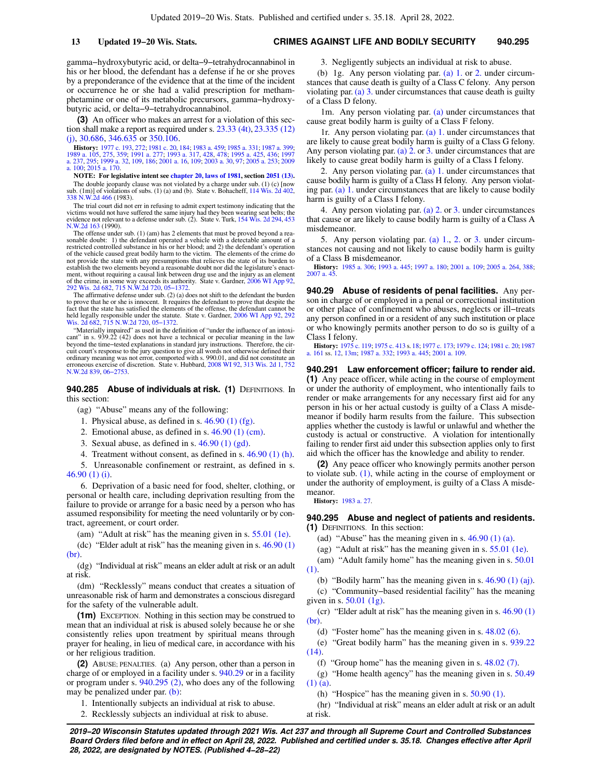gamma−hydroxybutyric acid, or delta−9−tetrahydrocannabinol in his or her blood, the defendant has a defense if he or she proves by a preponderance of the evidence that at the time of the incident or occurrence he or she had a valid prescription for methamphetamine or one of its metabolic precursors, gamma−hydroxybutyric acid, or delta−9−tetrahydrocannabinol.

**(3)** An officer who makes an arrest for a violation of this section shall make a report as required under s. [23.33 \(4t\)](https://docs-preview.legis.wisconsin.gov/document/statutes/23.33(4t)), [23.335 \(12\)](https://docs-preview.legis.wisconsin.gov/document/statutes/23.335(12)(j)) [\(j\)](https://docs-preview.legis.wisconsin.gov/document/statutes/23.335(12)(j)), [30.686,](https://docs-preview.legis.wisconsin.gov/document/statutes/30.686) [346.635](https://docs-preview.legis.wisconsin.gov/document/statutes/346.635) or [350.106](https://docs-preview.legis.wisconsin.gov/document/statutes/350.106).

**History:** [1977 c. 193](https://docs-preview.legis.wisconsin.gov/document/acts/1977/193), [272;](https://docs-preview.legis.wisconsin.gov/document/acts/1977/272) [1981 c. 20](https://docs-preview.legis.wisconsin.gov/document/acts/1981/20), [184;](https://docs-preview.legis.wisconsin.gov/document/acts/1981/184) [1983 a. 459;](https://docs-preview.legis.wisconsin.gov/document/acts/1983/459) [1985 a. 331](https://docs-preview.legis.wisconsin.gov/document/acts/1985/331); [1987 a. 399](https://docs-preview.legis.wisconsin.gov/document/acts/1987/399); [1989 a. 105,](https://docs-preview.legis.wisconsin.gov/document/acts/1989/105) [275,](https://docs-preview.legis.wisconsin.gov/document/acts/1989/275) [359](https://docs-preview.legis.wisconsin.gov/document/acts/1989/359); [1991 a. 277;](https://docs-preview.legis.wisconsin.gov/document/acts/1991/277) [1993 a. 317,](https://docs-preview.legis.wisconsin.gov/document/acts/1993/317) [428,](https://docs-preview.legis.wisconsin.gov/document/acts/1993/428) [478](https://docs-preview.legis.wisconsin.gov/document/acts/1993/478); [1995 a. 425](https://docs-preview.legis.wisconsin.gov/document/acts/1995/425), [436](https://docs-preview.legis.wisconsin.gov/document/acts/1995/436); [1997](https://docs-preview.legis.wisconsin.gov/document/acts/1997/237) [a. 237,](https://docs-preview.legis.wisconsin.gov/document/acts/1997/237) [295](https://docs-preview.legis.wisconsin.gov/document/acts/1997/295); [1999 a. 32,](https://docs-preview.legis.wisconsin.gov/document/acts/1999/32) [109,](https://docs-preview.legis.wisconsin.gov/document/acts/1999/109) [186](https://docs-preview.legis.wisconsin.gov/document/acts/1999/186); [2001 a. 16,](https://docs-preview.legis.wisconsin.gov/document/acts/2001/16) [109](https://docs-preview.legis.wisconsin.gov/document/acts/2001/109); [2003 a. 30,](https://docs-preview.legis.wisconsin.gov/document/acts/2003/30) [97;](https://docs-preview.legis.wisconsin.gov/document/acts/2003/97) [2005 a. 253;](https://docs-preview.legis.wisconsin.gov/document/acts/2005/253) [2009](https://docs-preview.legis.wisconsin.gov/document/acts/2009/100) [a. 100;](https://docs-preview.legis.wisconsin.gov/document/acts/2009/100) [2015 a. 170.](https://docs-preview.legis.wisconsin.gov/document/acts/2015/170)

**NOTE: For legislative intent see [chapter 20, laws of 1981](https://docs-preview.legis.wisconsin.gov/document/acts/1981/20), section [2051 \(13\)](https://docs-preview.legis.wisconsin.gov/document/acts/1981/20,%20s.%202051).**

The double jeopardy clause was not violated by a charge under sub. (1) (c) [now sub. (1m)] of violations of subs. (1) (a) and (b). State v. Bohacheff, [114 Wis. 2d 402](https://docs-preview.legis.wisconsin.gov/document/courts/114%20Wis.%202d%20402), [338 N.W.2d 466](https://docs-preview.legis.wisconsin.gov/document/courts/338%20N.W.2d%20466) (1983).

The trial court did not err in refusing to admit expert testimony indicating that the victims would not have suffered the same injury had they been wearing seat belts; the evidence not relevant to a defense under sub. (2). State v. Turk, [154 Wis. 2d 294](https://docs-preview.legis.wisconsin.gov/document/courts/154%20Wis.%202d%20294), [453](https://docs-preview.legis.wisconsin.gov/document/courts/453%20N.W.2d%20163) [N.W.2d 163](https://docs-preview.legis.wisconsin.gov/document/courts/453%20N.W.2d%20163) (1990).

The offense under sub. (1) (am) has 2 elements that must be proved beyond a reasonable doubt: 1) the defendant operated a vehicle with a detectable amount of a restricted controlled substance in his or her blood; and 2) the defendant's operation of the vehicle caused great bodily harm to the victim. The elements of the crime do not provide the state with any presumptions that relieves the state of its burden to establish the two elements beyond a reasonable doubt nor did the legislature's enactment, without requiring a causal link between drug use and the injury as an element of the crime, in some way exceeds its authority. State v. Gardner, [2006 WI App 92](https://docs-preview.legis.wisconsin.gov/document/courts/2006%20WI%20App%2092), [292 Wis. 2d 682,](https://docs-preview.legis.wisconsin.gov/document/courts/292%20Wis.%202d%20682) [715 N.W.2d 720,](https://docs-preview.legis.wisconsin.gov/document/courts/715%20N.W.2d%20720) [05−1372.](https://docs-preview.legis.wisconsin.gov/document/wicourtofappeals/05-1372)

The affirmative defense under sub. (2) (a) does not shift to the defendant the burden to prove that he or she is innocent. It requires the defendant to prove that despite the fact that the state has satisfied the elements of the offense, the defendant cannot be held legally responsible under the statute. State v. Gardner, [2006 WI App 92,](https://docs-preview.legis.wisconsin.gov/document/courts/2006%20WI%20App%2092) [292](https://docs-preview.legis.wisconsin.gov/document/courts/292%20Wis.%202d%20682) [Wis. 2d 682,](https://docs-preview.legis.wisconsin.gov/document/courts/292%20Wis.%202d%20682) [715 N.W.2d 720](https://docs-preview.legis.wisconsin.gov/document/courts/715%20N.W.2d%20720), [05−1372](https://docs-preview.legis.wisconsin.gov/document/wicourtofappeals/05-1372).

"Materially impaired" as used in the definition of "under the influence of an intoxi-cant" in s. 939.22 (42) does not have a technical or peculiar meaning in the law beyond the time−tested explanations in standard jury instructions. Therefore, the circuit court's response to the jury question to give all words not otherwise defined their ordinary meaning was not error, comported with s. 990.01, and did not constitute an erroneous exercise of discretion. State v. Hubbard, [2008 WI 92](https://docs-preview.legis.wisconsin.gov/document/courts/2008%20WI%2092), [313 Wis. 2d 1](https://docs-preview.legis.wisconsin.gov/document/courts/313%20Wis.%202d%201), [752](https://docs-preview.legis.wisconsin.gov/document/courts/752%20N.W.2d%20839) [N.W.2d 839,](https://docs-preview.legis.wisconsin.gov/document/courts/752%20N.W.2d%20839) [06−2753.](https://docs-preview.legis.wisconsin.gov/document/wisupremecourt/06-2753)

#### **940.285 Abuse of individuals at risk. (1) DEFINITIONS. In** this section:

(ag) "Abuse" means any of the following:

- 1. Physical abuse, as defined in s. [46.90 \(1\) \(fg\)](https://docs-preview.legis.wisconsin.gov/document/statutes/46.90(1)(fg)).
- 2. Emotional abuse, as defined in s. [46.90 \(1\) \(cm\).](https://docs-preview.legis.wisconsin.gov/document/statutes/46.90(1)(cm))
- 3. Sexual abuse, as defined in s.  $46.90$  (1) (gd).

4. Treatment without consent, as defined in s. [46.90 \(1\) \(h\)](https://docs-preview.legis.wisconsin.gov/document/statutes/46.90(1)(h)).

5. Unreasonable confinement or restraint, as defined in s. [46.90 \(1\) \(i\).](https://docs-preview.legis.wisconsin.gov/document/statutes/46.90(1)(i))

6. Deprivation of a basic need for food, shelter, clothing, or personal or health care, including deprivation resulting from the failure to provide or arrange for a basic need by a person who has assumed responsibility for meeting the need voluntarily or by contract, agreement, or court order.

(am) "Adult at risk" has the meaning given in s. [55.01 \(1e\).](https://docs-preview.legis.wisconsin.gov/document/statutes/55.01(1e))

(dc) "Elder adult at risk" has the meaning given in s. [46.90 \(1\)](https://docs-preview.legis.wisconsin.gov/document/statutes/46.90(1)(br)) [\(br\)](https://docs-preview.legis.wisconsin.gov/document/statutes/46.90(1)(br)).

(dg) "Individual at risk" means an elder adult at risk or an adult at risk.

(dm) "Recklessly" means conduct that creates a situation of unreasonable risk of harm and demonstrates a conscious disregard for the safety of the vulnerable adult.

**(1m)** EXCEPTION. Nothing in this section may be construed to mean that an individual at risk is abused solely because he or she consistently relies upon treatment by spiritual means through prayer for healing, in lieu of medical care, in accordance with his or her religious tradition.

**(2)** ABUSE; PENALTIES. (a) Any person, other than a person in charge of or employed in a facility under s. [940.29](https://docs-preview.legis.wisconsin.gov/document/statutes/940.29) or in a facility or program under s. [940.295 \(2\)](https://docs-preview.legis.wisconsin.gov/document/statutes/940.295(2)), who does any of the following may be penalized under par. [\(b\)](https://docs-preview.legis.wisconsin.gov/document/statutes/940.285(2)(b)):

1. Intentionally subjects an individual at risk to abuse.

2. Recklessly subjects an individual at risk to abuse.

3. Negligently subjects an individual at risk to abuse.

(b) 1g. Any person violating par. [\(a\) 1.](https://docs-preview.legis.wisconsin.gov/document/statutes/940.285(2)(a)1.) or [2.](https://docs-preview.legis.wisconsin.gov/document/statutes/940.285(2)(a)2.) under circumstances that cause death is guilty of a Class C felony. Any person violating par.  $(a)$  3. under circumstances that cause death is guilty of a Class D felony.

1m. Any person violating par. [\(a\)](https://docs-preview.legis.wisconsin.gov/document/statutes/940.285(2)(a)) under circumstances that cause great bodily harm is guilty of a Class F felony.

1r. Any person violating par. [\(a\) 1.](https://docs-preview.legis.wisconsin.gov/document/statutes/940.285(2)(a)1.) under circumstances that are likely to cause great bodily harm is guilty of a Class G felony. Any person violating par. [\(a\) 2.](https://docs-preview.legis.wisconsin.gov/document/statutes/940.285(2)(a)2.) or [3.](https://docs-preview.legis.wisconsin.gov/document/statutes/940.285(2)(a)3.) under circumstances that are likely to cause great bodily harm is guilty of a Class I felony.

2. Any person violating par.  $(a)$  1. under circumstances that cause bodily harm is guilty of a Class H felony. Any person violating par. [\(a\) 1.](https://docs-preview.legis.wisconsin.gov/document/statutes/940.285(2)(a)1.) under circumstances that are likely to cause bodily harm is guilty of a Class I felony.

4. Any person violating par. [\(a\) 2.](https://docs-preview.legis.wisconsin.gov/document/statutes/940.285(2)(a)2.) or [3.](https://docs-preview.legis.wisconsin.gov/document/statutes/940.285(2)(a)3.) under circumstances that cause or are likely to cause bodily harm is guilty of a Class A misdemeanor.

5. Any person violating par. [\(a\) 1.,](https://docs-preview.legis.wisconsin.gov/document/statutes/940.285(2)(a)1.) [2.](https://docs-preview.legis.wisconsin.gov/document/statutes/940.285(2)(a)2.) or [3.](https://docs-preview.legis.wisconsin.gov/document/statutes/940.285(2)(a)3.) under circumstances not causing and not likely to cause bodily harm is guilty of a Class B misdemeanor.

**History:** [1985 a. 306;](https://docs-preview.legis.wisconsin.gov/document/acts/1985/306) [1993 a. 445;](https://docs-preview.legis.wisconsin.gov/document/acts/1993/445) [1997 a. 180;](https://docs-preview.legis.wisconsin.gov/document/acts/1997/180) [2001 a. 109](https://docs-preview.legis.wisconsin.gov/document/acts/2001/109); [2005 a. 264](https://docs-preview.legis.wisconsin.gov/document/acts/2005/264), [388](https://docs-preview.legis.wisconsin.gov/document/acts/2005/388); [2007 a. 45](https://docs-preview.legis.wisconsin.gov/document/acts/2007/45)

**940.29 Abuse of residents of penal facilities.** Any person in charge of or employed in a penal or correctional institution or other place of confinement who abuses, neglects or ill−treats any person confined in or a resident of any such institution or place or who knowingly permits another person to do so is guilty of a Class I felony.

**History:** [1975 c. 119;](https://docs-preview.legis.wisconsin.gov/document/acts/1975/119) [1975 c. 413](https://docs-preview.legis.wisconsin.gov/document/acts/1975/413) s. [18](https://docs-preview.legis.wisconsin.gov/document/acts/1975/413,%20s.%2018); [1977 c. 173](https://docs-preview.legis.wisconsin.gov/document/acts/1977/173); [1979 c. 124;](https://docs-preview.legis.wisconsin.gov/document/acts/1979/124) [1981 c. 20](https://docs-preview.legis.wisconsin.gov/document/acts/1981/20); [1987](https://docs-preview.legis.wisconsin.gov/document/acts/1987/161) [a. 161](https://docs-preview.legis.wisconsin.gov/document/acts/1987/161) ss. [12,](https://docs-preview.legis.wisconsin.gov/document/acts/1987/161,%20s.%2012) [13m;](https://docs-preview.legis.wisconsin.gov/document/acts/1987/161,%20s.%2013m) [1987 a. 332;](https://docs-preview.legis.wisconsin.gov/document/acts/1987/332) [1993 a. 445](https://docs-preview.legis.wisconsin.gov/document/acts/1993/445); [2001 a. 109.](https://docs-preview.legis.wisconsin.gov/document/acts/2001/109)

**940.291 Law enforcement officer; failure to render aid. (1)** Any peace officer, while acting in the course of employment or under the authority of employment, who intentionally fails to render or make arrangements for any necessary first aid for any person in his or her actual custody is guilty of a Class A misdemeanor if bodily harm results from the failure. This subsection applies whether the custody is lawful or unlawful and whether the custody is actual or constructive. A violation for intentionally failing to render first aid under this subsection applies only to first aid which the officer has the knowledge and ability to render.

**(2)** Any peace officer who knowingly permits another person to violate sub. [\(1\),](https://docs-preview.legis.wisconsin.gov/document/statutes/940.291(1)) while acting in the course of employment or under the authority of employment, is guilty of a Class A misdemeanor.

**History:** [1983 a. 27](https://docs-preview.legis.wisconsin.gov/document/acts/1983/27).

#### **940.295 Abuse and neglect of patients and residents. (1)** DEFINITIONS. In this section:

(ad) "Abuse" has the meaning given in s.  $46.90(1)(a)$ .

(ag) "Adult at risk" has the meaning given in s. [55.01 \(1e\).](https://docs-preview.legis.wisconsin.gov/document/statutes/55.01(1e))

(am) "Adult family home" has the meaning given in s. [50.01](https://docs-preview.legis.wisconsin.gov/document/statutes/50.01(1)) [\(1\).](https://docs-preview.legis.wisconsin.gov/document/statutes/50.01(1))

(b) "Bodily harm" has the meaning given in s.  $46.90(1)(ai)$ .

(c) "Community−based residential facility" has the meaning given in s. [50.01 \(1g\)](https://docs-preview.legis.wisconsin.gov/document/statutes/50.01(1g)).

(cr) "Elder adult at risk" has the meaning given in s. [46.90 \(1\)](https://docs-preview.legis.wisconsin.gov/document/statutes/46.90(1)(br)) [\(br\).](https://docs-preview.legis.wisconsin.gov/document/statutes/46.90(1)(br))

(d) "Foster home" has the meaning given in s. [48.02 \(6\)](https://docs-preview.legis.wisconsin.gov/document/statutes/48.02(6)).

(e) "Great bodily harm" has the meaning given in s. [939.22](https://docs-preview.legis.wisconsin.gov/document/statutes/939.22(14)) [\(14\)](https://docs-preview.legis.wisconsin.gov/document/statutes/939.22(14)).

(f) "Group home" has the meaning given in s. [48.02 \(7\)](https://docs-preview.legis.wisconsin.gov/document/statutes/48.02(7)).

(g) "Home health agency" has the meaning given in s. [50.49](https://docs-preview.legis.wisconsin.gov/document/statutes/50.49(1)(a)) [\(1\) \(a\).](https://docs-preview.legis.wisconsin.gov/document/statutes/50.49(1)(a))

(h) "Hospice" has the meaning given in s. [50.90 \(1\).](https://docs-preview.legis.wisconsin.gov/document/statutes/50.90(1))

(hr) "Individual at risk" means an elder adult at risk or an adult at risk.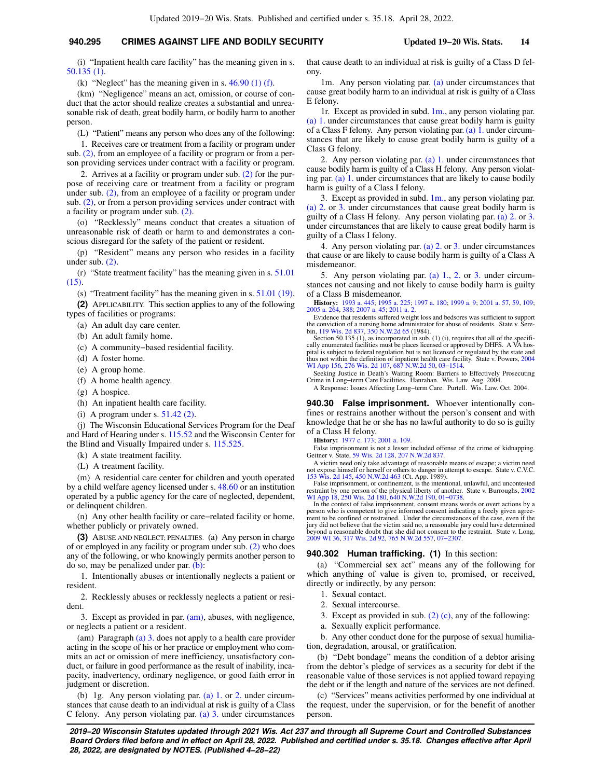## **940.295 CRIMES AGAINST LIFE AND BODILY SECURITY Updated 19−20 Wis. Stats. 14**

(i) "Inpatient health care facility" has the meaning given in s. [50.135 \(1\).](https://docs-preview.legis.wisconsin.gov/document/statutes/50.135(1))

(k) "Neglect" has the meaning given in s.  $46.90(1)$  (f).

(km) "Negligence" means an act, omission, or course of conduct that the actor should realize creates a substantial and unreasonable risk of death, great bodily harm, or bodily harm to another person.

(L) "Patient" means any person who does any of the following:

1. Receives care or treatment from a facility or program under sub. [\(2\)](https://docs-preview.legis.wisconsin.gov/document/statutes/940.295(2)), from an employee of a facility or program or from a person providing services under contract with a facility or program.

2. Arrives at a facility or program under sub. [\(2\)](https://docs-preview.legis.wisconsin.gov/document/statutes/940.295(2)) for the purpose of receiving care or treatment from a facility or program under sub. [\(2\),](https://docs-preview.legis.wisconsin.gov/document/statutes/940.295(2)) from an employee of a facility or program under sub. [\(2\)](https://docs-preview.legis.wisconsin.gov/document/statutes/940.295(2)), or from a person providing services under contract with a facility or program under sub. [\(2\)](https://docs-preview.legis.wisconsin.gov/document/statutes/940.295(2)).

(o) "Recklessly" means conduct that creates a situation of unreasonable risk of death or harm to and demonstrates a conscious disregard for the safety of the patient or resident.

(p) "Resident" means any person who resides in a facility under sub. [\(2\)](https://docs-preview.legis.wisconsin.gov/document/statutes/940.295(2)).

(r) "State treatment facility" has the meaning given in s. [51.01](https://docs-preview.legis.wisconsin.gov/document/statutes/51.01(15)) [\(15\).](https://docs-preview.legis.wisconsin.gov/document/statutes/51.01(15))

(s) "Treatment facility" has the meaning given in s. [51.01 \(19\).](https://docs-preview.legis.wisconsin.gov/document/statutes/51.01(19))

**(2)** APPLICABILITY. This section applies to any of the following types of facilities or programs:

- (a) An adult day care center.
- (b) An adult family home.
- (c) A community−based residential facility.
- (d) A foster home.
- (e) A group home.
- (f) A home health agency.
- (g) A hospice.
- (h) An inpatient health care facility.
- (i) A program under s. [51.42 \(2\).](https://docs-preview.legis.wisconsin.gov/document/statutes/51.42(2))

(j) The Wisconsin Educational Services Program for the Deaf and Hard of Hearing under s. [115.52](https://docs-preview.legis.wisconsin.gov/document/statutes/115.52) and the Wisconsin Center for the Blind and Visually Impaired under s. [115.525](https://docs-preview.legis.wisconsin.gov/document/statutes/115.525).

(k) A state treatment facility.

(L) A treatment facility.

(m) A residential care center for children and youth operated by a child welfare agency licensed under s. [48.60](https://docs-preview.legis.wisconsin.gov/document/statutes/48.60) or an institution operated by a public agency for the care of neglected, dependent, or delinquent children.

(n) Any other health facility or care−related facility or home, whether publicly or privately owned.

**(3)** ABUSE AND NEGLECT; PENALTIES. (a) Any person in charge of or employed in any facility or program under sub. [\(2\)](https://docs-preview.legis.wisconsin.gov/document/statutes/940.295(2)) who does any of the following, or who knowingly permits another person to do so, may be penalized under par. [\(b\)](https://docs-preview.legis.wisconsin.gov/document/statutes/940.295(3)(b)):

1. Intentionally abuses or intentionally neglects a patient or resident.

2. Recklessly abuses or recklessly neglects a patient or resident.

3. Except as provided in par. [\(am\)](https://docs-preview.legis.wisconsin.gov/document/statutes/940.295(3)(am)), abuses, with negligence, or neglects a patient or a resident.

(am) Paragraph [\(a\) 3.](https://docs-preview.legis.wisconsin.gov/document/statutes/940.295(3)(a)3.) does not apply to a health care provider acting in the scope of his or her practice or employment who commits an act or omission of mere inefficiency, unsatisfactory conduct, or failure in good performance as the result of inability, incapacity, inadvertency, ordinary negligence, or good faith error in judgment or discretion.

(b) 1g. Any person violating par. [\(a\) 1.](https://docs-preview.legis.wisconsin.gov/document/statutes/940.295(3)(a)1.) or [2.](https://docs-preview.legis.wisconsin.gov/document/statutes/940.295(3)(a)2.) under circumstances that cause death to an individual at risk is guilty of a Class C felony. Any person violating par. [\(a\) 3.](https://docs-preview.legis.wisconsin.gov/document/statutes/940.295(3)(a)3.) under circumstances that cause death to an individual at risk is guilty of a Class D felony.

1m. Any person violating par. [\(a\)](https://docs-preview.legis.wisconsin.gov/document/statutes/940.295(3)(a)) under circumstances that cause great bodily harm to an individual at risk is guilty of a Class E felony.

1r. Except as provided in subd. [1m.,](https://docs-preview.legis.wisconsin.gov/document/statutes/940.295(3)(b)1m.) any person violating par. [\(a\) 1.](https://docs-preview.legis.wisconsin.gov/document/statutes/940.295(3)(a)1.) under circumstances that cause great bodily harm is guilty of a Class F felony. Any person violating par. [\(a\) 1.](https://docs-preview.legis.wisconsin.gov/document/statutes/940.295(3)(a)1.) under circumstances that are likely to cause great bodily harm is guilty of a Class G felony.

2. Any person violating par. [\(a\) 1.](https://docs-preview.legis.wisconsin.gov/document/statutes/940.295(3)(a)1.) under circumstances that cause bodily harm is guilty of a Class H felony. Any person violating par. [\(a\) 1.](https://docs-preview.legis.wisconsin.gov/document/statutes/940.295(3)(a)1.) under circumstances that are likely to cause bodily harm is guilty of a Class I felony.

3. Except as provided in subd. [1m.,](https://docs-preview.legis.wisconsin.gov/document/statutes/940.295(3)(b)1m.) any person violating par. [\(a\) 2.](https://docs-preview.legis.wisconsin.gov/document/statutes/940.295(3)(a)2.) or [3.](https://docs-preview.legis.wisconsin.gov/document/statutes/940.295(3)(a)3.) under circumstances that cause great bodily harm is guilty of a Class H felony. Any person violating par. [\(a\) 2.](https://docs-preview.legis.wisconsin.gov/document/statutes/940.295(3)(a)2.) or [3.](https://docs-preview.legis.wisconsin.gov/document/statutes/940.295(3)(a)3.) under circumstances that are likely to cause great bodily harm is guilty of a Class I felony.

4. Any person violating par. [\(a\) 2.](https://docs-preview.legis.wisconsin.gov/document/statutes/940.295(3)(a)2.) or [3.](https://docs-preview.legis.wisconsin.gov/document/statutes/940.295(3)(a)3.) under circumstances that cause or are likely to cause bodily harm is guilty of a Class A misdemeanor.

5. Any person violating par. [\(a\) 1.,](https://docs-preview.legis.wisconsin.gov/document/statutes/940.295(3)(a)1.) [2.](https://docs-preview.legis.wisconsin.gov/document/statutes/940.295(3)(a)2.) or [3.](https://docs-preview.legis.wisconsin.gov/document/statutes/940.295(3)(a)3.) under circumstances not causing and not likely to cause bodily harm is guilty of a Class B misdemeanor.

**History:** [1993 a. 445;](https://docs-preview.legis.wisconsin.gov/document/acts/1993/445) [1995 a. 225;](https://docs-preview.legis.wisconsin.gov/document/acts/1995/225) [1997 a. 180;](https://docs-preview.legis.wisconsin.gov/document/acts/1997/180) [1999 a. 9](https://docs-preview.legis.wisconsin.gov/document/acts/1999/9); [2001 a. 57,](https://docs-preview.legis.wisconsin.gov/document/acts/2001/57) [59](https://docs-preview.legis.wisconsin.gov/document/acts/2001/59), [109](https://docs-preview.legis.wisconsin.gov/document/acts/2001/109); [2005 a. 264,](https://docs-preview.legis.wisconsin.gov/document/acts/2005/264) [388](https://docs-preview.legis.wisconsin.gov/document/acts/2005/388); [2007 a. 45](https://docs-preview.legis.wisconsin.gov/document/acts/2007/45); [2011 a. 2.](https://docs-preview.legis.wisconsin.gov/document/acts/2011/2)

Evidence that residents suffered weight loss and bedsores was sufficient to support the conviction of a nursing home administrator for abuse of residents. State v. Serebin, [119 Wis. 2d 837](https://docs-preview.legis.wisconsin.gov/document/courts/119%20Wis.%202d%20837), [350 N.W.2d 65](https://docs-preview.legis.wisconsin.gov/document/courts/350%20N.W.2d%2065) (1984).

Section 50.135 (1), as incorporated in sub. (1) (i), requires that all of the specifically enumerated facilities must be places licensed or approved by DHFS. A VA hospital is subject to federal regulation but is not licensed or regulated by the state and thus not within the definition of inpatient health care facility. State v. Powers, [2004](https://docs-preview.legis.wisconsin.gov/document/courts/2004%20WI%20App%20156) [WI App 156](https://docs-preview.legis.wisconsin.gov/document/courts/2004%20WI%20App%20156), [276 Wis. 2d 107,](https://docs-preview.legis.wisconsin.gov/document/courts/276%20Wis.%202d%20107) [687 N.W.2d 50,](https://docs-preview.legis.wisconsin.gov/document/courts/687%20N.W.2d%2050) [03−1514.](https://docs-preview.legis.wisconsin.gov/document/wicourtofappeals/03-1514)

Seeking Justice in Death's Waiting Room: Barriers to Effectively Prosecuting Crime in Long−term Care Facilities. Hanrahan. Wis. Law. Aug. 2004.

A Response: Issues Affecting Long−term Care. Purtell. Wis. Law. Oct. 2004.

**940.30 False imprisonment.** Whoever intentionally confines or restrains another without the person's consent and with knowledge that he or she has no lawful authority to do so is guilty of a Class H felony.

**History:** [1977 c. 173;](https://docs-preview.legis.wisconsin.gov/document/acts/1977/173) [2001 a. 109](https://docs-preview.legis.wisconsin.gov/document/acts/2001/109).

False imprisonment is not a lesser included offense of the crime of kidnapping. Geitner v. State, [59 Wis. 2d 128](https://docs-preview.legis.wisconsin.gov/document/courts/59%20Wis.%202d%20128), [207 N.W.2d 837.](https://docs-preview.legis.wisconsin.gov/document/courts/207%20N.W.2d%20837)

A victim need only take advantage of reasonable means of escape; a victim need not expose himself or herself or others to danger in attempt to escape. State v. C.V.C. [153 Wis. 2d 145](https://docs-preview.legis.wisconsin.gov/document/courts/153%20Wis.%202d%20145), [450 N.W.2d 463](https://docs-preview.legis.wisconsin.gov/document/courts/450%20N.W.2d%20463) (Ct. App. 1989).

False imprisonment, or confinement, is the intentional, unlawful, and uncontested restraint by one person of the physical liberty of another. State v. Burroughs, [2002](https://docs-preview.legis.wisconsin.gov/document/courts/2002%20WI%20App%2018) [WI App 18,](https://docs-preview.legis.wisconsin.gov/document/courts/2002%20WI%20App%2018) [250 Wis. 2d 180](https://docs-preview.legis.wisconsin.gov/document/courts/250%20Wis.%202d%20180), [640 N.W.2d 190,](https://docs-preview.legis.wisconsin.gov/document/courts/640%20N.W.2d%20190) [01−0738.](https://docs-preview.legis.wisconsin.gov/document/wicourtofappeals/01-0738)

In the context of false imprisonment, consent means words or overt actions by a person who is competent to give informed consent indicating a freely given agreement to be confined or restrained. Under the circumstances of the case, even if the jury did not believe that the victim said no, a reasonable jury could have determined beyond a reasonable doubt that she did not consent to the restraint. State v. Long, [2009 WI 36](https://docs-preview.legis.wisconsin.gov/document/courts/2009%20WI%2036), [317 Wis. 2d 92,](https://docs-preview.legis.wisconsin.gov/document/courts/317%20Wis.%202d%2092) [765 N.W.2d 557](https://docs-preview.legis.wisconsin.gov/document/courts/765%20N.W.2d%20557), [07−2307](https://docs-preview.legis.wisconsin.gov/document/wisupremecourt/07-2307).

#### **940.302 Human trafficking. (1)** In this section:

(a) "Commercial sex act" means any of the following for which anything of value is given to, promised, or received, directly or indirectly, by any person:

- 1. Sexual contact.
- 2. Sexual intercourse.
- 3. Except as provided in sub. [\(2\) \(c\),](https://docs-preview.legis.wisconsin.gov/document/statutes/940.302(2)(c)) any of the following:
- a. Sexually explicit performance.

b. Any other conduct done for the purpose of sexual humiliation, degradation, arousal, or gratification.

(b) "Debt bondage" means the condition of a debtor arising from the debtor's pledge of services as a security for debt if the reasonable value of those services is not applied toward repaying the debt or if the length and nature of the services are not defined.

(c) "Services" means activities performed by one individual at the request, under the supervision, or for the benefit of another person.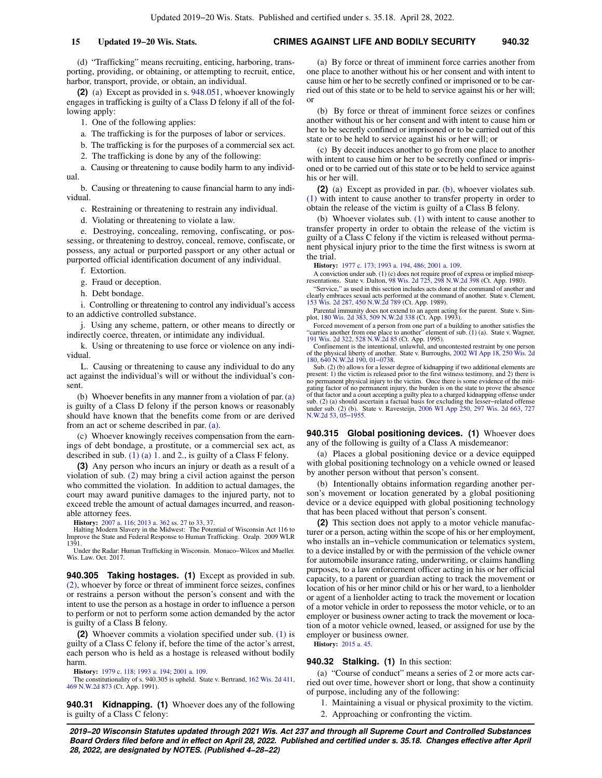(d) "Trafficking" means recruiting, enticing, harboring, transporting, providing, or obtaining, or attempting to recruit, entice, harbor, transport, provide, or obtain, an individual.

**(2)** (a) Except as provided in s. [948.051](https://docs-preview.legis.wisconsin.gov/document/statutes/948.051), whoever knowingly engages in trafficking is guilty of a Class D felony if all of the following apply:

1. One of the following applies:

a. The trafficking is for the purposes of labor or services.

b. The trafficking is for the purposes of a commercial sex act.

2. The trafficking is done by any of the following:

a. Causing or threatening to cause bodily harm to any individual.

b. Causing or threatening to cause financial harm to any individual.

c. Restraining or threatening to restrain any individual.

d. Violating or threatening to violate a law.

e. Destroying, concealing, removing, confiscating, or possessing, or threatening to destroy, conceal, remove, confiscate, or possess, any actual or purported passport or any other actual or purported official identification document of any individual.

f. Extortion.

g. Fraud or deception.

h. Debt bondage.

i. Controlling or threatening to control any individual's access to an addictive controlled substance.

j. Using any scheme, pattern, or other means to directly or indirectly coerce, threaten, or intimidate any individual.

k. Using or threatening to use force or violence on any individual.

L. Causing or threatening to cause any individual to do any act against the individual's will or without the individual's consent.

(b) Whoever benefits in any manner from a violation of par. [\(a\)](https://docs-preview.legis.wisconsin.gov/document/statutes/940.302(2)(a)) is guilty of a Class D felony if the person knows or reasonably should have known that the benefits come from or are derived from an act or scheme described in par. [\(a\)](https://docs-preview.legis.wisconsin.gov/document/statutes/940.302(2)(a)).

(c) Whoever knowingly receives compensation from the earnings of debt bondage, a prostitute, or a commercial sex act, as described in sub.  $(1)$  (a) 1. and [2.](https://docs-preview.legis.wisconsin.gov/document/statutes/940.302(1)(a)2.), is guilty of a Class F felony.

**(3)** Any person who incurs an injury or death as a result of a violation of sub. [\(2\)](https://docs-preview.legis.wisconsin.gov/document/statutes/940.302(2)) may bring a civil action against the person who committed the violation. In addition to actual damages, the court may award punitive damages to the injured party, not to exceed treble the amount of actual damages incurred, and reasonable attorney fees.

**History:** [2007 a. 116](https://docs-preview.legis.wisconsin.gov/document/acts/2007/116); [2013 a. 362](https://docs-preview.legis.wisconsin.gov/document/acts/2013/362) ss. [27](https://docs-preview.legis.wisconsin.gov/document/acts/2013/362,%20s.%2027) to [33](https://docs-preview.legis.wisconsin.gov/document/acts/2013/362,%20s.%2033), [37](https://docs-preview.legis.wisconsin.gov/document/acts/2013/362,%20s.%2037). Halting Modern Slavery in the Midwest: The Potential of Wisconsin Act 116 to Improve the State and Federal Response to Human Trafficking. Ozalp. 2009 WLR 1391.

Under the Radar: Human Trafficking in Wisconsin. Monaco−Wilcox and Mueller. Wis. Law. Oct. 2017.

**940.305 Taking hostages. (1)** Except as provided in sub. [\(2\)](https://docs-preview.legis.wisconsin.gov/document/statutes/940.305(2)), whoever by force or threat of imminent force seizes, confines or restrains a person without the person's consent and with the intent to use the person as a hostage in order to influence a person to perform or not to perform some action demanded by the actor is guilty of a Class B felony.

**(2)** Whoever commits a violation specified under sub. [\(1\)](https://docs-preview.legis.wisconsin.gov/document/statutes/940.305(1)) is guilty of a Class C felony if, before the time of the actor's arrest, each person who is held as a hostage is released without bodily harm.

**History:** [1979 c. 118](https://docs-preview.legis.wisconsin.gov/document/acts/1979/118); [1993 a. 194;](https://docs-preview.legis.wisconsin.gov/document/acts/1993/194) [2001 a. 109](https://docs-preview.legis.wisconsin.gov/document/acts/2001/109).

The constitutionality of s. 940.305 is upheld. State v. Bertrand, [162 Wis. 2d 411](https://docs-preview.legis.wisconsin.gov/document/courts/162%20Wis.%202d%20411), [469 N.W.2d 873](https://docs-preview.legis.wisconsin.gov/document/courts/469%20N.W.2d%20873) (Ct. App. 1991).

**940.31 Kidnapping. (1)** Whoever does any of the following is guilty of a Class C felony:

(a) By force or threat of imminent force carries another from one place to another without his or her consent and with intent to cause him or her to be secretly confined or imprisoned or to be carried out of this state or to be held to service against his or her will; or

(b) By force or threat of imminent force seizes or confines another without his or her consent and with intent to cause him or her to be secretly confined or imprisoned or to be carried out of this state or to be held to service against his or her will; or

(c) By deceit induces another to go from one place to another with intent to cause him or her to be secretly confined or imprisoned or to be carried out of this state or to be held to service against his or her will.

**(2)** (a) Except as provided in par. [\(b\),](https://docs-preview.legis.wisconsin.gov/document/statutes/940.31(2)(b)) whoever violates sub. [\(1\)](https://docs-preview.legis.wisconsin.gov/document/statutes/940.31(1)) with intent to cause another to transfer property in order to obtain the release of the victim is guilty of a Class B felony.

(b) Whoever violates sub. [\(1\)](https://docs-preview.legis.wisconsin.gov/document/statutes/940.31(1)) with intent to cause another to transfer property in order to obtain the release of the victim is guilty of a Class C felony if the victim is released without permanent physical injury prior to the time the first witness is sworn at the trial.

**History:** [1977 c. 173;](https://docs-preview.legis.wisconsin.gov/document/acts/1977/173) [1993 a. 194](https://docs-preview.legis.wisconsin.gov/document/acts/1993/194), [486](https://docs-preview.legis.wisconsin.gov/document/acts/1993/486); [2001 a. 109](https://docs-preview.legis.wisconsin.gov/document/acts/2001/109).

A conviction under sub. (1) (c) does not require proof of express or implied misrep-resentations. State v. Dalton, [98 Wis. 2d 725](https://docs-preview.legis.wisconsin.gov/document/courts/98%20Wis.%202d%20725), [298 N.W.2d 398](https://docs-preview.legis.wisconsin.gov/document/courts/298%20N.W.2d%20398) (Ct. App. 1980).

"Service," as used in this section includes acts done at the command of another and clearly embraces sexual acts performed at the command of another. State v. Clement, [153 Wis. 2d 287](https://docs-preview.legis.wisconsin.gov/document/courts/153%20Wis.%202d%20287), [450 N.W.2d 789](https://docs-preview.legis.wisconsin.gov/document/courts/450%20N.W.2d%20789) (Ct. App. 1989).

Parental immunity does not extend to an agent acting for the parent. State v. Sim-plot, [180 Wis. 2d 383](https://docs-preview.legis.wisconsin.gov/document/courts/180%20Wis.%202d%20383), [509 N.W.2d 338](https://docs-preview.legis.wisconsin.gov/document/courts/509%20N.W.2d%20338) (Ct. App. 1993).

Forced movement of a person from one part of a building to another satisfies the "carries another from one place to another" element of sub. (1) (a). State v. Wagner, [191 Wis. 2d 322](https://docs-preview.legis.wisconsin.gov/document/courts/191%20Wis.%202d%20322), [528 N.W.2d 85](https://docs-preview.legis.wisconsin.gov/document/courts/528%20N.W.2d%2085) (Ct. App. 1995). Confinement is the intentional, unlawful, and uncontested restraint by one person

of the physical liberty of another. State v. Burroughs, [2002 WI App 18,](https://docs-preview.legis.wisconsin.gov/document/courts/2002%20WI%20App%2018) [250 Wis. 2d](https://docs-preview.legis.wisconsin.gov/document/courts/250%20Wis.%202d%20180) [180,](https://docs-preview.legis.wisconsin.gov/document/courts/250%20Wis.%202d%20180) [640 N.W.2d 190](https://docs-preview.legis.wisconsin.gov/document/courts/640%20N.W.2d%20190), [01−0738](https://docs-preview.legis.wisconsin.gov/document/wicourtofappeals/01-0738).

Sub. (2) (b) allows for a lesser degree of kidnapping if two additional elements are present: 1) the victim is released prior to the first witness testimony, and 2) there is no permanent physical injury to the victim. Once there is some evidence of the mitigating factor of no permanent injury, the burden is on the state to prove the absence of that factor and a court accepting a guilty plea to a charged kidnapping offense under sub. (2) (a) should ascertain a factual basis for excluding the lesser−related offense under sub. (2) (b). State v. Ravesteijn, [2006 WI App 250](https://docs-preview.legis.wisconsin.gov/document/courts/2006%20WI%20App%20250), [297 Wis. 2d 663,](https://docs-preview.legis.wisconsin.gov/document/courts/297%20Wis.%202d%20663) [727](https://docs-preview.legis.wisconsin.gov/document/courts/727%20N.W.2d%2053) [N.W.2d 53](https://docs-preview.legis.wisconsin.gov/document/courts/727%20N.W.2d%2053), [05−1955](https://docs-preview.legis.wisconsin.gov/document/wicourtofappeals/05-1955).

**940.315 Global positioning devices. (1)** Whoever does any of the following is guilty of a Class A misdemeanor:

(a) Places a global positioning device or a device equipped with global positioning technology on a vehicle owned or leased by another person without that person's consent.

(b) Intentionally obtains information regarding another person's movement or location generated by a global positioning device or a device equipped with global positioning technology that has been placed without that person's consent.

**(2)** This section does not apply to a motor vehicle manufacturer or a person, acting within the scope of his or her employment, who installs an in−vehicle communication or telematics system, to a device installed by or with the permission of the vehicle owner for automobile insurance rating, underwriting, or claims handling purposes, to a law enforcement officer acting in his or her official capacity, to a parent or guardian acting to track the movement or location of his or her minor child or his or her ward, to a lienholder or agent of a lienholder acting to track the movement or location of a motor vehicle in order to repossess the motor vehicle, or to an employer or business owner acting to track the movement or location of a motor vehicle owned, leased, or assigned for use by the employer or business owner.

**History:** [2015 a. 45](https://docs-preview.legis.wisconsin.gov/document/acts/2015/45).

#### **940.32 Stalking. (1)** In this section:

(a) "Course of conduct" means a series of 2 or more acts carried out over time, however short or long, that show a continuity of purpose, including any of the following:

- 1. Maintaining a visual or physical proximity to the victim.
- 2. Approaching or confronting the victim.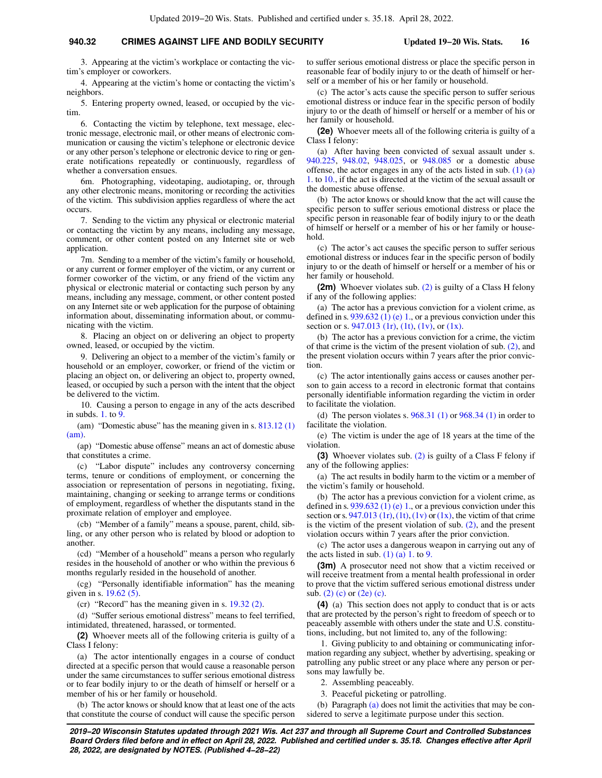## **940.32 CRIMES AGAINST LIFE AND BODILY SECURITY Updated 19−20 Wis. Stats. 16**

3. Appearing at the victim's workplace or contacting the victim's employer or coworkers.

4. Appearing at the victim's home or contacting the victim's neighbors.

5. Entering property owned, leased, or occupied by the victim.

6. Contacting the victim by telephone, text message, electronic message, electronic mail, or other means of electronic communication or causing the victim's telephone or electronic device or any other person's telephone or electronic device to ring or generate notifications repeatedly or continuously, regardless of whether a conversation ensues.

6m. Photographing, videotaping, audiotaping, or, through any other electronic means, monitoring or recording the activities of the victim. This subdivision applies regardless of where the act occurs.

7. Sending to the victim any physical or electronic material or contacting the victim by any means, including any message, comment, or other content posted on any Internet site or web application.

7m. Sending to a member of the victim's family or household, or any current or former employer of the victim, or any current or former coworker of the victim, or any friend of the victim any physical or electronic material or contacting such person by any means, including any message, comment, or other content posted on any Internet site or web application for the purpose of obtaining information about, disseminating information about, or communicating with the victim.

8. Placing an object on or delivering an object to property owned, leased, or occupied by the victim.

9. Delivering an object to a member of the victim's family or household or an employer, coworker, or friend of the victim or placing an object on, or delivering an object to, property owned, leased, or occupied by such a person with the intent that the object be delivered to the victim.

10. Causing a person to engage in any of the acts described in subds.  $1.$  to  $9.$ 

(am) "Domestic abuse" has the meaning given in s. [813.12 \(1\)](https://docs-preview.legis.wisconsin.gov/document/statutes/813.12(1)(am)) [\(am\).](https://docs-preview.legis.wisconsin.gov/document/statutes/813.12(1)(am))

(ap) "Domestic abuse offense" means an act of domestic abuse that constitutes a crime.

(c) "Labor dispute" includes any controversy concerning terms, tenure or conditions of employment, or concerning the association or representation of persons in negotiating, fixing, maintaining, changing or seeking to arrange terms or conditions of employment, regardless of whether the disputants stand in the proximate relation of employer and employee.

(cb) "Member of a family" means a spouse, parent, child, sibling, or any other person who is related by blood or adoption to another.

(cd) "Member of a household" means a person who regularly resides in the household of another or who within the previous 6 months regularly resided in the household of another.

(cg) "Personally identifiable information" has the meaning given in s. [19.62 \(5\).](https://docs-preview.legis.wisconsin.gov/document/statutes/19.62(5))

(cr) "Record" has the meaning given in s. [19.32 \(2\).](https://docs-preview.legis.wisconsin.gov/document/statutes/19.32(2))

(d) "Suffer serious emotional distress" means to feel terrified, intimidated, threatened, harassed, or tormented.

**(2)** Whoever meets all of the following criteria is guilty of a Class I felony:

(a) The actor intentionally engages in a course of conduct directed at a specific person that would cause a reasonable person under the same circumstances to suffer serious emotional distress or to fear bodily injury to or the death of himself or herself or a member of his or her family or household.

(b) The actor knows or should know that at least one of the acts that constitute the course of conduct will cause the specific person to suffer serious emotional distress or place the specific person in reasonable fear of bodily injury to or the death of himself or herself or a member of his or her family or household.

(c) The actor's acts cause the specific person to suffer serious emotional distress or induce fear in the specific person of bodily injury to or the death of himself or herself or a member of his or her family or household.

**(2e)** Whoever meets all of the following criteria is guilty of a Class I felony:

(a) After having been convicted of sexual assault under s. [940.225](https://docs-preview.legis.wisconsin.gov/document/statutes/940.225), [948.02,](https://docs-preview.legis.wisconsin.gov/document/statutes/948.02) [948.025](https://docs-preview.legis.wisconsin.gov/document/statutes/948.025), or [948.085](https://docs-preview.legis.wisconsin.gov/document/statutes/948.085) or a domestic abuse offense, the actor engages in any of the acts listed in sub.  $(1)$  (a) [1.](https://docs-preview.legis.wisconsin.gov/document/statutes/940.32(1)(a)1.) to [10.,](https://docs-preview.legis.wisconsin.gov/document/statutes/940.32(1)(a)10.) if the act is directed at the victim of the sexual assault or the domestic abuse offense.

(b) The actor knows or should know that the act will cause the specific person to suffer serious emotional distress or place the specific person in reasonable fear of bodily injury to or the death of himself or herself or a member of his or her family or household.

(c) The actor's act causes the specific person to suffer serious emotional distress or induces fear in the specific person of bodily injury to or the death of himself or herself or a member of his or her family or household.

**(2m)** Whoever violates sub. [\(2\)](https://docs-preview.legis.wisconsin.gov/document/statutes/940.32(2)) is guilty of a Class H felony if any of the following applies:

(a) The actor has a previous conviction for a violent crime, as defined in s. [939.632 \(1\) \(e\) 1.,](https://docs-preview.legis.wisconsin.gov/document/statutes/939.632(1)(e)1.) or a previous conviction under this section or s.  $947.013$  (1r), [\(1t\),](https://docs-preview.legis.wisconsin.gov/document/statutes/947.013(1t)) [\(1v\)](https://docs-preview.legis.wisconsin.gov/document/statutes/947.013(1v)), or [\(1x\).](https://docs-preview.legis.wisconsin.gov/document/statutes/947.013(1x))

(b) The actor has a previous conviction for a crime, the victim of that crime is the victim of the present violation of sub. [\(2\),](https://docs-preview.legis.wisconsin.gov/document/statutes/940.32(2)) and the present violation occurs within 7 years after the prior conviction.

(c) The actor intentionally gains access or causes another person to gain access to a record in electronic format that contains personally identifiable information regarding the victim in order to facilitate the violation.

(d) The person violates s. [968.31 \(1\)](https://docs-preview.legis.wisconsin.gov/document/statutes/968.31(1)) or [968.34 \(1\)](https://docs-preview.legis.wisconsin.gov/document/statutes/968.34(1)) in order to facilitate the violation.

(e) The victim is under the age of 18 years at the time of the violation.

**(3)** Whoever violates sub. [\(2\)](https://docs-preview.legis.wisconsin.gov/document/statutes/940.32(2)) is guilty of a Class F felony if any of the following applies:

(a) The act results in bodily harm to the victim or a member of the victim's family or household.

(b) The actor has a previous conviction for a violent crime, as defined in s. [939.632 \(1\) \(e\) 1.,](https://docs-preview.legis.wisconsin.gov/document/statutes/939.632(1)(e)1.) or a previous conviction under this section or s.  $947.013$  (1r), [\(1t\),](https://docs-preview.legis.wisconsin.gov/document/statutes/947.013(1t)) [\(1v\)](https://docs-preview.legis.wisconsin.gov/document/statutes/947.013(1v)) or [\(1x\),](https://docs-preview.legis.wisconsin.gov/document/statutes/947.013(1x)) the victim of that crime is the victim of the present violation of sub.  $(2)$ , and the present violation occurs within 7 years after the prior conviction.

(c) The actor uses a dangerous weapon in carrying out any of the acts listed in sub.  $(1)$   $(a)$  1. to [9.](https://docs-preview.legis.wisconsin.gov/document/statutes/940.32(1)(a)9.)

**(3m)** A prosecutor need not show that a victim received or will receive treatment from a mental health professional in order to prove that the victim suffered serious emotional distress under sub. [\(2\) \(c\)](https://docs-preview.legis.wisconsin.gov/document/statutes/940.32(2)(c)) or [\(2e\) \(c\).](https://docs-preview.legis.wisconsin.gov/document/statutes/940.32(2e)(c))

**(4)** (a) This section does not apply to conduct that is or acts that are protected by the person's right to freedom of speech or to peaceably assemble with others under the state and U.S. constitutions, including, but not limited to, any of the following:

1. Giving publicity to and obtaining or communicating information regarding any subject, whether by advertising, speaking or patrolling any public street or any place where any person or persons may lawfully be.

2. Assembling peaceably.

3. Peaceful picketing or patrolling.

(b) Paragraph  $(a)$  does not limit the activities that may be considered to serve a legitimate purpose under this section.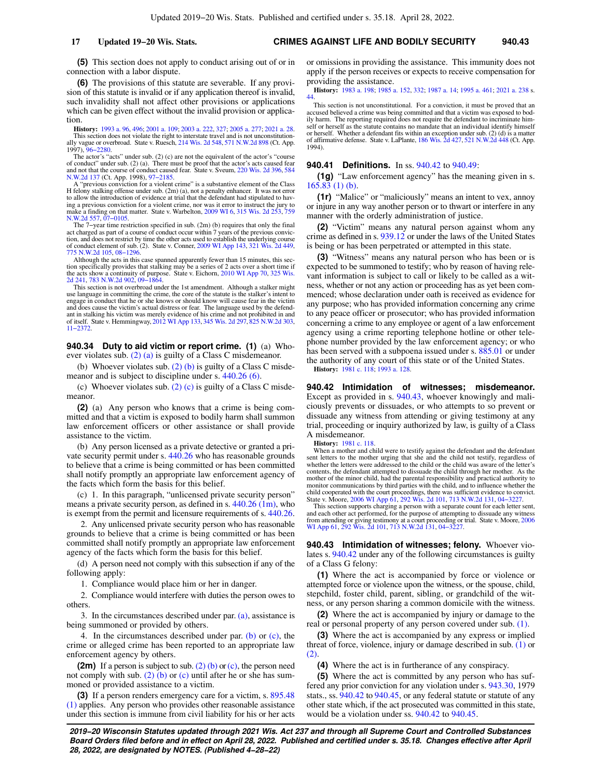**(5)** This section does not apply to conduct arising out of or in connection with a labor dispute.

**(6)** The provisions of this statute are severable. If any provision of this statute is invalid or if any application thereof is invalid, such invalidity shall not affect other provisions or applications which can be given effect without the invalid provision or application.

**History:** [1993 a. 96](https://docs-preview.legis.wisconsin.gov/document/acts/1993/96), [496](https://docs-preview.legis.wisconsin.gov/document/acts/1993/496); [2001 a. 109;](https://docs-preview.legis.wisconsin.gov/document/acts/2001/109) [2003 a. 222,](https://docs-preview.legis.wisconsin.gov/document/acts/2003/222) [327](https://docs-preview.legis.wisconsin.gov/document/acts/2003/327); [2005 a. 277](https://docs-preview.legis.wisconsin.gov/document/acts/2005/277); [2021 a. 28](https://docs-preview.legis.wisconsin.gov/document/acts/2021/28). This section does not violate the right to interstate travel and is not unconstitution-ally vague or overbroad. State v. Ruesch, [214 Wis. 2d 548,](https://docs-preview.legis.wisconsin.gov/document/courts/214%20Wis.%202d%20548) [571 N.W.2d 898](https://docs-preview.legis.wisconsin.gov/document/courts/571%20N.W.2d%20898) (Ct. App. 1997), [96−2280](https://docs-preview.legis.wisconsin.gov/document/wicourtofappeals/96-2280).

The actor's "acts" under sub. (2) (c) are not the equivalent of the actor's "course of conduct" under sub. (2) (a). There must be proof that the actor's acts caused fear and not that the course of conduct caused fear. State v. Sveum, [220 Wis. 2d 396](https://docs-preview.legis.wisconsin.gov/document/courts/220%20Wis.%202d%20396), [584](https://docs-preview.legis.wisconsin.gov/document/courts/584%20N.W.2d%20137) [N.W.2d 137](https://docs-preview.legis.wisconsin.gov/document/courts/584%20N.W.2d%20137) (Ct. App. 1998), [97−2185.](https://docs-preview.legis.wisconsin.gov/document/wicourtofappeals/97-2185) A "previous conviction for a violent crime" is a substantive element of the Class

H felony stalking offense under sub. (2m) (a), not a penalty enhancer. It was not error to allow the introduction of evidence at trial that the defendant had stipulated to hav-ing a previous conviction for a violent crime, nor was it error to instruct the jury to make a finding on that matter. State v. Warbelton, [2009 WI 6](https://docs-preview.legis.wisconsin.gov/document/courts/2009%20WI%206), [315 Wis. 2d 253](https://docs-preview.legis.wisconsin.gov/document/courts/315%20Wis.%202d%20253), [759](https://docs-preview.legis.wisconsin.gov/document/courts/759%20N.W.2d%20557) [N.W.2d 557,](https://docs-preview.legis.wisconsin.gov/document/courts/759%20N.W.2d%20557) [07−0105.](https://docs-preview.legis.wisconsin.gov/document/wisupremecourt/07-0105)

The 7−year time restriction specified in sub. (2m) (b) requires that only the final act charged as part of a course of conduct occur within 7 years of the previous conviction, and does not restrict by time the other acts used to establish the underlying course of conduct element of sub. (2). State v. Conner, [2009 WI App 143](https://docs-preview.legis.wisconsin.gov/document/courts/2009%20WI%20App%20143), [321 Wis. 2d 449](https://docs-preview.legis.wisconsin.gov/document/courts/321%20Wis.%202d%20449), [775 N.W.2d 105,](https://docs-preview.legis.wisconsin.gov/document/courts/775%20N.W.2d%20105) [08−1296](https://docs-preview.legis.wisconsin.gov/document/wicourtofappeals/08-1296).

Although the acts in this case spanned apparently fewer than 15 minutes, this section specifically provides that stalking may be a series of 2 acts over a short time if the acts show a continuity of purpose. State v. Eich

This section is not overbroad under the 1st amendment. Although a stalker might use language in committing the crime, the core of the statute is the stalker's intent to engage in conduct that he or she knows or should know will cause fear in the victim and does cause the victim's actual distress or fear. The language used by the defendant in stalking his victim was merely evidence of his crime and not prohibited in and of itself. State v. Hemmingway, [2012 WI App 133,](https://docs-preview.legis.wisconsin.gov/document/courts/2012%20WI%20App%20133) [345 Wis. 2d 297,](https://docs-preview.legis.wisconsin.gov/document/courts/345%20Wis.%202d%20297) [825 N.W.2d 303](https://docs-preview.legis.wisconsin.gov/document/courts/825%20N.W.2d%20303), [11−2372](https://docs-preview.legis.wisconsin.gov/document/wicourtofappeals/11-2372).

**940.34 Duty to aid victim or report crime. (1)** (a) Whoever violates sub. [\(2\) \(a\)](https://docs-preview.legis.wisconsin.gov/document/statutes/940.34(2)(a)) is guilty of a Class C misdemeanor.

(b) Whoever violates sub.  $(2)$  (b) is guilty of a Class C misdemeanor and is subject to discipline under s. [440.26 \(6\)](https://docs-preview.legis.wisconsin.gov/document/statutes/440.26(6)).

(c) Whoever violates sub. [\(2\) \(c\)](https://docs-preview.legis.wisconsin.gov/document/statutes/940.34(2)(c)) is guilty of a Class C misdemeanor.

**(2)** (a) Any person who knows that a crime is being committed and that a victim is exposed to bodily harm shall summon law enforcement officers or other assistance or shall provide assistance to the victim.

(b) Any person licensed as a private detective or granted a private security permit under s. [440.26](https://docs-preview.legis.wisconsin.gov/document/statutes/440.26) who has reasonable grounds to believe that a crime is being committed or has been committed shall notify promptly an appropriate law enforcement agency of the facts which form the basis for this belief.

(c) 1. In this paragraph, "unlicensed private security person" means a private security person, as defined in s. [440.26 \(1m\),](https://docs-preview.legis.wisconsin.gov/document/statutes/440.26(1m)) who is exempt from the permit and licensure requirements of s. [440.26.](https://docs-preview.legis.wisconsin.gov/document/statutes/440.26)

2. Any unlicensed private security person who has reasonable grounds to believe that a crime is being committed or has been committed shall notify promptly an appropriate law enforcement agency of the facts which form the basis for this belief.

(d) A person need not comply with this subsection if any of the following apply:

1. Compliance would place him or her in danger.

2. Compliance would interfere with duties the person owes to others.

3. In the circumstances described under par. [\(a\)](https://docs-preview.legis.wisconsin.gov/document/statutes/940.34(2)(a)), assistance is being summoned or provided by others.

4. In the circumstances described under par. [\(b\)](https://docs-preview.legis.wisconsin.gov/document/statutes/940.34(2)(b)) or  $(c)$ , the crime or alleged crime has been reported to an appropriate law enforcement agency by others.

**(2m)** If a person is subject to sub. [\(2\) \(b\)](https://docs-preview.legis.wisconsin.gov/document/statutes/940.34(2)(b)) or [\(c\),](https://docs-preview.legis.wisconsin.gov/document/statutes/940.34(2)(c)) the person need not comply with sub.  $(2)$  (b) or [\(c\)](https://docs-preview.legis.wisconsin.gov/document/statutes/940.34(2)(c)) until after he or she has summoned or provided assistance to a victim.

**(3)** If a person renders emergency care for a victim, s. [895.48](https://docs-preview.legis.wisconsin.gov/document/statutes/895.48(1)) [\(1\)](https://docs-preview.legis.wisconsin.gov/document/statutes/895.48(1)) applies. Any person who provides other reasonable assistance under this section is immune from civil liability for his or her acts or omissions in providing the assistance. This immunity does not apply if the person receives or expects to receive compensation for providing the assistance.

**History:** [1983 a. 198;](https://docs-preview.legis.wisconsin.gov/document/acts/1983/198) [1985 a. 152](https://docs-preview.legis.wisconsin.gov/document/acts/1985/152), [332](https://docs-preview.legis.wisconsin.gov/document/acts/1985/332); [1987 a. 14](https://docs-preview.legis.wisconsin.gov/document/acts/1987/14); [1995 a. 461](https://docs-preview.legis.wisconsin.gov/document/acts/1995/461); [2021 a. 238](https://docs-preview.legis.wisconsin.gov/document/acts/2021/238) s. [44](https://docs-preview.legis.wisconsin.gov/document/acts/2021/238,%20s.%2044).

This section is not unconstitutional. For a conviction, it must be proved that an accused believed a crime was being committed and that a victim was exposed to bod-ily harm. The reporting required does not require the defendant to incriminate himself or herself as the statute contains no mandate that an individual identify himself or herself. Whether a defendant fits within an exception under sub. (2) (d) is a matter of affirmative defense. State v. LaPlante, [186 Wis. 2d 427,](https://docs-preview.legis.wisconsin.gov/document/courts/186%20Wis.%202d%20427) [521 N.W.2d 448](https://docs-preview.legis.wisconsin.gov/document/courts/521%20N.W.2d%20448) (Ct. App. 1994).

#### **940.41 Definitions.** In ss. [940.42](https://docs-preview.legis.wisconsin.gov/document/statutes/940.42) to [940.49](https://docs-preview.legis.wisconsin.gov/document/statutes/940.49):

**(1g)** "Law enforcement agency" has the meaning given in s. [165.83 \(1\) \(b\).](https://docs-preview.legis.wisconsin.gov/document/statutes/165.83(1)(b))

**(1r)** "Malice" or "maliciously" means an intent to vex, annoy or injure in any way another person or to thwart or interfere in any manner with the orderly administration of justice.

**(2)** "Victim" means any natural person against whom any crime as defined in s. [939.12](https://docs-preview.legis.wisconsin.gov/document/statutes/939.12) or under the laws of the United States is being or has been perpetrated or attempted in this state.

**(3)** "Witness" means any natural person who has been or is expected to be summoned to testify; who by reason of having relevant information is subject to call or likely to be called as a witness, whether or not any action or proceeding has as yet been commenced; whose declaration under oath is received as evidence for any purpose; who has provided information concerning any crime to any peace officer or prosecutor; who has provided information concerning a crime to any employee or agent of a law enforcement agency using a crime reporting telephone hotline or other telephone number provided by the law enforcement agency; or who has been served with a subpoena issued under s. [885.01](https://docs-preview.legis.wisconsin.gov/document/statutes/885.01) or under the authority of any court of this state or of the United States.

**History:** [1981 c. 118](https://docs-preview.legis.wisconsin.gov/document/acts/1981/118); [1993 a. 128.](https://docs-preview.legis.wisconsin.gov/document/acts/1993/128)

**940.42 Intimidation of witnesses; misdemeanor.** Except as provided in s. [940.43,](https://docs-preview.legis.wisconsin.gov/document/statutes/940.43) whoever knowingly and maliciously prevents or dissuades, or who attempts to so prevent or dissuade any witness from attending or giving testimony at any trial, proceeding or inquiry authorized by law, is guilty of a Class A misdemeanor.

**History:** [1981 c. 118](https://docs-preview.legis.wisconsin.gov/document/acts/1981/118).

When a mother and child were to testify against the defendant and the defendant sent letters to the mother urging that she and the child not testify, regardless of whether the letters were addressed to the child or the child was aware of the letter's contents, the defendant attempted to dissuade the child through her mother. As the mother of the minor child, had the parental responsibility and practical authority to monitor communications by third parties with the child, and to influence whether the child cooperated with the court proceedings, there was sufficient evidence to convict.

State v. Moore, [2006 WI App 61,](https://docs-preview.legis.wisconsin.gov/document/courts/2006%20WI%20App%2061) [292 Wis. 2d 101](https://docs-preview.legis.wisconsin.gov/document/courts/292%20Wis.%202d%20101), [713 N.W.2d 131](https://docs-preview.legis.wisconsin.gov/document/courts/713%20N.W.2d%20131), [04−3227](https://docs-preview.legis.wisconsin.gov/document/wicourtofappeals/04-3227). This section supports charging a person with a separate count for each letter sent, and each other act performed, for the purpose of attempting to dissuade any witness from attending or giving testimony at a court proceeding or trial. State v. Moore, [2006](https://docs-preview.legis.wisconsin.gov/document/courts/2006%20WI%20App%2061) [WI App 61,](https://docs-preview.legis.wisconsin.gov/document/courts/2006%20WI%20App%2061) [292 Wis. 2d 101](https://docs-preview.legis.wisconsin.gov/document/courts/292%20Wis.%202d%20101), [713 N.W.2d 131,](https://docs-preview.legis.wisconsin.gov/document/courts/713%20N.W.2d%20131) [04−3227.](https://docs-preview.legis.wisconsin.gov/document/wicourtofappeals/04-3227)

**940.43 Intimidation of witnesses; felony.** Whoever violates s. [940.42](https://docs-preview.legis.wisconsin.gov/document/statutes/940.42) under any of the following circumstances is guilty of a Class G felony:

**(1)** Where the act is accompanied by force or violence or attempted force or violence upon the witness, or the spouse, child, stepchild, foster child, parent, sibling, or grandchild of the witness, or any person sharing a common domicile with the witness.

**(2)** Where the act is accompanied by injury or damage to the real or personal property of any person covered under sub. [\(1\).](https://docs-preview.legis.wisconsin.gov/document/statutes/940.43(1))

**(3)** Where the act is accompanied by any express or implied threat of force, violence, injury or damage described in sub. [\(1\)](https://docs-preview.legis.wisconsin.gov/document/statutes/940.43(1)) or [\(2\).](https://docs-preview.legis.wisconsin.gov/document/statutes/940.43(2))

**(4)** Where the act is in furtherance of any conspiracy.

**(5)** Where the act is committed by any person who has suffered any prior conviction for any violation under s. [943.30](https://docs-preview.legis.wisconsin.gov/document/statutes/1979/943.30), 1979 stats., ss. [940.42](https://docs-preview.legis.wisconsin.gov/document/statutes/940.42) to [940.45](https://docs-preview.legis.wisconsin.gov/document/statutes/940.45), or any federal statute or statute of any other state which, if the act prosecuted was committed in this state, would be a violation under ss. [940.42](https://docs-preview.legis.wisconsin.gov/document/statutes/940.42) to [940.45](https://docs-preview.legis.wisconsin.gov/document/statutes/940.45).